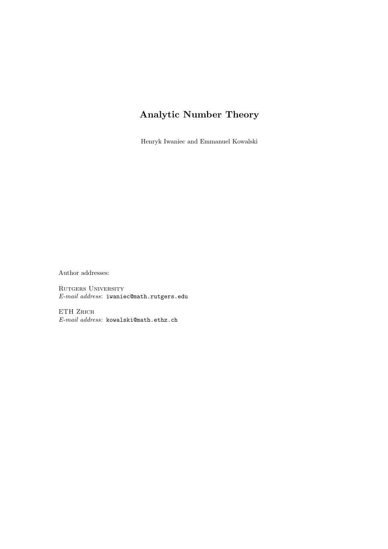# Analytic Number Theory

Henryk Iwaniec and Emmanuel Kowalski

Author addresses:

RUTGERS UNIVERSITY E-mail address: iwaniec@math.rutgers.edu

ETH ZRICH E-mail address: kowalski@math.ethz.ch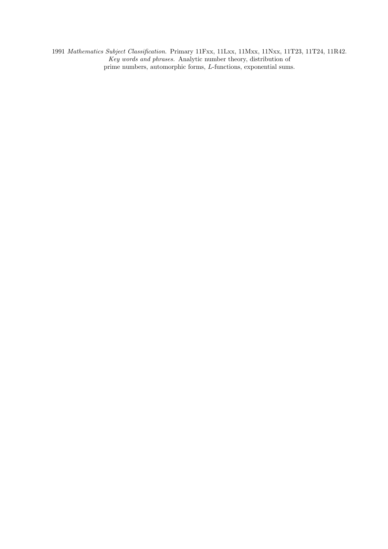1991 Mathematics Subject Classification. Primary 11Fxx, 11Lxx, 11Mxx, 11Nxx, 11T23, 11T24, 11R42. Key words and phrases. Analytic number theory, distribution of prime numbers, automorphic forms, L-functions, exponential sums.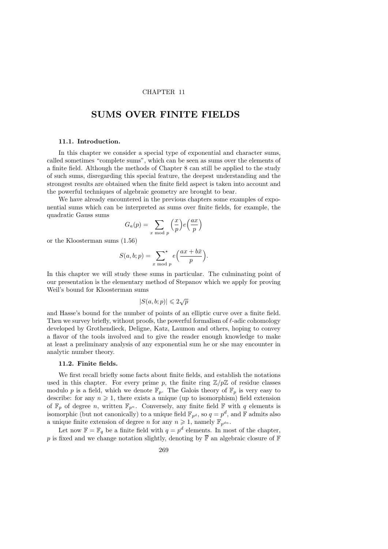### CHAPTER 11

# SUMS OVER FINITE FIELDS

#### 11.1. Introduction.

In this chapter we consider a special type of exponential and character sums, called sometimes "complete sums", which can be seen as sums over the elements of a finite field. Although the methods of Chapter 8 can still be applied to the study of such sums, disregarding this special feature, the deepest understanding and the strongest results are obtained when the finite field aspect is taken into account and the powerful techniques of algebraic geometry are brought to bear.

We have already encountered in the previous chapters some examples of exponential sums which can be interpreted as sums over finite fields, for example, the quadratic Gauss sums

$$
G_a(p) = \sum_{x \bmod p} \left(\frac{x}{p}\right) e\left(\frac{ax}{p}\right)
$$

or the Kloosterman sums (1.56)

$$
S(a, b; p) = \sum_{x \bmod p}^{\star} e\left(\frac{ax + b\bar{x}}{p}\right).
$$

In this chapter we will study these sums in particular. The culminating point of our presentation is the elementary method of Stepanov which we apply for proving Weil's bound for Kloosterman sums

$$
|S(a,b;p)| \leqslant 2\sqrt{p}
$$

and Hasse's bound for the number of points of an elliptic curve over a finite field. Then we survey briefly, without proofs, the powerful formalism of  $\ell$ -adic cohomology developed by Grothendieck, Deligne, Katz, Laumon and others, hoping to convey a flavor of the tools involved and to give the reader enough knowledge to make at least a preliminary analysis of any exponential sum he or she may encounter in analytic number theory.

#### 11.2. Finite fields.

We first recall briefly some facts about finite fields, and establish the notations used in this chapter. For every prime p, the finite ring  $\mathbb{Z}/p\mathbb{Z}$  of residue classes modulo p is a field, which we denote  $\mathbb{F}_p$ . The Galois theory of  $\mathbb{F}_p$  is very easy to describe: for any  $n \geq 1$ , there exists a unique (up to isomorphism) field extension of  $\mathbb{F}_p$  of degree n, written  $\mathbb{F}_{p^n}$ . Conversely, any finite field  $\mathbb F$  with q elements is isomorphic (but not canonically) to a unique field  $\mathbb{F}_{p^d}$ , so  $q = p^d$ , and  $\mathbb{F}$  admits also a unique finite extension of degree n for any  $n \geq 1$ , namely  $\mathbb{F}_{n^{dn}}$ .

Let now  $\mathbb{F} = \mathbb{F}_q$  be a finite field with  $q = p^d$  elements. In most of the chapter, p is fixed and we change notation slightly, denoting by  $\overline{\mathbb{F}}$  an algebraic closure of  $\mathbb F$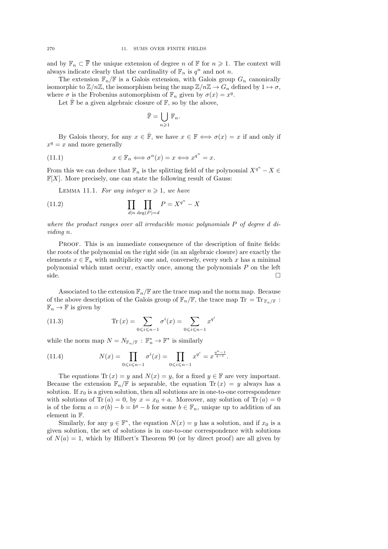and by  $\mathbb{F}_n \subset \overline{\mathbb{F}}$  the unique extension of degree n of  $\mathbb{F}$  for  $n \geq 1$ . The context will always indicate clearly that the cardinality of  $\mathbb{F}_n$  is  $q^n$  and not n.

The extension  $\mathbb{F}_n/\mathbb{F}$  is a Galois extension, with Galois group  $G_n$  canonically isomorphic to  $\mathbb{Z}/n\mathbb{Z}$ , the isomorphism being the map  $\mathbb{Z}/n\mathbb{Z} \to G_n$  defined by  $1 \mapsto \sigma$ , where  $\sigma$  is the Frobenius automorphism of  $\mathbb{F}_n$  given by  $\sigma(x) = x^q$ .

Let  $\bar{\mathbb{F}}$  be a given algebraic closure of  $\mathbb{F}$ , so by the above,

$$
\bar{\mathbb{F}} = \bigcup_{n \geqslant 1} \mathbb{F}_n.
$$

By Galois theory, for any  $x \in \overline{\mathbb{F}}$ , we have  $x \in \mathbb{F} \iff \sigma(x) = x$  if and only if  $x^q = x$  and more generally

(11.1) 
$$
x \in \mathbb{F}_n \iff \sigma^n(x) = x \iff x^{q^n} = x.
$$

From this we can deduce that  $\mathbb{F}_n$  is the splitting field of the polynomial  $X^{q^n} - X \in$  $\mathbb{F}[X]$ . More precisely, one can state the following result of Gauss:

LEMMA 11.1. For any integer  $n \geq 1$ , we have

(11.2) 
$$
\prod_{d|n} \prod_{\deg(P)=d} P = X^{q^n} - X
$$

where the product ranges over all irreducible monic polynomials P of degree d dividing n.

Proof. This is an immediate consequence of the description of finite fields: the roots of the polynomial on the right side (in an algebraic closure) are exactly the elements  $x \in \mathbb{F}_n$  with multiplicity one and, conversely, every such x has a minimal polynomial which must occur, exactly once, among the polynomials P on the left side.

Associated to the extension  $\mathbb{F}_n/\mathbb{F}$  are the trace map and the norm map. Because of the above description of the Galois group of  $\mathbb{F}_n/\mathbb{F}$ , the trace map Tr = Tr $_{\mathbb{F}_n/\mathbb{F}}$ :  $\mathbb{F}_n \to \mathbb{F}$  is given by

(11.3) 
$$
\text{Tr}(x) = \sum_{0 \le i \le n-1} \sigma^i(x) = \sum_{0 \le i \le n-1} x^{q^i}
$$

while the norm map  $N = N_{\mathbb{F}_n/\mathbb{F}} : \mathbb{F}_n^* \to \mathbb{F}^*$  is similarly

(11.4) 
$$
N(x) = \prod_{0 \le i \le n-1} \sigma^i(x) = \prod_{0 \le i \le n-1} x^{q^i} = x^{\frac{q^n - 1}{q - 1}}.
$$

The equations  $\text{Tr}(x) = y$  and  $N(x) = y$ , for a fixed  $y \in \mathbb{F}$  are very important. Because the extension  $\mathbb{F}_n/\mathbb{F}$  is separable, the equation Tr  $(x) = y$  always has a solution. If  $x_0$  is a given solution, then all solutions are in one-to-one correspondence with solutions of Tr  $(a) = 0$ , by  $x = x_0 + a$ . Moreover, any solution of Tr  $(a) = 0$ is of the form  $a = \sigma(b) - b = b^q - b$  for some  $b \in \mathbb{F}_n$ , unique up to addition of an element in F.

Similarly, for any  $y \in \mathbb{F}^*$ , the equation  $N(x) = y$  has a solution, and if  $x_0$  is a given solution, the set of solutions is in one-to-one correspondence with solutions of  $N(a) = 1$ , which by Hilbert's Theorem 90 (or by direct proof) are all given by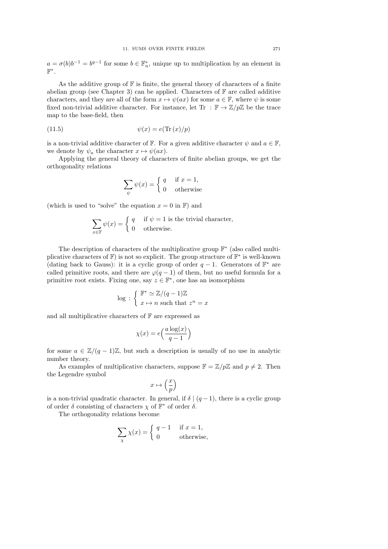$a = \sigma(b)b^{-1} = b^{q-1}$  for some  $b \in \mathbb{F}_n^*$ , unique up to multiplication by an element in  $\mathbb{F}^*$  .

As the additive group of  $\mathbb F$  is finite, the general theory of characters of a finite abelian group (see Chapter 3) can be applied. Characters of  $F$  are called additive characters, and they are all of the form  $x \mapsto \psi(ax)$  for some  $a \in \mathbb{F}$ , where  $\psi$  is some fixed non-trivial additive character. For instance, let Tr :  $\mathbb{F} \to \mathbb{Z}/p\mathbb{Z}$  be the trace map to the base-field, then

$$
(11.5) \qquad \qquad \psi(x) = e(\text{Tr}(x)/p)
$$

is a non-trivial additive character of  $\mathbb F$ . For a given additive character  $\psi$  and  $a \in \mathbb F$ , we denote by  $\psi_a$  the character  $x \mapsto \psi(ax)$ .

Applying the general theory of characters of finite abelian groups, we get the orthogonality relations

$$
\sum_{\psi} \psi(x) = \begin{cases} q & \text{if } x = 1, \\ 0 & \text{otherwise} \end{cases}
$$

(which is used to "solve" the equation  $x = 0$  in F) and

$$
\sum_{x \in \mathbb{F}} \psi(x) = \begin{cases} q & \text{if } \psi = 1 \text{ is the trivial character,} \\ 0 & \text{otherwise.} \end{cases}
$$

The description of characters of the multiplicative group  $\mathbb{F}^*$  (also called multiplicative characters of  $\mathbb{F}$ ) is not so explicit. The group structure of  $\mathbb{F}^*$  is well-known (dating back to Gauss): it is a cyclic group of order  $q-1$ . Generators of  $\mathbb{F}^*$  are called primitive roots, and there are  $\varphi(q-1)$  of them, but no useful formula for a primitive root exists. Fixing one, say  $z \in \mathbb{F}^*$ , one has an isomorphism

$$
\log\,:\, \left\{\begin{array}{l}\mathbb{F}^*\simeq\mathbb{Z}/(q-1)\mathbb{Z}\\\ x\mapsto n\text{ such that }z^n=x\end{array}\right.
$$

and all multiplicative characters of  $\mathbb F$  are expressed as

$$
\chi(x) = e\left(\frac{a\log(x)}{q-1}\right)
$$

for some  $a \in \mathbb{Z}/(q-1)\mathbb{Z}$ , but such a description is usually of no use in analytic number theory.

As examples of multiplicative characters, suppose  $\mathbb{F} = \mathbb{Z}/p\mathbb{Z}$  and  $p \neq 2$ . Then the Legendre symbol

$$
x\mapsto \left(\frac{x}{p}\right)
$$

is a non-trivial quadratic character. In general, if  $\delta | (q-1)$ , there is a cyclic group of order  $\delta$  consisting of characters  $\chi$  of  $\mathbb{F}^*$  of order  $\delta$ .

The orthogonality relations become

$$
\sum_{\chi} \chi(x) = \begin{cases} q - 1 & \text{if } x = 1, \\ 0 & \text{otherwise,} \end{cases}
$$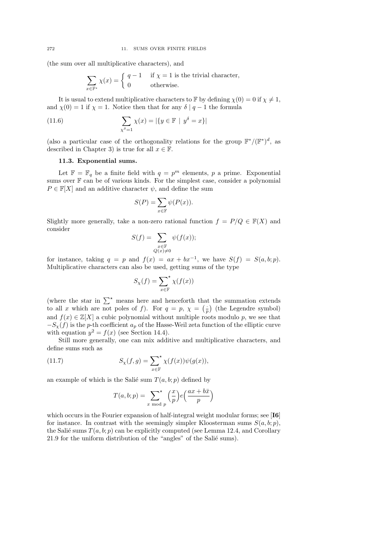(the sum over all multiplicative characters), and

$$
\sum_{x \in \mathbb{F}^*} \chi(x) = \begin{cases} q - 1 & \text{if } \chi = 1 \text{ is the trivial character,} \\ 0 & \text{otherwise.} \end{cases}
$$

It is usual to extend multiplicative characters to F by defining  $\chi(0) = 0$  if  $\chi \neq 1$ , and  $\chi(0) = 1$  if  $\chi = 1$ . Notice then that for any  $\delta | q - 1$  the formula

(11.6) 
$$
\sum_{\chi^{\delta} = 1} \chi(x) = |\{ y \in \mathbb{F} \mid y^{\delta} = x \}|
$$

(also a particular case of the orthogonality relations for the group  $\mathbb{F}^*/(\mathbb{F}^*)^d$ , as described in Chapter 3) is true for all  $x \in \mathbb{F}$ .

#### 11.3. Exponential sums.

Let  $\mathbb{F} = \mathbb{F}_q$  be a finite field with  $q = p^m$  elements, p a prime. Exponential sums over  $\mathbb F$  can be of various kinds. For the simplest case, consider a polynomial  $P \in \mathbb{F}[X]$  and an additive character  $\psi$ , and define the sum

$$
S(P) = \sum_{x \in \mathbb{F}} \psi(P(x)).
$$

Slightly more generally, take a non-zero rational function  $f = P/Q \in \mathbb{F}(X)$  and consider

$$
S(f) = \sum_{\substack{x \in \mathbb{F} \\ Q(x) \neq 0}} \psi(f(x));
$$

for instance, taking  $q = p$  and  $f(x) = ax + bx^{-1}$ , we have  $S(f) = S(a, b; p)$ . Multiplicative characters can also be used, getting sums of the type

$$
S_{\chi}(f) = \sum_{x \in \mathbb{F}}^{\star} \chi(f(x))
$$

(where the star in  $\sum^{\star}$  means here and henceforth that the summation extends to all x which are not poles of f). For  $q = p$ ,  $\chi = \left(\frac{1}{p}\right)$  (the Legendre symbol) and  $f(x) \in \mathbb{Z}[X]$  a cubic polynomial without multiple roots modulo p, we see that  $-S_y(f)$  is the p-th coefficient  $a_p$  of the Hasse-Weil zeta function of the elliptic curve with equation  $y^2 = f(x)$  (see Section 14.4).

Still more generally, one can mix additive and multiplicative characters, and define sums such as

(11.7) 
$$
S_{\chi}(f,g) = \sum_{x \in \mathbb{F}}^{\star} \chi(f(x))\psi(g(x)),
$$

an example of which is the Salié sum  $T(a, b; p)$  defined by

$$
T(a, b; p) = \sum_{x \bmod p}^{x} {x \choose p} e\left(\frac{ax + b\bar{x}}{p}\right)
$$

which occurs in the Fourier expansion of half-integral weight modular forms; see [**16**] for instance. In contrast with the seemingly simpler Kloosterman sums  $S(a, b; p)$ , the Salié sums  $T(a, b; p)$  can be explicitly computed (see Lemma 12.4, and Corollary  $21.9$  for the uniform distribution of the "angles" of the Salié sums).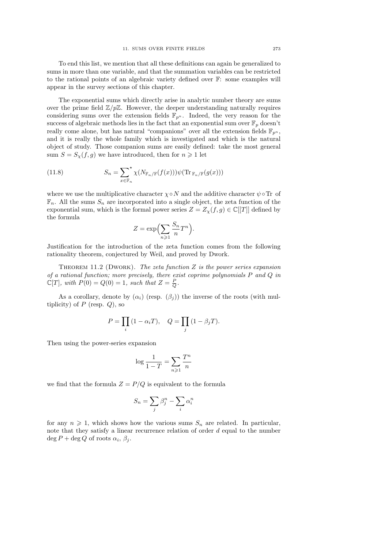To end this list, we mention that all these definitions can again be generalized to sums in more than one variable, and that the summation variables can be restricted to the rational points of an algebraic variety defined over F: some examples will appear in the survey sections of this chapter.

The exponential sums which directly arise in analytic number theory are sums over the prime field  $\mathbb{Z}/p\mathbb{Z}$ . However, the deeper understanding naturally requires considering sums over the extension fields  $\mathbb{F}_{p^n}$ . Indeed, the very reason for the success of algebraic methods lies in the fact that an exponential sum over  $\mathbb{F}_p$  doesn't really come alone, but has natural "companions" over all the extension fields  $\mathbb{F}_{p^n}$ , and it is really the whole family which is investigated and which is the natural object of study. Those companion sums are easily defined: take the most general sum  $S = S_{\chi}(f, g)$  we have introduced, then for  $n \geq 1$  let

(11.8) 
$$
S_n = \sum_{x \in \mathbb{F}_n} \chi(N_{\mathbb{F}_n/\mathbb{F}}(f(x))) \psi(\text{Tr}_{\mathbb{F}_n/\mathbb{F}}(g(x)))
$$

where we use the multiplicative character  $\chi \circ N$  and the additive character  $\psi \circ \text{Tr}$  of  $\mathbb{F}_n$ . All the sums  $S_n$  are incorporated into a single object, the zeta function of the exponential sum, which is the formal power series  $Z = Z_{\chi}(f, g) \in \mathbb{C}[[T]]$  defined by the formula

$$
Z = \exp\left(\sum_{n\geqslant 1} \frac{S_n}{n} T^n\right).
$$

Justification for the introduction of the zeta function comes from the following rationality theorem, conjectured by Weil, and proved by Dwork.

THEOREM 11.2 (DWORK). The zeta function  $Z$  is the power series expansion of a rational function; more precisely, there exist coprime polynomials  $P$  and  $Q$  in  $\mathbb{C}[T]$ , with  $P(0) = Q(0) = 1$ , such that  $Z = \frac{P}{Q}$ .

As a corollary, denote by  $(\alpha_i)$  (resp.  $(\beta_i)$ ) the inverse of the roots (with multiplicity) of  $P$  (resp.  $Q$ ), so

$$
P = \prod_i (1 - \alpha_i T), \quad Q = \prod_j (1 - \beta_j T).
$$

Then using the power-series expansion

$$
\log \frac{1}{1-T} = \sum_{n \geqslant 1} \frac{T^n}{n}
$$

we find that the formula  $Z = P/Q$  is equivalent to the formula

$$
S_n = \sum_j \beta_j^n - \sum_i \alpha_i^n
$$

for any  $n \geq 1$ , which shows how the various sums  $S_n$  are related. In particular, note that they satisfy a linear recurrence relation of order d equal to the number  $\deg P + \deg Q$  of roots  $\alpha_i, \beta_j$ .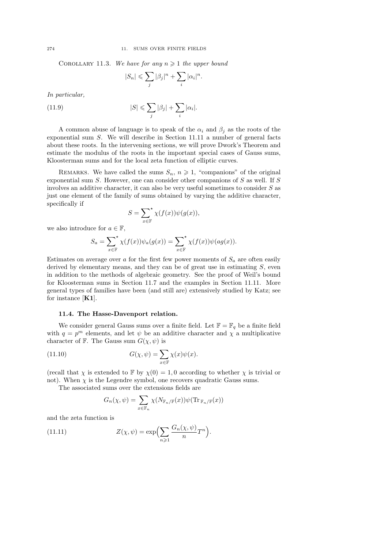COROLLARY 11.3. We have for any  $n \geq 1$  the upper bound

$$
|S_n| \leqslant \sum_j |\beta_j|^n + \sum_i |\alpha_i|^n.
$$

In particular,

(11.9) 
$$
|S| \leqslant \sum_{j} |\beta_j| + \sum_{i} |\alpha_i|.
$$

A common abuse of language is to speak of the  $\alpha_i$  and  $\beta_j$  as the roots of the exponential sum S. We will describe in Section 11.11 a number of general facts about these roots. In the intervening sections, we will prove Dwork's Theorem and estimate the modulus of the roots in the important special cases of Gauss sums, Kloosterman sums and for the local zeta function of elliptic curves.

REMARKS. We have called the sums  $S_n$ ,  $n \geq 1$ , "companions" of the original exponential sum  $S$ . However, one can consider other companions of  $S$  as well. If  $S$ involves an additive character, it can also be very useful sometimes to consider  $S$  as just one element of the family of sums obtained by varying the additive character, specifically if

$$
S = \sum_{x \in \mathbb{F}}^{\star} \chi(f(x))\psi(g(x)),
$$

we also introduce for  $a \in \mathbb{F}$ ,

$$
S_a = \sum_{x \in \mathbb{F}}^{\star} \chi(f(x)) \psi_a(g(x)) = \sum_{x \in \mathbb{F}}^{\star} \chi(f(x)) \psi(ag(x)).
$$

Estimates on average over a for the first few power moments of  $S_a$  are often easily derived by elementary means, and they can be of great use in estimating  $S$ , even in addition to the methods of algebraic geometry. See the proof of Weil's bound for Kloosterman sums in Section 11.7 and the examples in Section 11.11. More general types of families have been (and still are) extensively studied by Katz; see for instance [K1].

#### 11.4. The Hasse-Davenport relation.

We consider general Gauss sums over a finite field. Let  $\mathbb{F} = \mathbb{F}_q$  be a finite field with  $q = p<sup>m</sup>$  elements, and let  $\psi$  be an additive character and  $\chi$  a multiplicative character of F. The Gauss sum  $G(\chi, \psi)$  is

(11.10) 
$$
G(\chi, \psi) = \sum_{x \in \mathbb{F}} \chi(x) \psi(x).
$$

(recall that  $\chi$  is extended to F by  $\chi(0) = 1, 0$  according to whether  $\chi$  is trivial or not). When  $\chi$  is the Legendre symbol, one recovers quadratic Gauss sums.

The associated sums over the extensions fields are

$$
G_n(\chi, \psi) = \sum_{x \in \mathbb{F}_n} \chi(N_{\mathbb{F}_n / \mathbb{F}}(x)) \psi(\text{Tr}_{\mathbb{F}_n / \mathbb{F}}(x))
$$

and the zeta function is

(11.11) 
$$
Z(\chi, \psi) = \exp\left(\sum_{n\geqslant 1} \frac{G_n(\chi, \psi)}{n} T^n\right).
$$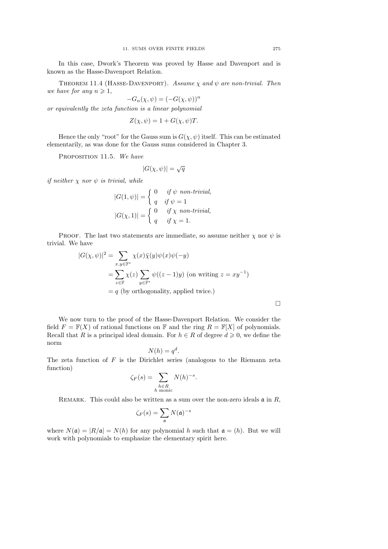In this case, Dwork's Theorem was proved by Hasse and Davenport and is known as the Hasse-Davenport Relation.

THEOREM 11.4 (HASSE-DAVENPORT). Assume  $\chi$  and  $\psi$  are non-trivial. Then we have for any  $n \geq 1$ ,

$$
-G_n(\chi, \psi) = (-G(\chi, \psi))^n
$$

or equivalently the zeta function is a linear polynomial

$$
Z(\chi, \psi) = 1 + G(\chi, \psi)T.
$$

Hence the only "root" for the Gauss sum is  $G(\chi, \psi)$  itself. This can be estimated elementarily, as was done for the Gauss sums considered in Chapter 3.

PROPOSITION 11.5. We have

$$
|G(\chi,\psi)| = \sqrt{q}
$$

if neither  $\chi$  nor  $\psi$  is trivial, while

$$
|G(1,\psi)| = \begin{cases} 0 & \text{if } \psi \text{ non-trivial,} \\ q & \text{if } \psi = 1 \end{cases}
$$

$$
|G(\chi,1)| = \begin{cases} 0 & \text{if } \chi \text{ non-trivial,} \\ q & \text{if } \chi = 1. \end{cases}
$$

PROOF. The last two statements are immediate, so assume neither  $\chi$  nor  $\psi$  is trivial. We have

$$
|G(\chi, \psi)|^2 = \sum_{x, y \in \mathbb{F}^*} \chi(x)\overline{\chi}(y)\psi(x)\psi(-y)
$$
  
= 
$$
\sum_{z \in \mathbb{F}} \chi(z) \sum_{y \in \mathbb{F}^*} \psi((z-1)y)
$$
 (on writing  $z = xy^{-1}$ )  
=  $q$  (by orthogonality, applied twice.)

We now turn to the proof of the Hasse-Davenport Relation. We consider the field  $F = \mathbb{F}(X)$  of rational functions on  $\mathbb{F}$  and the ring  $R = \mathbb{F}[X]$  of polynomials. Recall that R is a principal ideal domain. For  $h \in R$  of degree  $d \geq 0$ , we define the norm

$$
N(h) = q^d.
$$

The zeta function of  $F$  is the Dirichlet series (analogous to the Riemann zeta function)

$$
\zeta_F(s) = \sum_{\substack{h \in R \\ h \text{ monic}}} N(h)^{-s}.
$$

REMARK. This could also be written as a sum over the non-zero ideals  $\mathfrak{a}$  in R,

$$
\zeta_F(s) = \sum_{\mathfrak{a}} N(\mathfrak{a})^{-s}
$$

where  $N(\mathfrak{a}) = |R/\mathfrak{a}| = N(h)$  for any polynomial h such that  $\mathfrak{a} = (h)$ . But we will work with polynomials to emphasize the elementary spirit here.

 $\Box$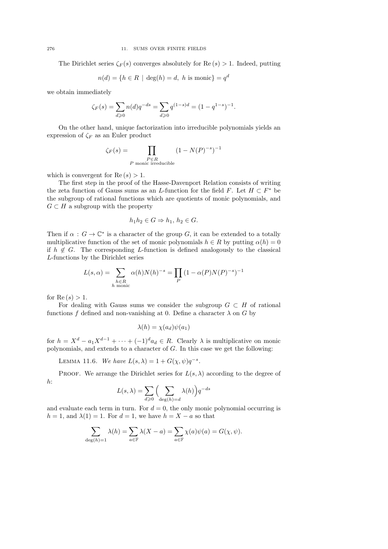The Dirichlet series  $\zeta_F(s)$  converges absolutely for Re  $(s) > 1$ . Indeed, putting

$$
n(d) = \{ h \in R \mid \deg(h) = d, h \text{ is monic} \} = q^d
$$

we obtain immediately

$$
\zeta_F(s) = \sum_{d \ge 0} n(d)q^{-ds} = \sum_{d \ge 0} q^{(1-s)d} = (1 - q^{1-s})^{-1}.
$$

On the other hand, unique factorization into irreducible polynomials yields an expression of  $\zeta_F$  as an Euler product

$$
\zeta_F(s) = \prod_{\substack{P \in R \\ P \text{ monic irreducible}}} (1 - N(P)^{-s})^{-1}
$$

which is convergent for  $\text{Re}(s) > 1$ .

The first step in the proof of the Hasse-Davenport Relation consists of writing the zeta function of Gauss sums as an L-function for the field F. Let  $H \subset F^*$  be the subgroup of rational functions which are quotients of monic polynomials, and  $G \subset H$  a subgroup with the property

$$
h_1h_2\in G\Rightarrow h_1, h_2\in G.
$$

Then if  $\alpha : G \to \mathbb{C}^*$  is a character of the group G, it can be extended to a totally multiplicative function of the set of monic polynomials  $h \in R$  by putting  $\alpha(h) = 0$ if  $h \notin G$ . The corresponding L-function is defined analogously to the classical L-functions by the Dirichlet series

$$
L(s, \alpha) = \sum_{\substack{h \in R \\ h \text{ monic}}} \alpha(h)N(h)^{-s} = \prod_P (1 - \alpha(P)N(P)^{-s})^{-1}
$$

for Re  $(s) > 1$ .

For dealing with Gauss sums we consider the subgroup  $G \subset H$  of rational functions f defined and non-vanishing at 0. Define a character  $\lambda$  on G by

$$
\lambda(h) = \chi(a_d)\psi(a_1)
$$

for  $h = X^d - a_1 X^{d-1} + \cdots + (-1)^d a_d \in R$ . Clearly  $\lambda$  is multiplicative on monic polynomials, and extends to a character of  $G$ . In this case we get the following:

LEMMA 11.6. We have  $L(s, \lambda) = 1 + G(\chi, \psi)q^{-s}$ .

PROOF. We arrange the Dirichlet series for  $L(s, \lambda)$  according to the degree of h:

$$
L(s,\lambda) = \sum_{d \geqslant 0} \left( \sum_{\deg(h)=d} \lambda(h) \right) q^{-ds}
$$

and evaluate each term in turn. For  $d = 0$ , the only monic polynomial occurring is  $h = 1$ , and  $\lambda(1) = 1$ . For  $d = 1$ , we have  $h = X - a$  so that

$$
\sum_{\deg(h)=1} \lambda(h) = \sum_{a \in \mathbb{F}} \lambda(X - a) = \sum_{a \in \mathbb{F}} \chi(a)\psi(a) = G(\chi, \psi).
$$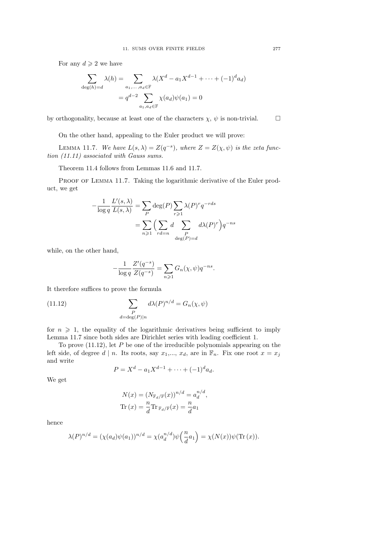For any  $d \geqslant 2$  we have

$$
\sum_{\deg(h)=d} \lambda(h) = \sum_{a_1,\dots,a_d \in \mathbb{F}} \lambda(X^d - a_1 X^{d-1} + \dots + (-1)^d a_d)
$$

$$
= q^{d-2} \sum_{a_1,a_d \in \mathbb{F}} \chi(a_d) \psi(a_1) = 0
$$

by orthogonality, because at least one of the characters  $\chi, \psi$  is non-trivial.  $\square$ 

On the other hand, appealing to the Euler product we will prove:

LEMMA 11.7. We have  $L(s, \lambda) = Z(q^{-s})$ , where  $Z = Z(\chi, \psi)$  is the zeta function (11.11) associated with Gauss sums.

Theorem 11.4 follows from Lemmas 11.6 and 11.7.

PROOF OF LEMMA 11.7. Taking the logarithmic derivative of the Euler product, we get

$$
-\frac{1}{\log q} \frac{L'(s,\lambda)}{L(s,\lambda)} = \sum_{P} \deg(P) \sum_{r \ge 1} \lambda(P)^r q^{-rds}
$$

$$
= \sum_{n \ge 1} \Big( \sum_{rd=n} d \sum_{\substack{P \ \deg(P) = d}} d\lambda(P)^r \Big) q^{-ns}
$$

while, on the other hand,

$$
-\frac{1}{\log q} \frac{Z'(q^{-s})}{Z(q^{-s})} = \sum_{n \geq 1} G_n(\chi, \psi) q^{-ns}.
$$

It therefore suffices to prove the formula

(11.12) 
$$
\sum_{\substack{P\\d=\deg(P)|n}} d\lambda(P)^{n/d} = G_n(\chi, \psi)
$$

for  $n \geq 1$ , the equality of the logarithmic derivatives being sufficient to imply Lemma 11.7 since both sides are Dirichlet series with leading coefficient 1.

To prove  $(11.12)$ , let P be one of the irreducible polynomials appearing on the left side, of degree d | n. Its roots, say  $x_1,..., x_d$ , are in  $\mathbb{F}_n$ . Fix one root  $x = x_j$ and write

$$
P = X^d - a_1 X^{d-1} + \dots + (-1)^d a_d.
$$

We get

$$
N(x) = (N_{\mathbb{F}_d/\mathbb{F}}(x))^{n/d} = a_d^{n/d},
$$
  
Tr  $(x) = \frac{n}{d}$ Tr  $\mathbb{F}_d/\mathbb{F}(x) = \frac{n}{d}a_1$ 

hence

$$
\lambda(P)^{n/d} = (\chi(a_d)\psi(a_1))^{n/d} = \chi(a_d^{n/d})\psi\left(\frac{n}{d}a_1\right) = \chi(N(x))\psi(\text{Tr}(x)).
$$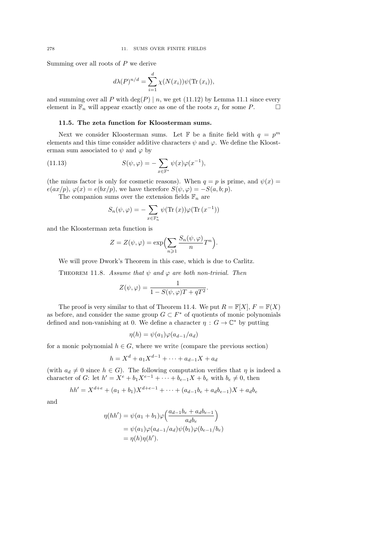Summing over all roots of  $P$  we derive

$$
d\lambda(P)^{n/d} = \sum_{i=1}^{d} \chi(N(x_i))\psi(\text{Tr}(x_i)),
$$

and summing over all  $P$  with  $\deg(P) \mid n$ , we get (11.12) by Lemma 11.1 since every element in  $\mathbb{F}_n$  will appear exactly once as one of the roots  $x_i$  for some P.  $\Box$ 

#### 11.5. The zeta function for Kloosterman sums.

Next we consider Kloosterman sums. Let  $\mathbb F$  be a finite field with  $q = p^m$ elements and this time consider additive characters  $\psi$  and  $\varphi$ . We define the Kloosterman sum associated to  $\psi$  and  $\varphi$  by

(11.13) 
$$
S(\psi, \varphi) = -\sum_{x \in \mathbb{F}^*} \psi(x)\varphi(x^{-1}),
$$

(the minus factor is only for cosmetic reasons). When  $q = p$  is prime, and  $\psi(x) =$  $e(ax/p), \varphi(x) = e(bx/p),$  we have therefore  $S(\psi, \varphi) = -S(a, b; p).$ 

The companion sums over the extension fields  $\mathbb{F}_n$  are

$$
S_n(\psi, \varphi) = -\sum_{x \in \mathbb{F}_n^*} \psi(\text{Tr}(x)) \varphi(\text{Tr}(x^{-1}))
$$

and the Kloosterman zeta function is

$$
Z = Z(\psi, \varphi) = \exp\left(\sum_{n\geqslant 1} \frac{S_n(\psi, \varphi)}{n} T^n\right).
$$

We will prove Dwork's Theorem in this case, which is due to Carlitz.

THEOREM 11.8. Assume that  $\psi$  and  $\varphi$  are both non-trivial. Then

$$
Z(\psi, \varphi) = \frac{1}{1 - S(\psi, \varphi)T + qT^2}.
$$

The proof is very similar to that of Theorem 11.4. We put  $R = \mathbb{F}[X], F = \mathbb{F}(X)$ as before, and consider the same group  $G \subset F^*$  of quotients of monic polynomials defined and non-vanishing at 0. We define a character  $\eta : G \to \mathbb{C}^*$  by putting

$$
\eta(h) = \psi(a_1)\varphi(a_{d-1}/a_d)
$$

for a monic polynomial  $h \in G$ , where we write (compare the previous section)

$$
h = X^d + a_1 X^{d-1} + \dots + a_{d-1} X + a_d
$$

(with  $a_d \neq 0$  since  $h \in G$ ). The following computation verifies that  $\eta$  is indeed a character of G: let  $h' = X^e + b_1 X^{e-1} + \cdots + b_{e-1} X + b_e$  with  $b_e \neq 0$ , then

$$
hh' = X^{d+e} + (a_1 + b_1)X^{d+e-1} + \dots + (a_{d-1}b_e + a_d b_{e-1})X + a_d b_e
$$

and

$$
\eta(hh') = \psi(a_1 + b_1)\varphi\left(\frac{a_{d-1}b_e + a_d b_{e-1}}{a_d b_e}\right)
$$
  
= 
$$
\psi(a_1)\varphi(a_{d-1}/a_d)\psi(b_1)\varphi(b_{e-1}/b_e)
$$
  
= 
$$
\eta(h)\eta(h').
$$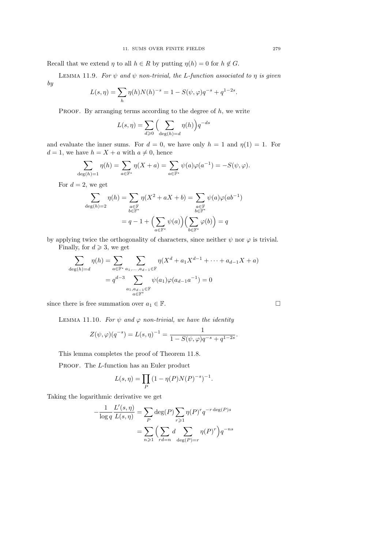Recall that we extend  $\eta$  to all  $h \in R$  by putting  $\eta(h) = 0$  for  $h \notin G$ .

LEMMA 11.9. For  $\psi$  and  $\psi$  non-trivial, the L-function associated to  $\eta$  is given by

$$
L(s, \eta) = \sum_{h} \eta(h) N(h)^{-s} = 1 - S(\psi, \varphi) q^{-s} + q^{1-2s}.
$$

PROOF. By arranging terms according to the degree of  $h$ , we write

$$
L(s, \eta) = \sum_{d \geq 0} \left( \sum_{\deg(h) = d} \eta(h) \right) q^{-ds}
$$

and evaluate the inner sums. For  $d = 0$ , we have only  $h = 1$  and  $\eta(1) = 1$ . For  $d = 1$ , we have  $h = X + a$  with  $a \neq 0$ , hence

$$
\sum_{\deg(h)=1} \eta(h) = \sum_{a \in \mathbb{F}^*} \eta(X+a) = \sum_{a \in \mathbb{F}^*} \psi(a)\varphi(a^{-1}) = -S(\psi, \varphi).
$$

For  $d=2$ , we get

$$
\sum_{\deg(h)=2} \eta(h) = \sum_{\substack{a \in \mathbb{F} \\ b \in \mathbb{F}^*}} \eta(X^2 + aX + b) = \sum_{\substack{a \in \mathbb{F} \\ b \in \mathbb{F}^*}} \psi(a)\varphi(ab^{-1})
$$

$$
= q - 1 + \Big(\sum_{a \in \mathbb{F}^*} \psi(a)\Big)\Big(\sum_{b \in \mathbb{F}^*} \varphi(b)\Big) = q
$$

by applying twice the orthogonality of characters, since neither  $\psi$  nor  $\varphi$  is trivial.

Finally, for  $d \geqslant 3$ , we get

$$
\sum_{\deg(h)=d} \eta(h) = \sum_{a \in \mathbb{F}^*} \sum_{\substack{a_1, \dots, a_{d-1} \in \mathbb{F} \\ a_1 \geq a_2 \geq 0}} \eta(X^d + a_1 X^{d-1} + \dots + a_{d-1} X + a) \\ = q^{d-3} \sum_{\substack{a_1, a_{d-1} \in \mathbb{F} \\ a \in \mathbb{F}^*}} \psi(a_1) \varphi(a_{d-1} a^{-1}) = 0
$$

since there is free summation over  $a_1 \in \mathbb{F}$ .

LEMMA 11.10. For  $\psi$  and  $\varphi$  non-trivial, we have the identity

$$
Z(\psi,\varphi)(q^{-s}) = L(s,\eta)^{-1} = \frac{1}{1 - S(\psi,\varphi) q^{-s} + q^{1-2s}}.
$$

This lemma completes the proof of Theorem 11.8.

PROOF. The L-function has an Euler product

$$
L(s, \eta) = \prod_P (1 - \eta(P)N(P)^{-s})^{-1}.
$$

Taking the logarithmic derivative we get

$$
-\frac{1}{\log q} \frac{L'(s, \eta)}{L(s, \eta)} = \sum_{P} \deg(P) \sum_{r \geq 1} \eta(P)^r q^{-r \deg(P)s}
$$

$$
= \sum_{n \geq 1} \left( \sum_{rd=n} d \sum_{\deg(P)=r} \eta(P)^r \right) q^{-ns}
$$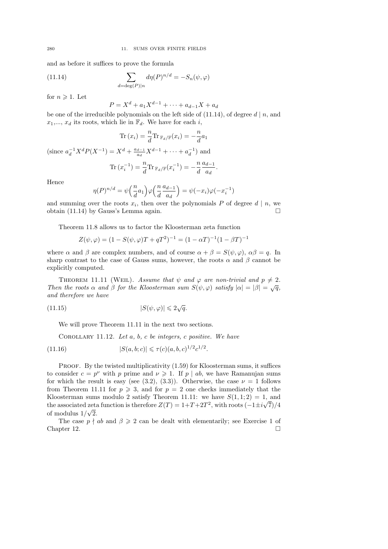and as before it suffices to prove the formula

(11.14) 
$$
\sum_{d=\deg(P)|n} d\eta(P)^{n/d} = -S_n(\psi, \varphi)
$$

for  $n \geqslant 1$ . Let

$$
P = X^d + a_1 X^{d-1} + \dots + a_{d-1} X + a_d
$$

be one of the irreducible polynomials on the left side of  $(11.14)$ , of degree d | n, and  $x_1,..., x_d$  its roots, which lie in  $\mathbb{F}_d$ . We have for each i,

$$
\text{Tr}(x_i) = \frac{n}{d} \text{Tr}_{\mathbb{F}_d/\mathbb{F}}(x_i) = -\frac{n}{d} a_1
$$
  
(since  $a_d^{-1} X^d P(X^{-1}) = X^d + \frac{a_{d-1}}{a_d} X^{d-1} + \dots + a_d^{-1}$ ) and

$$
\text{Tr}(x_i^{-1}) = \frac{n}{d} \text{Tr}_{\mathbb{F}_d/\mathbb{F}}(x_i^{-1}) = -\frac{n}{d} \frac{a_{d-1}}{a_d}.
$$

Hence

$$
\eta(P)^{n/d} = \psi\left(\frac{n}{d}a_1\right)\varphi\left(\frac{n}{d}\frac{a_{d-1}}{a_d}\right) = \psi(-x_i)\varphi(-x_i^{-1})
$$

and summing over the roots  $x_i$ , then over the polynomials P of degree  $d | n$ , we obtain (11.14) by Gauss's Lemma again.  $\square$ 

Theorem 11.8 allows us to factor the Kloosterman zeta function

$$
Z(\psi, \varphi) = (1 - S(\psi, \varphi)T + qT^{2})^{-1} = (1 - \alpha T)^{-1}(1 - \beta T)^{-1}
$$

where  $\alpha$  and  $\beta$  are complex numbers, and of course  $\alpha + \beta = S(\psi, \varphi)$ ,  $\alpha\beta = q$ . In sharp contrast to the case of Gauss sums, however, the roots  $\alpha$  and  $\beta$  cannot be explicitly computed.

THEOREM 11.11 (WEIL). Assume that  $\psi$  and  $\varphi$  are non-trivial and  $p \neq 2$ . Then the roots  $\alpha$  and  $\beta$  for the Kloosterman sum  $S(\psi, \varphi)$  satisfy  $|\alpha| = |\beta| = \sqrt{q}$ , and therefore we have

$$
(11.15)\t\t |S(\psi,\varphi)| \leq 2\sqrt{q}.
$$

We will prove Theorem 11.11 in the next two sections.

COROLLARY 11.12. Let  $a, b, c$  be integers, c positive. We have

(11.16) 
$$
|S(a,b;c)| \leq \tau(c)(a,b,c)^{1/2}c^{1/2}.
$$

PROOF. By the twisted multiplicativity  $(1.59)$  for Kloosterman sums, it suffices to consider  $c = p^{\nu}$  with p prime and  $\nu \geq 1$ . If p | ab, we have Ramanujan sums for which the result is easy (see (3.2), (3.3)). Otherwise, the case  $\nu = 1$  follows from Theorem 11.11 for  $p \ge 3$ , and for  $p = 2$  one checks immediately that the Kloosterman sums modulo 2 satisfy Theorem 11.11: we have  $S(1,1;2) = 1$ , and the associated zeta function is therefore  $Z(T) = 1 + T + 2T^2$ , with roots  $\left(-1 \pm i \sqrt{7}\right)/4$ of modulus  $1/\sqrt{2}$ .

The case  $p \nmid ab$  and  $\beta \geq 2$  can be dealt with elementarily; see Exercise 1 of Chapter 12.  $\Box$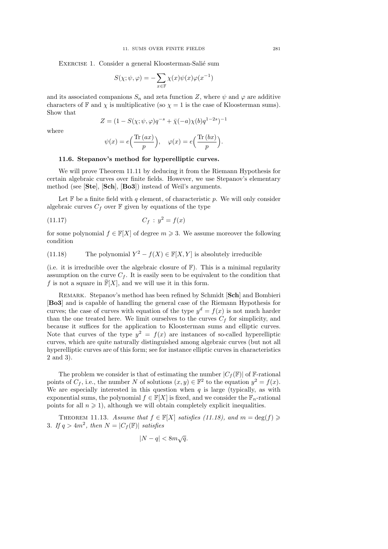EXERCISE 1. Consider a general Kloosterman-Salié sum

$$
S(\chi;\psi,\varphi) = -\sum_{x\in\mathbb{F}} \chi(x)\psi(x)\varphi(x^{-1})
$$

and its associated companions  $S_n$  and zeta function Z, where  $\psi$  and  $\varphi$  are additive characters of  $\mathbb F$  and  $\chi$  is multiplicative (so  $\chi = 1$  is the case of Kloosterman sums). Show that

$$
Z = (1 - S(\chi; \psi, \varphi)q^{-s} + \bar{\chi}(-a)\chi(b)q^{1-2s})^{-1}
$$

where

$$
\psi(x) = e\left(\frac{\text{Tr}(ax)}{p}\right), \quad \varphi(x) = e\left(\frac{\text{Tr}(bx)}{p}\right).
$$

#### 11.6. Stepanov's method for hyperelliptic curves.

We will prove Theorem 11.11 by deducing it from the Riemann Hypothesis for certain algebraic curves over finite fields. However, we use Stepanov's elementary method (see [Ste], [Sch], [Bo3]) instead of Weil's arguments.

Let  $\mathbb F$  be a finite field with q element, of characteristic p. We will only consider algebraic curves  $C_f$  over  $\mathbb F$  given by equations of the type

(11.17) 
$$
C_f: y^2 = f(x)
$$

for some polynomial  $f \in \mathbb{F}[X]$  of degree  $m \geqslant 3$ . We assume moreover the following condition

## (11.18) The polynomial  $Y^2 - f(X) \in \mathbb{F}[X, Y]$  is absolutely irreducible

(i.e. it is irreducible over the algebraic closure of  $\mathbb{F}$ ). This is a minimal regularity assumption on the curve  $C_f$ . It is easily seen to be equivalent to the condition that f is not a square in  $\overline{\mathbb{F}}[X]$ , and we will use it in this form.

REMARK. Stepanov's method has been refined by Schmidt [Sch] and Bombieri [Bo3] and is capable of handling the general case of the Riemann Hypothesis for curves; the case of curves with equation of the type  $y^d = f(x)$  is not much harder than the one treated here. We limit ourselves to the curves  $C_f$  for simplicity, and because it suffices for the application to Kloosterman sums and elliptic curves. Note that curves of the type  $y^2 = f(x)$  are instances of so-called hyperelliptic curves, which are quite naturally distinguished among algebraic curves (but not all hyperelliptic curves are of this form; see for instance elliptic curves in characteristics 2 and 3).

The problem we consider is that of estimating the number  $|C_f(\mathbb{F})|$  of **F**-rational points of  $C_f$ , i.e., the number N of solutions  $(x, y) \in \mathbb{F}^2$  to the equation  $y^2 = f(x)$ . We are especially interested in this question when  $q$  is large (typically, as with exponential sums, the polynomial  $f \in \mathbb{F}[X]$  is fixed, and we consider the  $\mathbb{F}_n$ -rational points for all  $n \geqslant 1$ , although we will obtain completely explicit inequalities.

THEOREM 11.13. Assume that  $f \in \mathbb{F}[X]$  satisfies (11.18), and  $m = \deg(f) \geq$ 3. If  $q > 4m^2$ , then  $N = |C_f(\mathbb{F})|$  satisfies

$$
|N - q| < 8m\sqrt{q}.
$$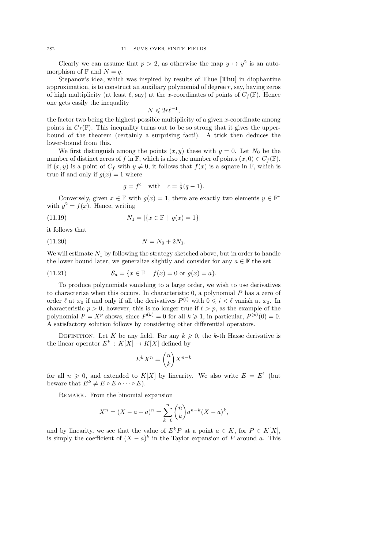Clearly we can assume that  $p > 2$ , as otherwise the map  $y \mapsto y^2$  is an automorphism of  $\mathbb F$  and  $N = q$ .

Stepanov's idea, which was inspired by results of Thue [Thu] in diophantine approximation, is to construct an auxiliary polynomial of degree  $r$ , say, having zeros of high multiplicity (at least  $\ell$ , say) at the x-coordinates of points of  $C_f(\mathbb{F})$ . Hence one gets easily the inequality

$$
N \leqslant 2r\ell^{-1},
$$

the factor two being the highest possible multiplicity of a given  $x$ -coordinate among points in  $C_f(\mathbb{F})$ . This inequality turns out to be so strong that it gives the upperbound of the theorem (certainly a surprising fact!). A trick then deduces the lower-bound from this.

We first distinguish among the points  $(x, y)$  these with  $y = 0$ . Let  $N_0$  be the number of distinct zeros of f in F, which is also the number of points  $(x, 0) \in C_f(\mathbb{F})$ . If  $(x, y)$  is a point of  $C_f$  with  $y \neq 0$ , it follows that  $f(x)$  is a square in F, which is true if and only if  $g(x) = 1$  where

$$
g = f^c
$$
 with  $c = \frac{1}{2}(q-1)$ .

Conversely, given  $x \in \mathbb{F}$  with  $g(x) = 1$ , there are exactly two elements  $y \in \mathbb{F}^*$ with  $y^2 = f(x)$ . Hence, writing

(11.19) 
$$
N_1 = |\{x \in \mathbb{F} \mid g(x) = 1\}|
$$

it follows that

$$
(11.20) \t\t\t N = N_0 + 2N_1.
$$

We will estimate  $N_1$  by following the strategy sketched above, but in order to handle the lower bound later, we generalize slightly and consider for any  $a \in \mathbb{F}$  the set

(11.21) 
$$
\mathcal{S}_a = \{x \in \mathbb{F} \mid f(x) = 0 \text{ or } g(x) = a\}.
$$

To produce polynomials vanishing to a large order, we wish to use derivatives to characterize when this occurs. In characteristic  $0$ , a polynomial  $P$  has a zero of order  $\ell$  at  $x_0$  if and only if all the derivatives  $P^{(i)}$  with  $0 \leqslant i \leqslant \ell$  vanish at  $x_0$ . In characteristic  $p > 0$ , however, this is no longer true if  $\ell > p$ , as the example of the polynomial  $P = X^p$  shows, since  $P^{(k)} = 0$  for all  $k \geq 1$ , in particular,  $P^{(p)}(0) = 0$ . A satisfactory solution follows by considering other differential operators.

DEFINITION. Let K be any field. For any  $k \geq 0$ , the k-th Hasse derivative is the linear operator  $E^k: K[X] \to K[X]$  defined by

$$
E^k X^n = \binom{n}{k} X^{n-k}
$$

for all  $n \geq 0$ , and extended to  $K[X]$  by linearity. We also write  $E = E^1$  (but beware that  $E^k \neq E \circ E \circ \cdots \circ E$ .

REMARK. From the binomial expansion

$$
X^{n} = (X - a + a)^{n} = \sum_{k=0}^{n} {n \choose k} a^{n-k} (X - a)^{k},
$$

and by linearity, we see that the value of  $E^k P$  at a point  $a \in K$ , for  $P \in K[X]$ , is simply the coefficient of  $(X - a)^k$  in the Taylor expansion of P around a. This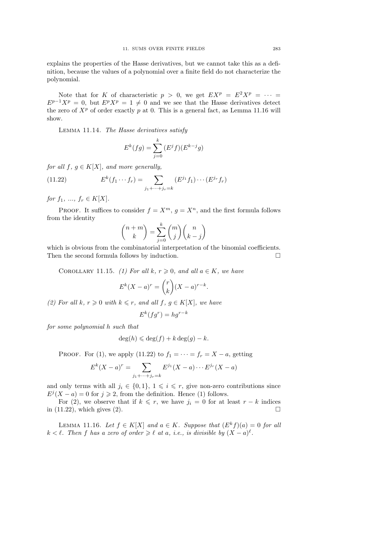explains the properties of the Hasse derivatives, but we cannot take this as a definition, because the values of a polynomial over a finite field do not characterize the polynomial.

Note that for K of characteristic  $p > 0$ , we get  $EX^p = E^2 X^p = \cdots$  $E^{p-1}X^p = 0$ , but  $E^pX^p = 1 \neq 0$  and we see that the Hasse derivatives detect the zero of  $X^p$  of order exactly p at 0. This is a general fact, as Lemma 11.16 will show.

Lemma 11.14. The Hasse derivatives satisfy

$$
E^{k}(fg) = \sum_{j=0}^{k} (E^{j}f)(E^{k-j}g)
$$

for all  $f, g \in K[X]$ , and more generally,

(11.22) 
$$
E^{k}(f_1 \cdots f_r) = \sum_{j_1 + \cdots + j_r = k} (E^{j_1} f_1) \cdots (E^{j_r} f_r)
$$

for  $f_1, ..., f_r \in K[X]$ .

PROOF. It suffices to consider  $f = X^m$ ,  $g = X^n$ , and the first formula follows from the identity

$$
\binom{n+m}{k} = \sum_{j=0}^{k} \binom{m}{j} \binom{n}{k-j}
$$

which is obvious from the combinatorial interpretation of the binomial coefficients. Then the second formula follows by induction.

COROLLARY 11.15. (1) For all k,  $r \geq 0$ , and all  $a \in K$ , we have

$$
E^{k}(X-a)^{r} = {r \choose k} (X-a)^{r-k}
$$

.

(2) For all k,  $r \geq 0$  with  $k \leq r$ , and all  $f, g \in K[X]$ , we have

$$
E^k(fg^r) = hg^{r-k}
$$

for some polynomial h such that

$$
\deg(h) \leqslant \deg(f) + k \deg(g) - k.
$$

PROOF. For (1), we apply (11.22) to  $f_1 = \cdots = f_r = X - a$ , getting

$$
E^{k}(X - a)^{r} = \sum_{j_{1} + \dots + j_{r} = k} E^{j_{1}}(X - a) \dots E^{j_{r}}(X - a)
$$

and only terms with all  $j_i \in \{0,1\}$ ,  $1 \leq i \leq r$ , give non-zero contributions since  $E^{j}(X - a) = 0$  for  $j \ge 2$ , from the definition. Hence (1) follows.

For (2), we observe that if  $k \leq r$ , we have  $j_i = 0$  for at least  $r - k$  indices in  $(11.22)$ , which gives  $(2)$ .

LEMMA 11.16. Let  $f \in K[X]$  and  $a \in K$ . Suppose that  $(E^k f)(a) = 0$  for all  $k < \ell$ . Then f has a zero of order  $\geq \ell$  at a, i.e., is divisible by  $(X - a)^{\ell}$ .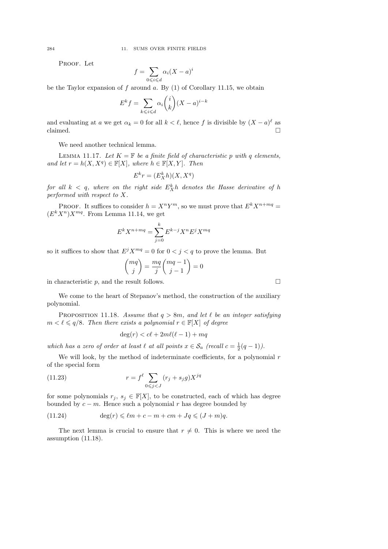PROOF. Let

$$
f = \sum_{0 \leqslant i \leqslant d} \alpha_i (X - a)^i
$$

be the Taylor expansion of  $f$  around  $a$ . By  $(1)$  of Corollary 11.15, we obtain

$$
E^k f = \sum_{k \leqslant i \leqslant d} \alpha_i \binom{i}{k} (X - a)^{i - k}
$$

and evaluating at a we get  $\alpha_k = 0$  for all  $k < \ell$ , hence f is divisible by  $(X - a)^{\ell}$  as claimed.  $\hfill \square$ 

We need another technical lemma.

LEMMA 11.17. Let  $K = \mathbb{F}$  be a finite field of characteristic p with q elements, and let  $r = h(X, X^q) \in \mathbb{F}[X]$ , where  $h \in \mathbb{F}[X, Y]$ . Then

$$
E^k r = (E^k_X h)(X, X^q)
$$

for all  $k < q$ , where on the right side  $E_{X}^{k}h$  denotes the Hasse derivative of h performed with respect to X.

PROOF. It suffices to consider  $h = X^n Y^m$ , so we must prove that  $E^k X^{n+mq} =$  $(E^{k}X^{n})X^{mq}$ . From Lemma 11.14, we get

$$
E^k X^{n+mq} = \sum_{j=0}^k E^{k-j} X^n E^j X^{mq}
$$

so it suffices to show that  $E^{j}X^{mq} = 0$  for  $0 < j < q$  to prove the lemma. But

$$
\binom{mq}{j} = \frac{mq}{j} \binom{mq-1}{j-1} = 0
$$

in characteristic  $p$ , and the result follows.

We come to the heart of Stepanov's method, the construction of the auxiliary polynomial.

PROPOSITION 11.18. Assume that  $q > 8m$ , and let  $\ell$  be an integer satisfying  $m < \ell \leqslant q/8$ . Then there exists a polynomial  $r \in \mathbb{F}[X]$  of degree

$$
\deg(r) < c\ell + 2m\ell(\ell - 1) + mq
$$

which has a zero of order at least  $\ell$  at all points  $x \in S_a$  (recall  $c = \frac{1}{2}(q-1)$ ).

We will look, by the method of indeterminate coefficients, for a polynomial  $r$ of the special form

(11.23) 
$$
r = f^{\ell} \sum_{0 \le j < J} (r_j + s_j g) X^{jq}
$$

for some polynomials  $r_j, s_j \in \mathbb{F}[X]$ , to be constructed, each of which has degree bounded by  $c - m$ . Hence such a polynomial r has degree bounded by

(11.24) 
$$
\deg(r) \leqslant \ell m + c - m + cm + Jq \leqslant (J+m)q.
$$

The next lemma is crucial to ensure that  $r \neq 0$ . This is where we need the assumption (11.18).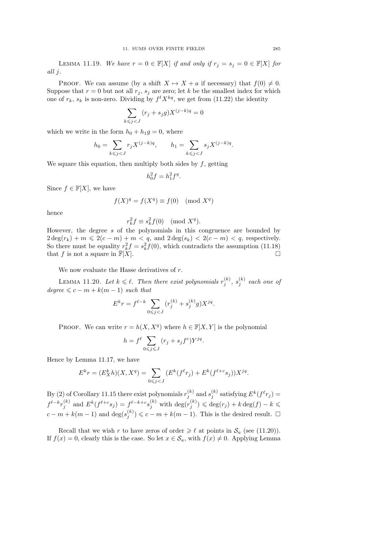LEMMA 11.19. We have  $r = 0 \in \mathbb{F}[X]$  if and only if  $r_j = s_j = 0 \in \mathbb{F}[X]$  for all j.

PROOF. We can assume (by a shift  $X \mapsto X + a$  if necessary) that  $f(0) \neq 0$ . Suppose that  $r = 0$  but not all  $r_j$ ,  $s_j$  are zero; let k be the smallest index for which one of  $r_k$ ,  $s_k$  is non-zero. Dividing by  $f^{\ell} X^{kq}$ , we get from (11.22) the identity

$$
\sum_{k\leqslant j < J} \big(r_j + s_j g\big) X^{(j-k)q} = 0
$$

which we write in the form  $h_0 + h_1 g = 0$ , where

$$
h_0=\sum_{k\leqslant j< J}r_jX^{(j-k)q},\qquad h_1=\sum_{k\leqslant j< J}s_jX^{(j-k)q}.
$$

We square this equation, then multiply both sides by  $f$ , getting

$$
h_0^2 f = h_1^2 f^q.
$$

Since  $f \in \mathbb{F}[X]$ , we have

$$
f(X)^q = f(X^q) \equiv f(0) \pmod{X^q}
$$

hence

$$
r_k^2 f \equiv s_k^2 f(0) \pmod{X^q}.
$$

However, the degree s of the polynomials in this congruence are bounded by  $2 \deg(r_k) + m \leq 2(c - m) + m < q$ , and  $2 \deg(s_k) < 2(c - m) < q$ , respectively. So there must be equality  $r_k^2 f = s_k^2 f(0)$ , which contradicts the assumption (11.18) that f is not a square in  $\overline{\mathbb{F}}[X]$ .

We now evaluate the Hasse derivatives of r.

LEMMA 11.20. Let  $k \leqslant \ell$ . Then there exist polynomials  $r_j^{(k)}$ ,  $s_j^{(k)}$  each one of  $degree \leqslant c - m + k(m - 1)$  such that

$$
E^{k}r = f^{\ell-k} \sum_{0 \leqslant j < J} (r_j^{(k)} + s_j^{(k)}g) X^{jq}.
$$

PROOF. We can write  $r = h(X, X^q)$  where  $h \in \mathbb{F}[X, Y]$  is the polynomial

$$
h = f^{\ell} \sum_{0 \leq j \leq J} (r_j + s_j f^c) Y^{jq}.
$$

Hence by Lemma 11.17, we have

$$
E^{k}r = (E_{X}^{k}h)(X, X^{q}) = \sum_{0 \leq j < J} (E^{k}(f^{\ell}r_{j}) + E^{k}(f^{\ell+c}s_{j}))X^{jq}.
$$

By (2) of Corollary 11.15 there exist polynomials  $r_j^{(k)}$  and  $s_j^{(k)}$  satisfying  $E^k(f^{\ell}r_j)$  =  $f^{\ell-k}r_j^{(k)}$  and  $E^k(f^{\ell+c}s_j) = f^{\ell-k+c}s_j^{(k)}$  with  $\deg(r_j^{(k)}) \leq \deg(r_j) + k \deg(f) - k \leq$  $c-m+k(m-1)$  and  $\deg(s_j^{(k)}) \leqslant c-m+k(m-1)$ . This is the desired result.  $\square$ 

Recall that we wish r to have zeros of order  $\geq \ell$  at points in  $\mathcal{S}_a$  (see (11.20)). If  $f(x) = 0$ , clearly this is the case. So let  $x \in S_a$ , with  $f(x) \neq 0$ . Applying Lemma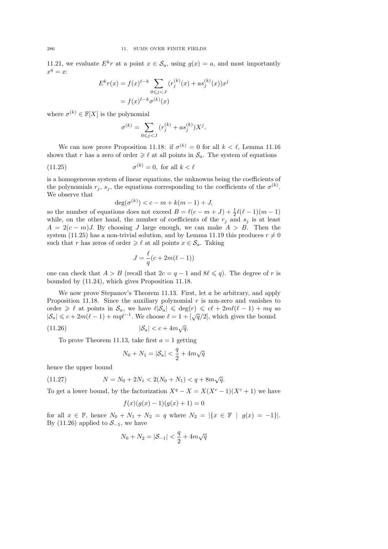11.21, we evaluate  $E^k r$  at a point  $x \in \mathcal{S}_a$ , using  $g(x) = a$ , and most importantly  $x^q = x$ :

$$
E^{k}r(x) = f(x)^{\ell-k} \sum_{0 \leq j < J} (r_j^{(k)}(x) + as_j^{(k)}(x))x^j
$$
\n
$$
= f(x)^{\ell-k} \sigma^{(k)}(x)
$$

where  $\sigma^{(k)} \in \mathbb{F}[X]$  is the polynomial

$$
\sigma^{(k)} = \sum_{0 \le j < J} \left( r_j^{(k)} + a s_j^{(k)} \right) X^j.
$$

We can now prove Proposition 11.18: if  $\sigma^{(k)} = 0$  for all  $k < \ell$ , Lemma 11.16 shows that r has a zero of order  $\geq \ell$  at all points in  $\mathcal{S}_a$ . The system of equations

(11.25) 
$$
\sigma^{(k)} = 0, \text{ for all } k < \ell
$$

is a homogeneous system of linear equations, the unknowns being the coefficients of the polynomials  $r_j$ ,  $s_j$ , the equations corresponding to the coefficients of the  $\sigma^{(k)}$ . We observe that

$$
\deg(\sigma^{(k)}) < c - m + k(m - 1) + J,
$$

so the number of equations does not exceed  $B = \ell(c - m + J) + \frac{1}{2}\ell(\ell - 1)(m - 1)$ while, on the other hand, the number of coefficients of the  $r_j$  and  $s_j$  is at least  $A = 2(c - m)J$ . By choosing J large enough, we can make  $A > B$ . Then the system (11.25) has a non-trivial solution, and by Lemma 11.19 this produces  $r \neq 0$ such that r has zeros of order  $\geq \ell$  at all points  $x \in \mathcal{S}_a$ . Taking

$$
J = \frac{\ell}{q}(c + 2m(\ell - 1))
$$

one can check that  $A > B$  (recall that  $2c = q - 1$  and  $8\ell \leq q$ ). The degree of r is bounded by (11.24), which gives Proposition 11.18.

We now prove Stepanov's Theorem 11.13. First, let a be arbitrary, and apply Proposition 11.18. Since the auxiliary polynomial  $r$  is non-zero and vanishes to order  $\geq \ell$  at points in  $\mathcal{S}_a$ , we have  $\ell|\mathcal{S}_a| \leq \deg(r) \leq c\ell + 2m\ell(\ell - 1) + mq$  so  $|\mathcal{S}_a| \leq c + 2m(\ell - 1) + mq\ell^{-1}$ . We choose  $\ell = 1 + [\sqrt{q}/2]$ , which gives the bound √

$$
(11.26) \t\t |S_a| < c + 4m\sqrt{q}.
$$

To prove Theorem 11.13, take first  $a = 1$  getting

$$
N_0 + N_1 = |\mathcal{S}_a| < \frac{q}{2} + 4m\sqrt{q}
$$

hence the upper bound

(11.27) 
$$
N = N_0 + 2N_1 < 2(N_0 + N_1) < q + 8m\sqrt{q}.
$$

To get a lower bound, by the factorization  $X^q - X = X(X^c - 1)(X^c + 1)$  we have

$$
f(x)(g(x) - 1)(g(x) + 1) = 0
$$

for all  $x \in \mathbb{F}$ , hence  $N_0 + N_1 + N_2 = q$  where  $N_2 = |\{x \in \mathbb{F} \mid g(x) = -1\}|$ . By (11.26) applied to  $S_{-1}$ , we have

$$
N_0+N_2=|\mathcal{S}_{-1}|<\frac{q}{2}+4m\sqrt{q}
$$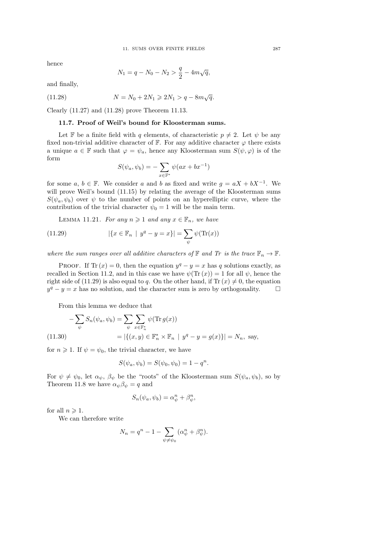hence

$$
N_1 = q - N_0 - N_2 > \frac{q}{2} - 4m\sqrt{q},
$$

and finally,

(11.28) 
$$
N = N_0 + 2N_1 \ge 2N_1 > q - 8m\sqrt{q}.
$$

Clearly (11.27) and (11.28) prove Theorem 11.13.

#### 11.7. Proof of Weil's bound for Kloosterman sums.

Let F be a finite field with q elements, of characteristic  $p \neq 2$ . Let  $\psi$  be any fixed non-trivial additive character of  $\mathbb{F}$ . For any additive character  $\varphi$  there exists a unique  $a \in \mathbb{F}$  such that  $\varphi = \psi_a$ , hence any Kloosterman sum  $S(\psi, \varphi)$  is of the form

$$
S(\psi_a, \psi_b) = -\sum_{x \in \mathbb{F}^*} \psi(ax + bx^{-1})
$$

for some  $a, b \in \mathbb{F}$ . We consider a and b as fixed and write  $g = aX + bX^{-1}$ . We will prove Weil's bound  $(11.15)$  by relating the average of the Kloosterman sums  $S(\psi_a, \psi_b)$  over  $\psi$  to the number of points on an hyperelliptic curve, where the contribution of the trivial character  $\psi_0 = 1$  will be the main term.

LEMMA 11.21. For any  $n \geq 1$  and any  $x \in \mathbb{F}_n$ , we have

(11.29) 
$$
|\{x \in \mathbb{F}_n \mid y^q - y = x\}| = \sum_{\psi} \psi(\text{Tr}(x))
$$

where the sum ranges over all additive characters of  $\mathbb F$  and  $\text{Tr}$  is the trace  $\mathbb F_n \to \mathbb F$ .

PROOF. If Tr  $(x) = 0$ , then the equation  $y<sup>q</sup> - y = x$  has q solutions exactly, as recalled in Section 11.2, and in this case we have  $\psi(\text{Tr} (x)) = 1$  for all  $\psi$ , hence the right side of (11.29) is also equal to q. On the other hand, if Tr  $(x) \neq 0$ , the equation  $y^q - y = x$  has no solution, and the character sum is zero by orthogonality.  $\square$ 

From this lemma we deduce that

$$
- \sum_{\psi} S_n(\psi_a, \psi_b) = \sum_{\psi} \sum_{x \in \mathbb{F}_n^*} \psi(\text{Tr } g(x))
$$
  
(11.30)  

$$
= |\{(x, y) \in \mathbb{F}_n^* \times \mathbb{F}_n \mid y^q - y = g(x)\}| = N_n, \text{ say,}
$$

for  $n \geq 1$ . If  $\psi = \psi_0$ , the trivial character, we have

$$
S(\psi_a, \psi_b) = S(\psi_0, \psi_0) = 1 - q^n.
$$

For  $\psi \neq \psi_0$ , let  $\alpha_{\psi}$ ,  $\beta_{\psi}$  be the "roots" of the Kloosterman sum  $S(\psi_a, \psi_b)$ , so by Theorem 11.8 we have  $\alpha_{\psi}\beta_{\psi} = q$  and

$$
S_n(\psi_a, \psi_b) = \alpha_{\psi}^n + \beta_{\psi}^n,
$$

for all  $n \geqslant 1$ .

We can therefore write

$$
N_n = q^n - 1 - \sum_{\psi \neq \psi_0} (\alpha^n_{\psi} + \beta^n_{\psi}).
$$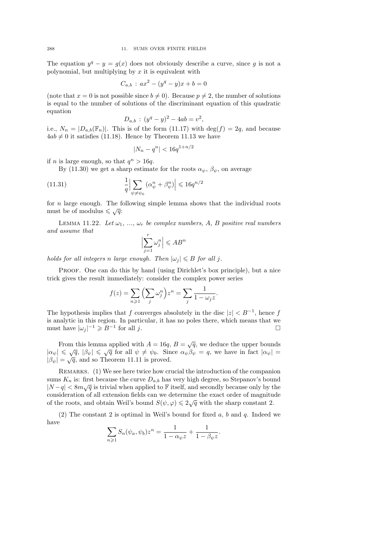The equation  $y^q - y = g(x)$  does not obviously describe a curve, since g is not a polynomial, but multiplying by  $x$  it is equivalent with

$$
C_{a,b}: ax^2 - (y^q - y)x + b = 0
$$

(note that  $x = 0$  is not possible since  $b \neq 0$ ). Because  $p \neq 2$ , the number of solutions is equal to the number of solutions of the discriminant equation of this quadratic equation

$$
D_{a,b} : (y^q - y)^2 - 4ab = v^2,
$$

i.e.,  $N_n = |D_{a,b}(\mathbb{F}_n)|$ . This is of the form (11.17) with  $\deg(f) = 2q$ , and because  $4ab \neq 0$  it satisfies (11.18). Hence by Theorem 11.13 we have

$$
|N_n-q^n|<16q^{1+n/2}
$$

if *n* is large enough, so that  $q^n > 16q$ .

By (11.30) we get a sharp estimate for the roots  $\alpha_{\psi}$ ,  $\beta_{\psi}$ , on average

(11.31) 
$$
\frac{1}{q} \Big| \sum_{\psi \neq \psi_0} \left( \alpha_{\psi}^n + \beta_{\psi}^n \right) \Big| \leqslant 16 q^{n/2}
$$

for  $n$  large enough. The following simple lemma shows that the individual roots must be of modulus  $\leq \sqrt{q}$ :

LEMMA 11.22. Let  $\omega_1, \ldots, \omega_r$  be complex numbers, A, B positive real numbers and assume that

$$
\Bigl|\sum_{j=1}^r\omega_j^n\Bigr|\leqslant AB^n
$$

holds for all integers n large enough. Then  $|\omega_i| \leq B$  for all j.

Proof. One can do this by hand (using Dirichlet's box principle), but a nice trick gives the result immediately: consider the complex power series

$$
f(z) = \sum_{n \geq 1} \left( \sum_{j} \omega_j^n \right) z^n = \sum_{j} \frac{1}{1 - \omega_j z}.
$$

The hypothesis implies that f converges absolutely in the disc  $|z| < B^{-1}$ , hence f is analytic in this region. In particular, it has no poles there, which means that we must have  $|\omega_j|^{-1} \geqslant B^{-1}$ for all  $j$ .

From this lemma applied with  $A = 16q$ ,  $B = \sqrt{q}$ , we deduce the upper bounds From this lemma applied with  $A = 10q$ ,  $B = \sqrt{q}$ , we deduce the upper bounds  $|\alpha_{\psi}| \le \sqrt{q}$ ,  $|\beta_{\psi}| \le \sqrt{q}$  for all  $\psi \ne \psi_0$ . Since  $\alpha_{\psi} \beta_{\psi} = q$ , we have in fact  $|\alpha_{\psi}| =$  $|\beta_{\psi}| \leq \sqrt{q}$ ,  $|\beta_{\psi}| \leq \sqrt{q}$  for an  $\psi \neq \psi_0$ . Sim<br> $|\beta_{\psi}| = \sqrt{q}$ , and so Theorem 11.11 is proved.

REMARKS. (1) We see here twice how crucial the introduction of the companion sums  $K_n$  is: first because the curve  $D_{a,b}$  has very high degree, so Stepanov's bound  $|N-q| < 8m\sqrt{q}$  is trivial when applied to F itself, and secondly because only by the consideration of all extension fields can we determine the exact order of magnitude of the roots, and obtain Weil's bound  $S(\psi, \varphi) \leq 2\sqrt{q}$  with the sharp constant 2.

(2) The constant 2 is optimal in Weil's bound for fixed  $a, b$  and  $q$ . Indeed we have

$$
\sum_{n\geq 1} S_n(\psi_a, \psi_b) z^n = \frac{1}{1 - \alpha_{\psi} z} + \frac{1}{1 - \beta_{\psi} z}.
$$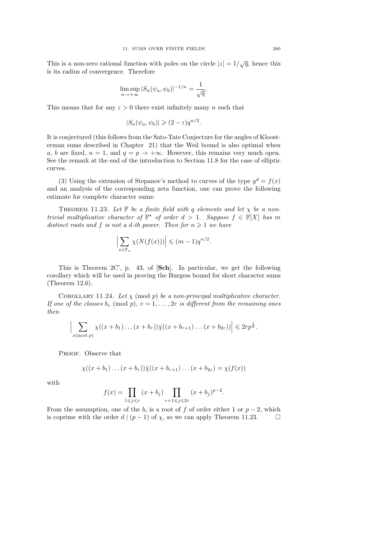This is a non-zero rational function with poles on the circle  $|z|=1/\sqrt{q}$ , hence this is its radius of convergence. Therefore

$$
\limsup_{n \to +\infty} |S_n(\psi_a, \psi_b)|^{-1/n} = \frac{1}{\sqrt{q}}.
$$

This means that for any  $\varepsilon > 0$  there exist infinitely many n such that

$$
|S_n(\psi_a, \psi_b)| \geq (2 - \varepsilon) q^{n/2}.
$$

It is conjectured (this follows from the Sato-Tate Conjecture for the angles of Kloosterman sums described in Chapter 21) that the Weil bound is also optimal when a, b are fixed,  $n = 1$ , and  $q = p \rightarrow +\infty$ . However, this remains very much open. See the remark at the end of the introduction to Section 11.8 for the case of elliptic curves.

(3) Using the extension of Stepanov's method to curves of the type  $y^d = f(x)$ and an analysis of the corresponding zeta function, one can prove the following estimate for complete character sums:

THEOREM 11.23. Let  $\mathbb F$  be a finite field with q elements and let  $\chi$  be a nontrivial multiplicative character of  $\mathbb{F}^*$  of order  $d > 1$ . Suppose  $f \in \mathbb{F}[X]$  has m distinct roots and f is not a d-th power. Then for  $n \geq 1$  we have

$$
\left|\sum_{x\in\mathbb{F}_n}\chi(N(f(x)))\right|\leqslant(m-1)q^{n/2}.
$$

This is Theorem 2C', p. 43, of [Sch]. In particular, we get the following corollary which will be used in proving the Burgess bound for short character sums (Theorem 12.6).

COROLLARY 11.24. Let  $\chi$  (mod p) be a non-principal multiplicative character. If one of the classes  $b_v \pmod{p}$ ,  $v = 1, \ldots, 2r$  is different from the remaining ones then

$$
\Big|\sum_{x \pmod{p}} \chi((x+b_1)\dots(x+b_r))\overline{\chi}((x+b_{r+1})\dots(x+b_{2r}))\Big| \leqslant 2rp^{\frac{1}{2}}.
$$

PROOF. Observe that

$$
\chi((x+b_1)\dots(x+b_r))\bar{\chi}((x+b_{r+1})\dots(x+b_{2r})=\chi(f(x))
$$

with

$$
f(x) = \prod_{1 \leq j \leq r} (x + b_j) \prod_{r+1 \leq j \leq 2r} (x + b_j)^{p-2}.
$$

From the assumption, one of the  $b_i$  is a root of f of order either 1 or  $p-2$ , which is coprime with the order d  $|(p-1)$  of  $\chi$ , so we can apply Theorem 11.23.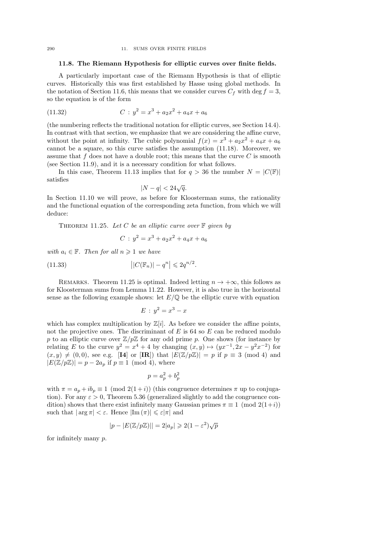#### 11.8. The Riemann Hypothesis for elliptic curves over finite fields.

A particularly important case of the Riemann Hypothesis is that of elliptic curves. Historically this was first established by Hasse using global methods. In the notation of Section 11.6, this means that we consider curves  $C_f$  with deg  $f = 3$ , so the equation is of the form

(11.32) 
$$
C: y^2 = x^3 + a_2x^2 + a_4x + a_6
$$

(the numbering reflects the traditional notation for elliptic curves, see Section 14.4). In contrast with that section, we emphasize that we are considering the affine curve, without the point at infinity. The cubic polynomial  $f(x) = x^3 + a_2x^2 + a_4x + a_6$ cannot be a square, so this curve satisfies the assumption (11.18). Moreover, we assume that f does not have a double root; this means that the curve  $C$  is smooth (see Section 11.9), and it is a necessary condition for what follows.

In this case, Theorem 11.13 implies that for  $q > 36$  the number  $N = |C(\mathbb{F})|$ satisfies

$$
|N - q| < 24\sqrt{q}.
$$

In Section 11.10 we will prove, as before for Kloosterman sums, the rationality and the functional equation of the corresponding zeta function, from which we will deduce:

THEOREM 11.25. Let C be an elliptic curve over  $\mathbb F$  given by

$$
C: y^2 = x^3 + a_2x^2 + a_4x + a_6
$$

with  $a_i \in \mathbb{F}$ . Then for all  $n \geq 1$  we have

(11.33) 
$$
\left| |C(\mathbb{F}_n)| - q^n \right| \leq 2q^{n/2}.
$$

REMARKS. Theorem 11.25 is optimal. Indeed letting  $n \to +\infty$ , this follows as for Kloosterman sums from Lemma 11.22. However, it is also true in the horizontal sense as the following example shows: let  $E/\mathbb{Q}$  be the elliptic curve with equation

$$
E: y^2 = x^3 - x
$$

which has complex multiplication by  $\mathbb{Z}[i]$ . As before we consider the affine points, not the projective ones. The discriminant of  $E$  is 64 so  $E$  can be reduced modulo p to an elliptic curve over  $\mathbb{Z}/p\mathbb{Z}$  for any odd prime p. One shows (for instance by relating E to the curve  $y^2 = x^4 + 4$  by changing  $(x, y) \mapsto (yx^{-1}, 2x - y^2x^{-2})$  for  $(x, y) \neq (0, 0)$ , see e.g. [I4] or [IR]) that  $|E(\mathbb{Z}/p\mathbb{Z})| = p$  if  $p \equiv 3 \pmod{4}$  and  $|E(\mathbb{Z}/p\mathbb{Z})| = p - 2a_p$  if  $p \equiv 1 \pmod{4}$ , where

$$
p = a_p^2 + b_p^2
$$

with  $\pi = a_n + ib_n \equiv 1 \pmod{2(1+i)}$  (this congruence determines  $\pi$  up to conjugation). For any  $\varepsilon > 0$ , Theorem 5.36 (generalized slightly to add the congruence condition) shows that there exist infinitely many Gaussian primes  $\pi \equiv 1 \pmod{2(1+i)}$ such that  $|\arg \pi| < \varepsilon$ . Hence  $|\text{Im}(\pi)| \leq \varepsilon |\pi|$  and

$$
|p - |E(\mathbb{Z}/p\mathbb{Z})|| = 2|a_p| \geqslant 2(1 - \varepsilon^2)\sqrt{p}
$$

for infinitely many p.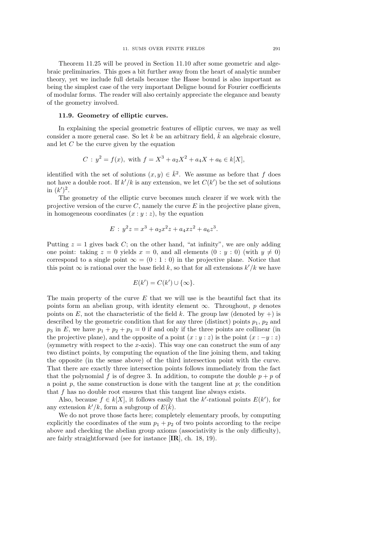Theorem 11.25 will be proved in Section 11.10 after some geometric and algebraic preliminaries. This goes a bit further away from the heart of analytic number theory, yet we include full details because the Hasse bound is also important as being the simplest case of the very important Deligne bound for Fourier coefficients of modular forms. The reader will also certainly appreciate the elegance and beauty of the geometry involved.

#### 11.9. Geometry of elliptic curves.

In explaining the special geometric features of elliptic curves, we may as well consider a more general case. So let k be an arbitrary field,  $\bar{k}$  an algebraic closure, and let C be the curve given by the equation

$$
C: y^2 = f(x), \text{ with } f = X^3 + a_2 X^2 + a_4 X + a_6 \in k[X],
$$

identified with the set of solutions  $(x, y) \in \bar{k}^2$ . We assume as before that f does not have a double root. If  $k'/k$  is any extension, we let  $C(k')$  be the set of solutions in  $(k')^2$ .

The geometry of the elliptic curve becomes much clearer if we work with the projective version of the curve  $C$ , namely the curve  $E$  in the projective plane given, in homogeneous coordinates  $(x : y : z)$ , by the equation

$$
E: y^2 z = x^3 + a_2 x^2 z + a_4 x z^2 + a_6 z^3.
$$

Putting  $z = 1$  gives back C; on the other hand, "at infinity", we are only adding one point: taking  $z = 0$  yields  $x = 0$ , and all elements  $(0 : y : 0)$  (with  $y \neq 0$ ) correspond to a single point  $\infty = (0 : 1 : 0)$  in the projective plane. Notice that this point  $\infty$  is rational over the base field k, so that for all extensions  $k'/k$  we have

$$
E(k') = C(k') \cup \{\infty\}.
$$

The main property of the curve  $E$  that we will use is the beautiful fact that its points form an abelian group, with identity element  $\infty$ . Throughout, p denotes points on E, not the characteristic of the field k. The group law (denoted by  $+)$  is described by the geometric condition that for any three (distinct) points  $p_1, p_2$  and  $p_3$  in E, we have  $p_1 + p_2 + p_3 = 0$  if and only if the three points are collinear (in the projective plane), and the opposite of a point  $(x : y : z)$  is the point  $(x : -y : z)$ (symmetry with respect to the  $x$ -axis). This way one can construct the sum of any two distinct points, by computing the equation of the line joining them, and taking the opposite (in the sense above) of the third intersection point with the curve. That there are exactly three intersection points follows immediately from the fact that the polynomial f is of degree 3. In addition, to compute the double  $p + p$  of a point  $p$ , the same construction is done with the tangent line at  $p$ ; the condition that f has no double root ensures that this tangent line always exists.

Also, because  $f \in k[X]$ , it follows easily that the k'-rational points  $E(k')$ , for any extension  $k'/k$ , form a subgroup of  $E(\tilde{k})$ .

We do not prove those facts here; completely elementary proofs, by computing explicitly the coordinates of the sum  $p_1 + p_2$  of two points according to the recipe above and checking the abelian group axioms (associativity is the only difficulty), are fairly straightforward (see for instance [IR], ch. 18, 19).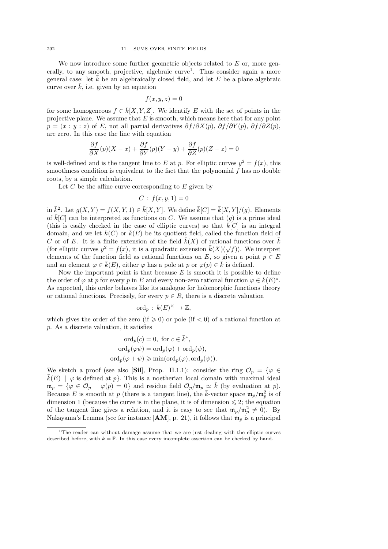We now introduce some further geometric objects related to  $E$  or, more generally, to any smooth, projective, algebraic curve<sup>1</sup>. Thus consider again a more general case: let  $\bar{k}$  be an algebraically closed field, and let E be a plane algebraic curve over  $\bar{k}$ , i.e. given by an equation

$$
f(x, y, z) = 0
$$

for some homogeneous  $f \in \overline{k}[X, Y, Z]$ . We identify E with the set of points in the projective plane. We assume that  $E$  is smooth, which means here that for any point  $p = (x : y : z)$  of E, not all partial derivatives  $\partial f / \partial X(p)$ ,  $\partial f / \partial Y(p)$ ,  $\partial f / \partial Z(p)$ , are zero. In this case the line with equation

$$
\frac{\partial f}{\partial X}(p)(X-x) + \frac{\partial f}{\partial Y}(p)(Y-y) + \frac{\partial f}{\partial Z}(p)(Z-z) = 0
$$

is well-defined and is the tangent line to E at p. For elliptic curves  $y^2 = f(x)$ , this smoothness condition is equivalent to the fact that the polynomial  $f$  has no double roots, by a simple calculation.

Let  $C$  be the affine curve corresponding to  $E$  given by

$$
C: f(x, y, 1) = 0
$$

in  $\bar{k}^2$ . Let  $g(X,Y) = f(X,Y,1) \in \bar{k}[X,Y]$ . We define  $\bar{k}[C] = \bar{k}[X,Y]/(g)$ . Elements of  $\overline{k}[C]$  can be interpreted as functions on C. We assume that  $(q)$  is a prime ideal (this is easily checked in the case of elliptic curves) so that  $\overline{k}[C]$  is an integral domain, and we let  $\bar{k}(C)$  or  $\bar{k}(E)$  be its quotient field, called the function field of C or of E. It is a finite extension of the field  $\overline{k}(X)$  of rational functions over  $\overline{k}$ C or of E. It is a finite extension of the held  $\kappa(X)$  of rational functions over  $\kappa$  (for elliptic curves  $y^2 = f(x)$ , it is a quadratic extension  $\bar{k}(X)(\sqrt{f})$ ). We interpret elements of the function field as rational functions on E, so given a point  $p \in E$ and an element  $\varphi \in \overline{k}(E)$ , either  $\varphi$  has a pole at p or  $\varphi(p) \in \overline{k}$  is defined.

Now the important point is that because  $E$  is smooth it is possible to define the order of  $\varphi$  at p for every p in E and every non-zero rational function  $\varphi \in \bar{k}(E)^*$ . As expected, this order behaves like its analogue for holomorphic functions theory or rational functions. Precisely, for every  $p \in R$ , there is a discrete valuation

$$
\text{ord}_p \, : \, \bar{k}(E)^\times \to \mathbb{Z},
$$

which gives the order of the zero (if  $\geq 0$ ) or pole (if  $\lt 0$ ) of a rational function at p. As a discrete valuation, it satisfies

$$
\text{ord}_p(c) = 0, \text{ for } c \in \bar{k}^*,
$$

$$
\text{ord}_p(\varphi \psi) = \text{ord}_p(\varphi) + \text{ord}_p(\psi),
$$

$$
\text{ord}_p(\varphi + \psi) \ge \min(\text{ord}_p(\varphi), \text{ord}_p(\psi)).
$$

We sketch a proof (see also [Sil], Prop. II.1.1): consider the ring  $\mathcal{O}_p = \{ \varphi \in$  $\overline{k}(E)$  |  $\varphi$  is defined at p. This is a noetherian local domain with maximal ideal  $\mathfrak{m}_p = \{ \varphi \in \mathcal{O}_p \mid \varphi(p) = 0 \}$  and residue field  $\mathcal{O}_p / \mathfrak{m}_p \simeq \bar{k}$  (by evaluation at p). Because E is smooth at p (there is a tangent line), the  $\bar{k}$ -vector space  $\mathfrak{m}_p/\mathfrak{m}_p^2$  is of dimension 1 (because the curve is in the plane, it is of dimension  $\leq 2$ ; the equation of the tangent line gives a relation, and it is easy to see that  $m_p/m_p^2 \neq 0$ . By Nakayama's Lemma (see for instance  $[AM]$ , p. 21), it follows that  $\mathfrak{m}_n$  is a principal

<sup>1</sup>The reader can without damage assume that we are just dealing with the elliptic curves described before, with  $k = \overline{\mathbb{F}}$ . In this case every incomplete assertion can be checked by hand.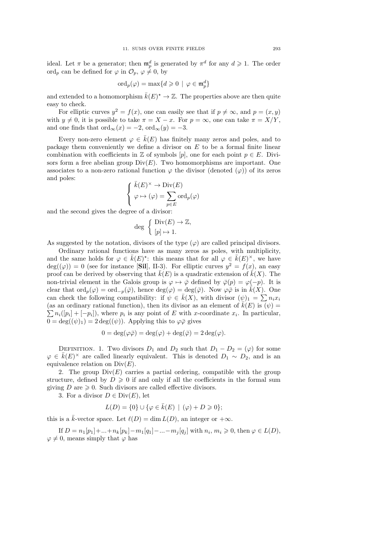ideal. Let  $\pi$  be a generator; then  $\mathfrak{m}_p^d$  is generated by  $\pi^d$  for any  $d \geq 1$ . The order ord<sub>p</sub> can be defined for  $\varphi$  in  $\mathcal{O}_p$ ,  $\varphi \neq 0$ , by

$$
\mathrm{ord}_p(\varphi)=\max\{d\geqslant 0\,\mid\,\varphi\in\mathfrak{m}_p^d\}
$$

and extended to a homomorphism  $\bar{k}(E)^* \to \mathbb{Z}$ . The properties above are then quite easy to check.

For elliptic curves  $y^2 = f(x)$ , one can easily see that if  $p \neq \infty$ , and  $p = (x, y)$ with  $y \neq 0$ , it is possible to take  $\pi = X - x$ . For  $p = \infty$ , one can take  $\pi = X/Y$ , and one finds that  $\text{ord}_{\infty}(x) = -2$ ,  $\text{ord}_{\infty}(y) = -3$ .

Every non-zero element  $\varphi \in \bar{k}(E)$  has finitely many zeros and poles, and to package them conveniently we define a divisor on E to be a formal finite linear combination with coefficients in Z of symbols  $[p]$ , one for each point  $p \in E$ . Divisors form a free abelian group  $Div(E)$ . Two homomorphisms are important. One associates to a non-zero rational function  $\varphi$  the divisor (denoted  $(\varphi)$ ) of its zeros and poles:

$$
\begin{cases} \bar{k}(E)^{\times} \to \text{Div}(E) \\ \varphi \mapsto (\varphi) = \sum_{p \in E} \text{ord}_p(\varphi) \end{cases}
$$

and the second gives the degree of a divisor:

$$
\deg\ \left\{\begin{array}{l} {\rm Div}(E)\to{\mathbb Z},\\[0.1em] [p]\mapsto 1.\end{array}\right.
$$

As suggested by the notation, divisors of the type  $(\varphi)$  are called principal divisors.

Ordinary rational functions have as many zeros as poles, with multiplicity, and the same holds for  $\varphi \in \bar{k}(E)^*$ : this means that for all  $\varphi \in \bar{k}(E)^*$ , we have  $deg((\varphi)) = 0$  (see for instance [Sil], II-3). For elliptic curves  $y^2 = f(x)$ , an easy proof can be derived by observing that  $\bar{k}(E)$  is a quadratic extension of  $\bar{k}(X)$ . The non-trivial element in the Galois group is  $\varphi \mapsto \overline{\varphi}$  defined by  $\overline{\varphi}(p) = \varphi(-p)$ . It is clear that  $\text{ord}_p(\varphi) = \text{ord}_{-p}(\bar{\varphi})$ , hence  $\text{deg}(\varphi) = \text{deg}(\bar{\varphi})$ . Now  $\varphi \bar{\varphi}$  is in  $\bar{k}(X)$ . One can check the following compatibility: if  $\psi \in \bar{k}(X)$ , with divisor  $(\psi)_1 = \sum n_i x_i$ (as an ordinary rational function), then its divisor as an element of  $\overline{k}(E)$  is  $(\psi)$  =  $\sum n_i([p_i]+[-p_i]),$  where  $p_i$  is any point of E with x-coordinate  $x_i$ . In particular,  $0 = \deg((\psi)_1) = 2 \deg((\psi))$ . Applying this to  $\varphi \bar{\varphi}$  gives

$$
0 = \deg(\varphi \overline{\varphi}) = \deg(\varphi) + \deg(\overline{\varphi}) = 2 \deg(\varphi).
$$

DEFINITION. 1. Two divisors  $D_1$  and  $D_2$  such that  $D_1 - D_2 = (\varphi)$  for some  $\varphi \in \bar{k}(E)^{\times}$  are called linearly equivalent. This is denoted  $D_1 \sim D_2$ , and is an equivalence relation on  $Div(E)$ .

2. The group  $Div(E)$  carries a partial ordering, compatible with the group structure, defined by  $D \geq 0$  if and only if all the coefficients in the formal sum giving  $D$  are  $\geq 0$ . Such divisors are called effective divisors.

3. For a divisor  $D \in Div(E)$ , let

$$
L(D) = \{0\} \cup \{ \varphi \in \bar{k}(E) \mid (\varphi) + D \geq 0 \};
$$

this is a  $\bar{k}$ -vector space. Let  $\ell(D) = \dim L(D)$ , an integer or  $+\infty$ .

If  $D = n_1[p_1] + ... + n_k[p_k] - m_1[q_1] - ... - m_j[q_j]$  with  $n_i, m_i \ge 0$ , then  $\varphi \in L(D)$ ,  $\varphi \neq 0$ , means simply that  $\varphi$  has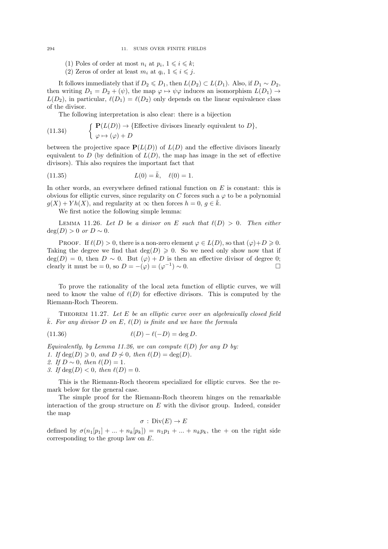- (1) Poles of order at most  $n_i$  at  $p_i$ ,  $1 \leq i \leq k$ ;
- (2) Zeros of order at least  $m_i$  at  $q_i$ ,  $1 \leq i \leq j$ .

It follows immediately that if  $D_2 \le D_1$ , then  $L(D_2) \subset L(D_1)$ . Also, if  $D_1 \sim D_2$ , then writing  $D_1 = D_2 + (\psi)$ , the map  $\varphi \mapsto \psi \varphi$  induces an isomorphism  $L(D_1) \rightarrow$  $L(D_2)$ , in particular,  $\ell(D_1) = \ell(D_2)$  only depends on the linear equivalence class of the divisor.

The following interpretation is also clear: there is a bijection

(11.34) 
$$
\begin{cases} \mathbf{P}(L(D)) \to \{\text{Effective divisors linearly equivalent to } D \}, \\ \varphi \mapsto (\varphi) + D \end{cases}
$$

between the projective space  $P(L(D))$  of  $L(D)$  and the effective divisors linearly equivalent to D (by definition of  $L(D)$ , the map has image in the set of effective divisors). This also requires the important fact that

(11.35) 
$$
L(0) = \bar{k}, \quad \ell(0) = 1.
$$

In other words, an everywhere defined rational function on  $E$  is constant: this is obvious for elliptic curves, since regularity on C forces such a  $\varphi$  to be a polynomial  $q(X) + Y h(X)$ , and regularity at  $\infty$  then forces  $h = 0, q \in \overline{k}$ .

We first notice the following simple lemma:

LEMMA 11.26. Let D be a divisor on E such that  $\ell(D) > 0$ . Then either  $deg(D) > 0$  or  $D \sim 0$ .

PROOF. If  $\ell(D) > 0$ , there is a non-zero element  $\varphi \in L(D)$ , so that  $(\varphi) + D \geq 0$ . Taking the degree we find that  $deg(D) \geq 0$ . So we need only show now that if  $deg(D) = 0$ , then  $D \sim 0$ . But  $(\varphi) + D$  is then an effective divisor of degree 0; clearly it must be = 0, so  $D = -(\varphi) = (\varphi^{-1}) \sim 0$ .

To prove the rationality of the local zeta function of elliptic curves, we will need to know the value of  $\ell(D)$  for effective divisors. This is computed by the Riemann-Roch Theorem.

Theorem 11.27. Let E be an elliptic curve over an algebraically closed field  $\overline{k}$ . For any divisor D on E,  $\ell(D)$  is finite and we have the formula

$$
(11.36) \qquad \ell(D) - \ell(-D) = \deg D.
$$

Equivalently, by Lemma 11.26, we can compute  $\ell(D)$  for any D by:

1. If  $deg(D) \geq 0$ , and  $D \neq 0$ , then  $\ell(D) = deg(D)$ .

2. If  $D \sim 0$ , then  $\ell(D) = 1$ .

3. If  $deg(D) < 0$ , then  $\ell(D) = 0$ .

This is the Riemann-Roch theorem specialized for elliptic curves. See the remark below for the general case.

The simple proof for the Riemann-Roch theorem hinges on the remarkable interaction of the group structure on  $E$  with the divisor group. Indeed, consider the map

$$
\sigma : \text{Div}(E) \to E
$$

defined by  $\sigma(n_1[p_1] + ... + n_k[p_k]) = n_1p_1 + ... + n_kp_k$ , the + on the right side corresponding to the group law on E.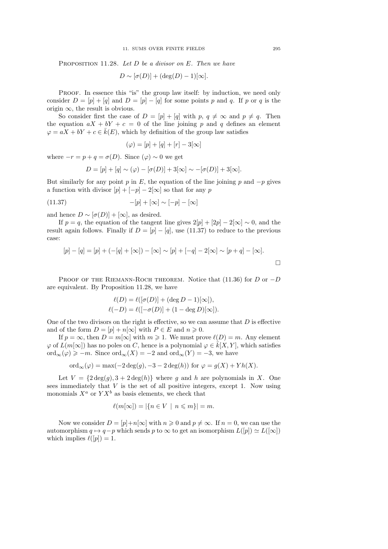PROPOSITION 11.28. Let  $D$  be a divisor on  $E$ . Then we have

$$
D \sim [\sigma(D)] + (\deg(D) - 1)[\infty].
$$

PROOF. In essence this "is" the group law itself: by induction, we need only consider  $D = [p] + [q]$  and  $D = [p] - [q]$  for some points p and q. If p or q is the origin  $\infty$ , the result is obvious.

So consider first the case of  $D = [p] + [q]$  with  $p, q \neq \infty$  and  $p \neq q$ . Then the equation  $aX + bY + c = 0$  of the line joining p and q defines an element  $\varphi = aX + bY + c \in \overline{k}(E)$ , which by definition of the group law satisfies

$$
(\varphi) = [p] + [q] + [r] - 3[\infty]
$$

where  $-r = p + q = \sigma(D)$ . Since  $(\varphi) \sim 0$  we get

$$
D = [p] + [q] \sim (\varphi) - [\sigma(D)] + 3[\infty] \sim -[\sigma(D)] + 3[\infty].
$$

But similarly for any point p in E, the equation of the line joining p and  $-p$  gives a function with divisor  $[p] + [-p] - 2[\infty]$  so that for any p

$$
(11.37) \qquad -[p] + [\infty] \sim [-p] - [\infty]
$$

and hence  $D \sim [\sigma(D)] + [\infty]$ , as desired.

If  $p = q$ , the equation of the tangent line gives  $2[p] + [2p] - 2[\infty] \sim 0$ , and the result again follows. Finally if  $D = [p] - [q]$ , use (11.37) to reduce to the previous case:

$$
[p] - [q] = [p] + (-[q] + [\infty]) - [\infty] \sim [p] + [-q] - 2[\infty] \sim [p+q] - [\infty].
$$

PROOF OF THE RIEMANN-ROCH THEOREM. Notice that (11.36) for D or  $-D$ are equivalent. By Proposition 11.28, we have

$$
\ell(D) = \ell([\sigma(D)] + (\deg D - 1)[\infty]),
$$
  

$$
\ell(-D) = \ell([-\sigma(D)] + (1 - \deg D)[\infty]).
$$

One of the two divisors on the right is effective, so we can assume that  $D$  is effective and of the form  $D = [p] + n[\infty]$  with  $P \in E$  and  $n \geq 0$ .

If  $p = \infty$ , then  $D = m[\infty]$  with  $m \ge 1$ . We must prove  $\ell(D) = m$ . Any element  $\varphi$  of  $L(m[\infty])$  has no poles on C, hence is a polynomial  $\varphi \in \overline{k}[X, Y]$ , which satisfies  $\text{ord}_{\infty}(\varphi) \geqslant -m$ . Since  $\text{ord}_{\infty}(X) = -2$  and  $\text{ord}_{\infty}(Y) = -3$ , we have

$$
\text{ord}_{\infty}(\varphi) = \max(-2 \deg(g), -3 - 2 \deg(h)) \text{ for } \varphi = g(X) + Yh(X).
$$

Let  $V = \{2 \deg(g), 3 + 2 \deg(h)\}\$  where g and h are polynomials in X. One sees immediately that  $V$  is the set of all positive integers, except 1. Now using monomials  $X^a$  or  $Y X^b$  as basis elements, we check that

$$
\ell(m[\infty]) = |\{n \in V \mid n \leqslant m\}| = m.
$$

Now we consider  $D = [p]+n[\infty]$  with  $n \geq 0$  and  $p \neq \infty$ . If  $n = 0$ , we can use the automorphism  $q \mapsto q-p$  which sends p to  $\infty$  to get an isomorphism  $L([p]) \simeq L([\infty])$ which implies  $\ell([p]) = 1$ .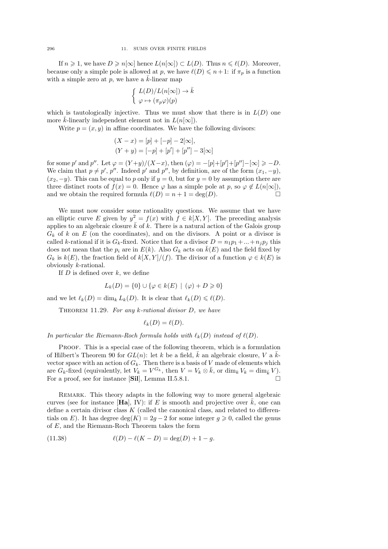If  $n \geq 1$ , we have  $D \geq n[\infty]$  hence  $L(n[\infty]) \subset L(D)$ . Thus  $n \leq \ell(D)$ . Moreover, because only a simple pole is allowed at p, we have  $\ell(D) \leq n+1$ : if  $\pi_p$  is a function with a simple zero at  $p$ , we have a  $k$ -linear map

$$
\left\{ \begin{array}{l} L(D)/L(n[\infty]) \to \bar{k} \\ \varphi \mapsto (\pi_p \varphi)(p) \end{array} \right.
$$

which is tautologically injective. Thus we must show that there is in  $L(D)$  one more  $\bar{k}$ -linearly independent element not in  $L(n[\infty])$ .

Write  $p = (x, y)$  in affine coordinates. We have the following divisors:

$$
(X - x) = [p] + [-p] - 2[\infty],
$$
  
\n
$$
(Y + y) = [-p] + [p'] + [p''] - 3[\infty]
$$

for some p' and p''. Let  $\varphi = (Y+y)/(X-x)$ , then  $(\varphi) = -[p]+[p']+[p'']-[ \infty ] \ge -D$ . We claim that  $p \neq p'$ ,  $p''$ . Indeed p' and p'', by definition, are of the form  $(x_1, -y)$ ,  $(x_2, -y)$ . This can be equal to p only if  $y = 0$ , but for  $y = 0$  by assumption there are three distinct roots of  $f(x) = 0$ . Hence  $\varphi$  has a simple pole at p, so  $\varphi \notin L(n[\infty]),$ and we obtain the required formula  $\ell(D) = n + 1 = \deg(D)$ .

We must now consider some rationality questions. We assume that we have an elliptic curve E given by  $y^2 = f(x)$  with  $f \in k[X, Y]$ . The preceding analysis applies to an algebraic closure  $\bar{k}$  of k. There is a natural action of the Galois group  $G_k$  of k on E (on the coordinates), and on the divisors. A point or a divisor is called k-rational if it is  $G_k$ -fixed. Notice that for a divisor  $D = n_1p_1 + ... + n_ip_j$  this does not mean that the  $p_i$  are in  $E(k)$ . Also  $G_k$  acts on  $k(E)$  and the field fixed by  $G_k$  is  $k(E)$ , the fraction field of  $k[X, Y]/(f)$ . The divisor of a function  $\varphi \in k(E)$  is obviously k-rational.

If  $D$  is defined over  $k$ , we define

$$
L_k(D) = \{0\} \cup \{\varphi \in k(E) \mid (\varphi) + D \geq 0\}
$$

and we let  $\ell_k(D) = \dim_k L_k(D)$ . It is clear that  $\ell_k(D) \leq \ell(D)$ .

THEOREM 11.29. For any  $k$ -rational divisor  $D$ , we have

$$
\ell_k(D)=\ell(D).
$$

In particular the Riemann-Roch formula holds with  $\ell_k(D)$  instead of  $\ell(D)$ .

Proof. This is a special case of the following theorem, which is a formulation of Hilbert's Theorem 90 for  $GL(n)$ : let k be a field,  $\overline{k}$  an algebraic closure, V a  $\overline{k}$ vector space with an action of  $G_k$ . Then there is a basis of V made of elements which are  $G_k$ -fixed (equivalently, let  $V_k = V^{G_k}$ , then  $V = V_k \otimes \bar{k}$ , or  $\dim_k V_k = \dim_{\bar{k}} V$ ). For a proof, see for instance  $[\textbf{Sil}]$ , Lemma II.5.8.1.

Remark. This theory adapts in the following way to more general algebraic curves (see for instance [Ha], IV): if E is smooth and projective over  $\bar{k}$ , one can define a certain divisor class  $K$  (called the canonical class, and related to differentials on E). It has degree deg(K) = 2g – 2 for some integer  $g \ge 0$ , called the genus of E, and the Riemann-Roch Theorem takes the form

(11.38) 
$$
\ell(D) - \ell(K - D) = \deg(D) + 1 - g.
$$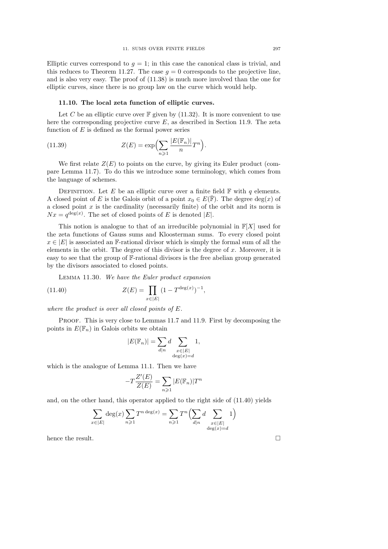Elliptic curves correspond to  $q = 1$ ; in this case the canonical class is trivial, and this reduces to Theorem 11.27. The case  $q = 0$  corresponds to the projective line, and is also very easy. The proof of (11.38) is much more involved than the one for elliptic curves, since there is no group law on the curve which would help.

#### 11.10. The local zeta function of elliptic curves.

Let C be an elliptic curve over  $\mathbb F$  given by (11.32). It is more convenient to use here the corresponding projective curve  $E$ , as described in Section 11.9. The zeta function of  $E$  is defined as the formal power series

(11.39) 
$$
Z(E) = \exp\left(\sum_{n\geqslant 1} \frac{|E(\mathbb{F}_n)|}{n} T^n\right).
$$

We first relate  $Z(E)$  to points on the curve, by giving its Euler product (compare Lemma 11.7). To do this we introduce some terminology, which comes from the language of schemes.

DEFINITION. Let E be an elliptic curve over a finite field  $\mathbb F$  with q elements. A closed point of E is the Galois orbit of a point  $x_0 \in E(\overline{\mathbb{F}})$ . The degree  $deg(x)$  of a closed point  $x$  is the cardinality (necessarily finite) of the orbit and its norm is  $Nx = q^{\deg(x)}$ . The set of closed points of E is denoted |E|.

This notion is analogue to that of an irreducible polynomial in  $\mathbb{F}[X]$  used for the zeta functions of Gauss sums and Kloosterman sums. To every closed point  $x \in |E|$  is associated an F-rational divisor which is simply the formal sum of all the elements in the orbit. The degree of this divisor is the degree of  $x$ . Moreover, it is easy to see that the group of F-rational divisors is the free abelian group generated by the divisors associated to closed points.

Lemma 11.30. We have the Euler product expansion

(11.40) 
$$
Z(E) = \prod_{x \in |E|} (1 - T^{\deg(x)})^{-1},
$$

where the product is over all closed points of E.

PROOF. This is very close to Lemmas 11.7 and 11.9. First by decomposing the points in  $E(\mathbb{F}_n)$  in Galois orbits we obtain

$$
|E(\mathbb{F}_n)| = \sum_{d|n} d \sum_{\substack{x \in |E| \\ \deg(x) = d}} 1,
$$

which is the analogue of Lemma 11.1. Then we have

$$
-T\frac{Z'(E)}{Z(E)} = \sum_{n\geqslant 1} |E(\mathbb{F}_n)|T^n
$$

and, on the other hand, this operator applied to the right side of (11.40) yields

$$
\sum_{x \in |E|} \deg(x) \sum_{n \geqslant 1} T^{n \deg(x)} = \sum_{n \geqslant 1} T^n \left( \sum_{d|n} d \sum_{\substack{x \in |E| \\ \deg(x) = d}} 1 \right)
$$

hence the result.  $\Box$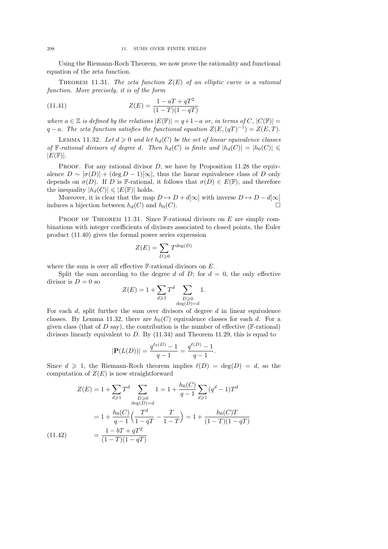Using the Riemann-Roch Theorem, we now prove the rationality and functional equation of the zeta function.

THEOREM 11.31. The zeta function  $Z(E)$  of an elliptic curve is a rational function. More precisely, it is of the form

(11.41) 
$$
Z(E) = \frac{1 - aT + qT^2}{(1 - T)(1 - qT)}
$$

where  $a \in \mathbb{Z}$  is defined by the relations  $|E(\mathbb{F})| = q+1-a$  or, in terms of  $C, |C(\mathbb{F})| =$  $q - a$ . The zeta function satisfies the functional equation  $Z(E,(qT)^{-1}) = Z(E,T)$ .

LEMMA 11.32. Let  $d \geq 0$  and let  $h_d(C)$  be the set of linear equivalence classes of F-rational divisors of degree d. Then  $h_d(C)$  is finite and  $|h_d(C)| = |h_0(C)| \le$  $|E(\mathbb{F})|$ .

PROOF. For any rational divisor  $D$ , we have by Proposition 11.28 the equivalence  $D \sim [\sigma(D)] + (\text{deg } D - 1)[\infty]$ , thus the linear equivalence class of D only depends on  $\sigma(D)$ . If D is F-rational, it follows that  $\sigma(D) \in E(\mathbb{F})$ , and therefore the inequality  $|h_d(C)| \leqslant |E(\mathbb{F})|$  holds.

Moreover, it is clear that the map  $D \mapsto D + d[\infty]$  with inverse  $D \mapsto D - d[\infty]$ induces a bijection between  $h_d(C)$  and  $h_0(C)$ .

PROOF OF THEOREM 11.31. Since  $\mathbb{F}\text{-rational divisors on } E$  are simply combinations with integer coefficients of divisors associated to closed points, the Euler product (11.40) gives the formal power series expression

$$
Z(E) = \sum_{D \geq 0} T^{\deg(D)}
$$

where the sum is over all effective  $\mathbb F$ -rational divisors on  $E$ .

Split the sum according to the degree d of D; for  $d = 0$ , the only effective divisor is  $D = 0$  so

$$
Z(E) = 1 + \sum_{d \geqslant 1} T^d \sum_{\substack{D \geqslant 0 \\ \deg(D) = d}} 1.
$$

For each  $d$ , split further the sum over divisors of degree  $d$  in linear equivalence classes. By Lemma 11.32, there are  $h_0(C)$  equivalence classes for each d. For a given class (that of  $D$  say), the contribution is the number of effective ( $\mathbb F$ -rational) divisors linearly equivalent to  $D$ . By  $(11.34)$  and Theorem 11.29, this is equal to

$$
|\mathbf{P}(L(D))| = \frac{q^{\ell_{\mathbb{F}}(D)} - 1}{q - 1} = \frac{q^{\ell(D)} - 1}{q - 1}.
$$

Since  $d \geq 1$ , the Riemann-Roch theorem implies  $\ell(D) = \deg(D) = d$ , so the computation of  $Z(E)$  is now straightforward

$$
Z(E) = 1 + \sum_{d \ge 1} T^d \sum_{\substack{D \ge 0 \\ \deg(D) = d}} 1 = 1 + \frac{h_0(C)}{q - 1} \sum_{d \ge 1} (q^d - 1) T^d
$$

$$
= 1 + \frac{h_0(C)}{q - 1} \left( \frac{T^d}{1 - qT} - \frac{T}{1 - T} \right) = 1 + \frac{h_0(C)T}{(1 - T)(1 - qT)}
$$

$$
= \frac{1 - bT + qT^2}{(1 - T)(1 - qT)}
$$

 $(11.4)$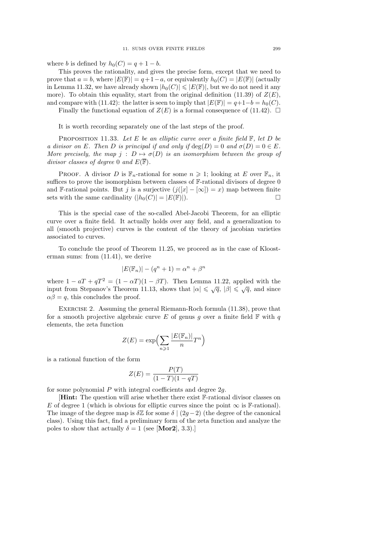where b is defined by  $h_0(C) = q + 1 - b$ .

This proves the rationality, and gives the precise form, except that we need to prove that  $a = b$ , where  $|E(\mathbb{F})| = q + 1 - a$ , or equivalently  $h_0(C) = |E(\mathbb{F})|$  (actually in Lemma 11.32, we have already shown  $|h_0(C)| \leqslant |E(\mathbb{F})|$ , but we do not need it any more). To obtain this equality, start from the original definition (11.39) of  $Z(E)$ , and compare with (11.42): the latter is seen to imply that  $|E(\mathbb{F})| = q+1-b = h_0(C)$ .

Finally the functional equation of  $Z(E)$  is a formal consequence of (11.42).  $\Box$ 

It is worth recording separately one of the last steps of the proof.

PROPOSITION 11.33. Let E be an elliptic curve over a finite field  $\mathbb{F}$ , let D be a divisor on E. Then D is principal if and only if  $\deg(D) = 0$  and  $\sigma(D) = 0 \in E$ . More precisely, the map  $j : D \mapsto \sigma(D)$  is an isomorphism between the group of divisor classes of degree 0 and  $E(\overline{\mathbb{F}})$ .

PROOF. A divisor D is  $\mathbb{F}_n$ -rational for some  $n \geq 1$ ; looking at E over  $\mathbb{F}_n$ , it suffices to prove the isomorphism between classes of F-rational divisors of degree 0 and F-rational points. But j is a surjective  $(j([x] - [\infty]) = x)$  map between finite sets with the same cardinality  $(|h_0(C)| = |E(\mathbb{F})|)$ .

This is the special case of the so-called Abel-Jacobi Theorem, for an elliptic curve over a finite field. It actually holds over any field, and a generalization to all (smooth projective) curves is the content of the theory of jacobian varieties associated to curves.

To conclude the proof of Theorem 11.25, we proceed as in the case of Kloosterman sums: from (11.41), we derive

$$
|E(\mathbb{F}_n)| - (q^n + 1) = \alpha^n + \beta^n
$$

where  $1 - aT + qT^2 = (1 - \alpha T)(1 - \beta T)$ . Then Lemma 11.22, applied with the input from Stepanov's Theorem 11.13, shows that  $|\alpha| \leq \sqrt{q}$ ,  $|\beta| \leq \sqrt{q}$ , and since  $\alpha\beta = q$ , this concludes the proof.

EXERCISE 2. Assuming the general Riemann-Roch formula  $(11.38)$ , prove that for a smooth projective algebraic curve E of genus g over a finite field  $\mathbb F$  with q elements, the zeta function

$$
Z(E) = \exp\left(\sum_{n\geqslant 1} \frac{|E(\mathbb{F}_n)|}{n} T^n\right)
$$

is a rational function of the form

$$
Z(E) = \frac{P(T)}{(1 - T)(1 - qT)}
$$

for some polynomial  $P$  with integral coefficients and degree  $2q$ .

[Hint: The question will arise whether there exist F-rational divisor classes on E of degree 1 (which is obvious for elliptic curves since the point  $\infty$  is F-rational). The image of the degree map is  $\delta \mathbb{Z}$  for some  $\delta \mid (2g-2)$  (the degree of the canonical class). Using this fact, find a preliminary form of the zeta function and analyze the poles to show that actually  $\delta = 1$  (see [Mor2], 3.3).]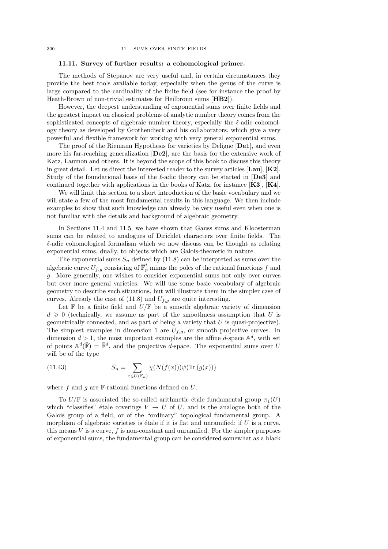#### 11.11. Survey of further results: a cohomological primer.

The methods of Stepanov are very useful and, in certain circumstances they provide the best tools available today, especially when the genus of the curve is large compared to the cardinality of the finite field (see for instance the proof by Heath-Brown of non-trivial estimates for Heilbronn sums [HB2]).

However, the deepest understanding of exponential sums over finite fields and the greatest impact on classical problems of analytic number theory comes from the sophisticated concepts of algebraic number theory, especially the  $\ell$ -adic cohomology theory as developed by Grothendieck and his collaborators, which give a very powerful and flexible framework for working with very general exponential sums.

The proof of the Riemann Hypothesis for varieties by Deligne [De1], and even more his far-reaching generalization [De2], are the basis for the extensive work of Katz, Laumon and others. It is beyond the scope of this book to discuss this theory in great detail. Let us direct the interested reader to the survey articles  $[\text{Lau}]$ ,  $[\text{K2}]$ . Study of the foundational basis of the  $\ell$ -adic theory can be started in [De3] and continued together with applications in the books of Katz, for instance  $[K3]$ ,  $[K4]$ .

We will limit this section to a short introduction of the basic vocabulary and we will state a few of the most fundamental results in this language. We then include examples to show that such knowledge can already be very useful even when one is not familiar with the details and background of algebraic geometry.

In Sections 11.4 and 11.5, we have shown that Gauss sums and Kloosterman sums can be related to analogues of Dirichlet characters over finite fields. The  $\ell$ -adic cohomological formalism which we now discuss can be thought as relating exponential sums, dually, to objects which are Galois-theoretic in nature.

The exponential sums  $S_n$  defined by (11.8) can be interpreted as sums over the algebraic curve  $U_{f,g}$  consisting of  $\overline{\mathbb{F}}_p^*$  minus the poles of the rational functions f and g. More generally, one wishes to consider exponential sums not only over curves but over more general varieties. We will use some basic vocabulary of algebraic geometry to describe such situations, but will illustrate them in the simpler case of curves. Already the case of (11.8) and  $U_{f,q}$  are quite interesting.

Let  $\mathbb F$  be a finite field and  $U/\mathbb F$  be a smooth algebraic variety of dimension  $d \geq 0$  (technically, we assume as part of the smoothness assumption that U is geometrically connected, and as part of being a variety that  $U$  is quasi-projective). The simplest examples in dimension 1 are  $U_{f,q}$ , or smooth projective curves. In dimension  $d > 1$ , the most important examples are the affine d-space  $\mathbb{A}^d$ , with set of points  $\mathbb{A}^d(\overline{\mathbb{F}}) = \overline{\mathbb{F}}^d$ , and the projective d-space. The exponential sums over U will be of the type

(11.43) 
$$
S_n = \sum_{x \in U(\mathbb{F}_n)} \chi(N(f(x))) \psi(\text{Tr}(g(x)))
$$

where  $f$  and  $g$  are  $\mathbb{F}\text{-rational functions defined on } U$ .

To  $U/\mathbb{F}$  is associated the so-called arithmetic étale fundamental group  $\pi_1(U)$ which "classifies" étale coverings  $V \to U$  of U, and is the analogue both of the Galois group of a field, or of the "ordinary" topological fundamental group. A morphism of algebraic varieties is étale if it is flat and unramified; if  $U$  is a curve, this means  $V$  is a curve,  $f$  is non-constant and unramified. For the simpler purposes of exponential sums, the fundamental group can be considered somewhat as a black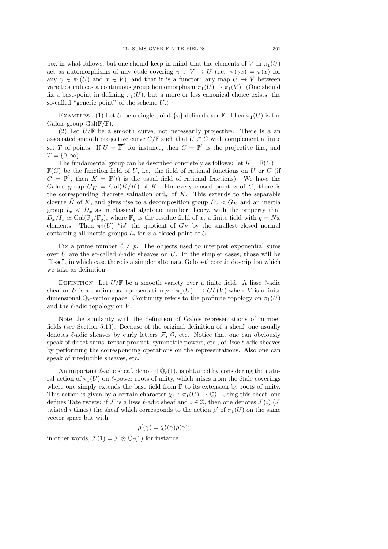box in what follows, but one should keep in mind that the elements of V in  $\pi_1(U)$ act as automorphisms of any étale covering  $\pi : V \to U$  (i.e.  $\pi(\gamma x) = \pi(x)$  for any  $\gamma \in \pi_1(U)$  and  $x \in V$ ), and that it is a functor: any map  $U \to V$  between varieties induces a continuous group homomorphism  $\pi_1(U) \to \pi_1(V)$ . (One should fix a base-point in defining  $\pi_1(U)$ , but a more or less canonical choice exists, the so-called "generic point" of the scheme  $U$ .)

EXAMPLES. (1) Let U be a single point  $\{x\}$  defined over F. Then  $\pi_1(U)$  is the Galois group  $Gal(\overline{\mathbb{F}}/\mathbb{F})$ .

(2) Let  $U/\mathbb{F}$  be a smooth curve, not necessarily projective. There is a an associated smooth projective curve  $C/\mathbb{F}$  such that  $U \subset C$  with complement a finite set T of points. If  $U = \overline{\mathbb{F}}^*$  for instance, then  $C = \mathbb{P}^1$  is the projective line, and  $T = \{0, \infty\}.$ 

The fundamental group can be described concretely as follows: let  $K = \mathbb{F}(U)$  $\mathbb{F}(C)$  be the function field of U, i.e. the field of rational functions on U or C (if  $C = \mathbb{P}^1$ , then  $K = \mathbb{F}(t)$  is the usual field of rational fractions). We have the Galois group  $G_K = \text{Gal}(\overline{K}/K)$  of K. For every closed point x of C, there is the corresponding discrete valuation  $\text{ord}_x$  of K. This extends to the separable closure  $\bar{K}$  of K, and gives rise to a decomposition group  $D_x < G_K$  and an inertia group  $I_x < D_x$  as in classical algebraic number theory, with the property that  $D_x/I_x \simeq \text{Gal}(\bar{\mathbb{F}}_q/\mathbb{F}_q)$ , where  $\mathbb{F}_q$  is the residue field of x, a finite field with  $q = Nx$ elements. Then  $\pi_1(U)$  "is" the quotient of  $G_K$  by the smallest closed normal containing all inertia groups  $I_x$  for x a closed point of U.

Fix a prime number  $\ell \neq p$ . The objects used to interpret exponential sums over U are the so-called  $\ell$ -adic sheaves on U. In the simpler cases, those will be "lisse", in which case there is a simpler alternate Galois-theoretic description which we take as definition.

DEFINITION. Let  $U/\mathbb{F}$  be a smooth variety over a finite field. A lisse  $\ell$ -adic sheaf on U is a continuous representation  $\rho : \pi_1(U) \longrightarrow GL(V)$  where V is a finite dimensional  $\overline{\mathbb{Q}}_{\ell}$ -vector space. Continuity refers to the profinite topology on  $\pi_1(U)$ and the  $\ell$ -adic topology on  $V$ .

Note the similarity with the definition of Galois representations of number fields (see Section 5.13). Because of the original definition of a sheaf, one usually denotes  $\ell$ -adic sheaves by curly letters  $\mathcal{F}$ ,  $\mathcal{G}$ , etc. Notice that one can obviously speak of direct sums, tensor product, symmetric powers, etc., of lisse  $\ell$ -adic sheaves by performing the corresponding operations on the representations. Also one can speak of irreducible sheaves, etc.

An important  $\ell$ -adic sheaf, denoted  $\overline{\mathbb{Q}}_{\ell}(1)$ , is obtained by considering the natural action of  $\pi_1(U)$  on  $\ell$ -power roots of unity, which arises from the étale coverings where one simply extends the base field from  $\mathbb F$  to its extension by roots of unity. This action is given by a certain character  $\chi_{\ell} : \pi_1(U) \to \overline{\mathbb{Q}}_{\ell}^*$ . Using this sheaf, one defines Tate twists: if F is a lisse  $\ell$ -adic sheaf and  $i \in \mathbb{Z}$ , then one denotes  $\mathcal{F}(i)$  (F twisted *i* times) the sheaf which corresponds to the action  $\rho'$  of  $\pi_1(U)$  on the same vector space but with

$$
\rho'(\gamma) = \chi_{\ell}^i(\gamma)\rho(\gamma);
$$

in other words,  $\mathcal{F}(1) = \mathcal{F} \otimes \overline{\mathbb{Q}}_{\ell}(1)$  for instance.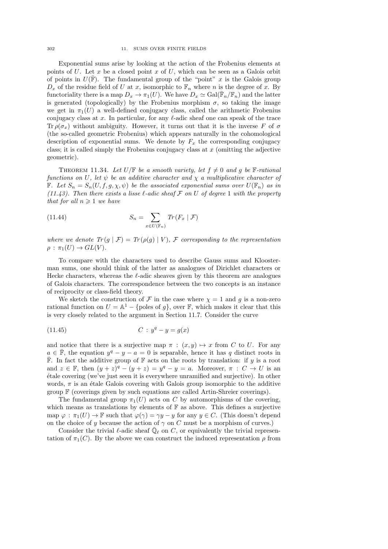#### 302 11. SUMS OVER FINITE FIELDS

Exponential sums arise by looking at the action of the Frobenius elements at points of  $U$ . Let  $x$  be a closed point  $x$  of  $U$ , which can be seen as a Galois orbit of points in  $U(\overline{\mathbb{F}})$ . The fundamental group of the "point" x is the Galois group  $D_x$  of the residue field of U at x, isomorphic to  $\mathbb{F}_n$  where n is the degree of x. By functoriality there is a map  $D_x \to \pi_1(U)$ . We have  $D_x \simeq \text{Gal}(\bar{\mathbb{F}}_n/\mathbb{F}_n)$  and the latter is generated (topologically) by the Frobenius morphism  $\sigma$ , so taking the image we get in  $\pi_1(U)$  a well-defined conjugacy class, called the arithmetic Frobenius conjugacy class at x. In particular, for any  $\ell$ -adic sheaf one can speak of the trace Tr  $\rho(\sigma_x)$  without ambiguity. However, it turns out that it is the inverse F of  $\sigma$ (the so-called geometric Frobenius) which appears naturally in the cohomological description of exponential sums. We denote by  $F_x$  the corresponding conjugacy class; it is called simply the Frobenius conjugacy class at  $x$  (omitting the adjective geometric).

THEOREM 11.34. Let  $U/\mathbb{F}$  be a smooth variety, let  $f \neq 0$  and g be  $\mathbb{F}\text{-rational}$ functions on U, let  $\psi$  be an additive character and  $\chi$  a multiplicative character of **F.** Let  $S_n = S_n(U, f, g, \chi, \psi)$  be the associated exponential sums over  $U(\mathbb{F}_n)$  as in (11.43). Then there exists a lisse  $\ell$ -adic sheaf F on U of degree 1 with the property that for all  $n \geq 1$  we have

(11.44) 
$$
S_n = \sum_{x \in U(\mathbb{F}_n)} Tr(F_x | \mathcal{F})
$$

where we denote  $Tr(g | \mathcal{F}) = Tr(\rho(g) | V)$ ,  $\mathcal F$  corresponding to the representation  $\rho : \pi_1(U) \to GL(V)$ .

To compare with the characters used to describe Gauss sums and Kloosterman sums, one should think of the latter as analogues of Dirichlet characters or Hecke characters, whereas the  $\ell$ -adic sheaves given by this theorem are analogues of Galois characters. The correspondence between the two concepts is an instance of reciprocity or class-field theory.

We sketch the construction of F in the case where  $\chi = 1$  and g is a non-zero rational function on  $U = \mathbb{A}^1 - \{\text{poles of } g\}$ , over  $\mathbb{F}$ , which makes it clear that this is very closely related to the argument in Section 11.7. Consider the curve

(11.45) 
$$
C: y^q - y = g(x)
$$

and notice that there is a surjective map  $\pi$  :  $(x, y) \mapsto x$  from C to U. For any  $a \in \overline{\mathbb{F}}$ , the equation  $y^q - y - a = 0$  is separable, hence it has q distinct roots in  $\overline{\mathbb{F}}$ . In fact the additive group of  $\mathbb{F}$  acts on the roots by translation: if y is a root and  $z \in \mathbb{F}$ , then  $(y + z)^q - (y + z) = y^q - y = a$ . Moreover,  $\pi : C \to U$  is an ´etale covering (we've just seen it is everywhere unramified and surjective). In other words,  $\pi$  is an étale Galois covering with Galois group isomorphic to the additive group  $F$  (coverings given by such equations are called Artin-Shreier coverings).

The fundamental group  $\pi_1(U)$  acts on C by automorphisms of the covering, which means as translations by elements of  $\mathbb F$  as above. This defines a surjective map  $\varphi : \pi_1(U) \to \mathbb{F}$  such that  $\varphi(\gamma) = \gamma y - y$  for any  $y \in C$ . (This doesn't depend on the choice of y because the action of  $\gamma$  on C must be a morphism of curves.)

Consider the trivial  $\ell$ -adic sheaf  $\bar{\mathbb{Q}}_{\ell}$  on C, or equivalently the trivial representation of  $\pi_1(C)$ . By the above we can construct the induced representation  $\rho$  from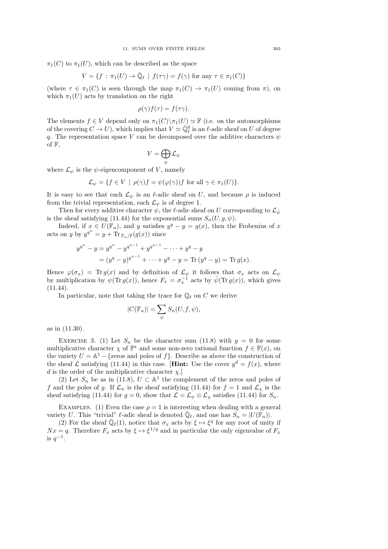$\pi_1(C)$  to  $\pi_1(U)$ , which can be described as the space

$$
V = \{ f : \pi_1(U) \to \overline{\mathbb{Q}}_\ell \mid f(\tau \gamma) = f(\gamma) \text{ for any } \tau \in \pi_1(C) \}
$$

(where  $\tau \in \pi_1(C)$  is seen through the map  $\pi_1(C) \to \pi_1(U)$  coming from  $\pi$ ), on which  $\pi_1(U)$  acts by translation on the right

$$
\rho(\gamma)f(\tau) = f(\tau\gamma).
$$

The elements  $f \in V$  depend only on  $\pi_1(C) \setminus \pi_1(U) \simeq \mathbb{F}$  (i.e. on the automorphisms of the covering  $C \to U$ , which implies that  $V \simeq \overline{\mathbb{Q}}_{\ell}^q$  is an  $\ell$ -adic sheaf on U of degree q. The representation space V can be decomposed over the additive characters  $\psi$ of  $\mathbb{F}$ ,

$$
V=\bigoplus_{\psi}\mathcal{L}_{\psi}
$$

where  $\mathcal{L}_{\psi}$  is the  $\psi$ -eigencomponent of V, namely

$$
\mathcal{L}_{\psi} = \{ f \in V \mid \rho(\gamma)f = \psi(\varphi(\gamma))f \text{ for all } \gamma \in \pi_1(U) \}.
$$

It is easy to see that each  $\mathcal{L}_{\psi}$  is an  $\ell$ -adic sheaf on U, and because  $\rho$  is induced from the trivial representation, each  $\mathcal{L}_{\psi}$  is of degree 1.

Then for every additive character  $\psi$ , the  $\ell$ -adic sheaf on U corresponding to  $\mathcal{L}_{\bar{\psi}}$ is the sheaf satisfying (11.44) for the exponential sums  $S_n(U, q, \psi)$ .

Indeed, if  $x \in U(\mathbb{F}_n)$ , and y satisfies  $y^q - y = g(x)$ , then the Frobenius of x acts on y by  $y^{q^n} = y + \text{Tr}_{\mathbb{F}_n/\mathbb{F}}(g(x))$  since

$$
y^{q^n} - y = y^{q^n} - y^{q^{n-1}} + y^{q^{n-1}} - \dots + y^q - y
$$
  
=  $(y^q - y)^{q^{n-1}} + \dots + y^q - y = \text{Tr}(y^q - y) = \text{Tr}(g(x))$ .

Hence  $\varphi(\sigma_x) = \text{Tr} g(x)$  and by definition of  $\mathcal{L}_{\psi}$  it follows that  $\sigma_x$  acts on  $\mathcal{L}_{\psi}$ by multiplication by  $\psi(\text{Tr } g(x))$ , hence  $F_x = \sigma_x^{-1}$  acts by  $\bar{\psi}(\text{Tr } g(x))$ , which gives  $(11.44)$ .

In particular, note that taking the trace for  $\mathbb{Q}_\ell$  on C we derive

$$
|C(\mathbb{F}_n)| = \sum_{\psi} S_n(U, f, \psi),
$$

as in (11.30).

EXERCISE 3. (1) Let  $S_n$  be the character sum (11.8) with  $g = 0$  for some multiplicative character  $\chi$  of  $\mathbb{F}^*$  and some non-zero rational function  $f \in \mathbb{F}(x)$ , on the variety  $U = \mathbb{A}^1$  – {zeros and poles of f}. Describe as above the construction of the sheaf  $\mathcal L$  satisfying (11.44) in this case. [**Hint:** Use the cover  $y^d = f(x)$ , where d is the order of the multiplicative character  $\chi$ .

(2) Let  $S_n$  be as in (11.8),  $U \subset \mathbb{A}^1$  the complement of the zeros and poles of f and the poles of g. If  $\mathcal{L}_{\psi}$  is the sheaf satisfying (11.44) for  $f = 1$  and  $\mathcal{L}_{\chi}$  is the sheaf satisfying (11.44) for  $g = 0$ , show that  $\mathcal{L} = \mathcal{L}_{\psi} \otimes \mathcal{L}_{\chi}$  satisfies (11.44) for  $S_n$ .

EXAMPLES. (1) Even the case  $\rho = 1$  is interesting when dealing with a general variety U. This "trivial"  $\ell$ -adic sheaf is denoted  $\overline{\mathbb{Q}}_{\ell}$ , and one has  $S_n = |U(\mathbb{F}_n)|$ .

(2) For the sheaf  $\overline{\mathbb{Q}}_{\ell}(1)$ , notice that  $\sigma_x$  acts by  $\xi \mapsto \xi^q$  for any root of unity if  $Nx = q$ . Therefore  $F_x$  acts by  $\xi \mapsto \xi^{1/q}$  and in particular the only eigenvalue of  $F_x$ is  $q^{-1}$ .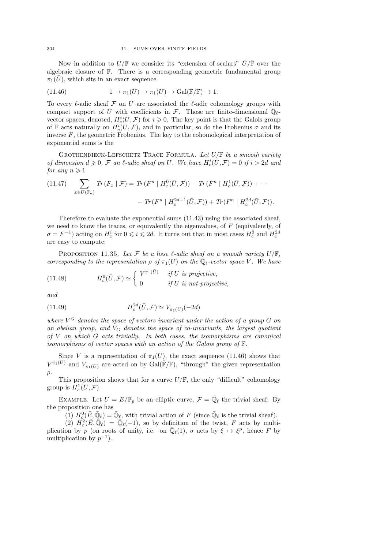Now in addition to  $U/\mathbb{F}$  we consider its "extension of scalars"  $\bar{U}/\bar{\mathbb{F}}$  over the algebraic closure of  $\mathbb{F}$ . There is a corresponding geometric fundamental group  $\pi_1(U)$ , which sits in an exact sequence

(11.46) 
$$
1 \to \pi_1(\bar{U}) \to \pi_1(U) \to \text{Gal}(\bar{\mathbb{F}}/\mathbb{F}) \to 1.
$$

To every  $\ell$ -adic sheaf F on U are associated the  $\ell$ -adic cohomology groups with compact support of  $\bar{U}$  with coefficients in F. Those are finite-dimensional  $\bar{\mathbb{Q}}_{\ell}$ vector spaces, denoted,  $H_c^i(\bar{U}, \mathcal{F})$  for  $i \geq 0$ . The key point is that the Galois group of F acts naturally on  $H_c^i(\overline{U}, \mathcal{F})$ , and in particular, so do the Frobenius  $\sigma$  and its inverse  $F$ , the geometric Frobenius. The key to the cohomological interpretation of exponential sums is the

GROTHENDIECK-LEFSCHETZ TRACE FORMULA. Let  $U/\mathbb{F}$  be a smooth variety of dimension  $d \geq 0$ , F an  $\ell$ -adic sheaf on U. We have  $H_c^i(\bar{\tilde{U}}, \mathcal{F}) = 0$  if  $i > 2d$  and for any  $n \geqslant 1$ 

(11.47) 
$$
\sum_{x \in U(\mathbb{F}_n)} \text{Tr}(F_x | \mathcal{F}) = \text{Tr}(F^n | H_c^0(\bar{U}, \mathcal{F})) - \text{Tr}(F^n | H_c^1(\bar{U}, \mathcal{F})) + \cdots
$$

$$
- \text{Tr}(F^n | H_c^{2d-1}(\bar{U}, \mathcal{F})) + \text{Tr}(F^n | H_c^{2d}(\bar{U}, \mathcal{F})).
$$

Therefore to evaluate the exponential sums (11.43) using the associated sheaf, we need to know the traces, or equivalently the eigenvalues, of  $F$  (equivalently, of  $\sigma = F^{-1}$ ) acting on  $H_c^i$  for  $0 \leqslant i \leqslant 2d$ . It turns out that in most cases  $H_c^0$  and  $H_c^{2d}$ are easy to compute:

PROPOSITION 11.35. Let F be a lisse  $\ell$ -adic sheaf on a smooth variety  $U/\mathbb{F}$ , corresponding to the representation  $\rho$  of  $\pi_1(U)$  on the  $\mathbb{Q}_\ell$ -vector space V. We have

(11.48) 
$$
H_c^0(\bar{U}, \mathcal{F}) \simeq \begin{cases} V^{\pi_1(\bar{U})} & \text{if } U \text{ is projective,} \\ 0 & \text{if } U \text{ is not projective,} \end{cases}
$$

and

(11.49) 
$$
H_c^{2d}(\bar{U}, \mathcal{F}) \simeq V_{\pi_1(\bar{U})}(-2d)
$$

where  $V^G$  denotes the space of vectors invariant under the action of a group G on an abelian group, and  $V_G$  denotes the space of co-invariants, the largest quotient of  $V$  on which  $G$  acts trivially. In both cases, the isomorphisms are canonical isomorphisms of vector spaces with an action of the Galois group of F.

Since V is a representation of  $\pi_1(U)$ , the exact sequence (11.46) shows that  $V^{\pi_1(\bar{U})}$  and  $V_{\pi_1(\bar{U})}$  are acted on by Gal( $\bar{F}/F$ ), "through" the given representation  $\rho$ .

This proposition shows that for a curve  $U/\mathbb{F}$ , the only "difficult" cohomology group is  $H_c^1(\bar{U}, \mathcal{F})$ .

EXAMPLE. Let  $U = E/\mathbb{F}_p$  be an elliptic curve,  $\mathcal{F} = \overline{\mathbb{Q}}_\ell$  the trivial sheaf. By the proposition one has

(1)  $H_c^0(\overline{E}, \overline{Q}_\ell) = \overline{Q}_\ell$ , with trivial action of F (since  $\overline{Q}_\ell$  is the trivial sheaf).

 $(2)$   $H_c^2(\overline{E}, \overline{\mathbb{Q}}_\ell) = \overline{\mathbb{Q}}_\ell(-1)$ , so by definition of the twist, F acts by multiplication by p (on roots of unity, i.e. on  $\overline{\mathbb{Q}}_{\ell}(1)$ ,  $\sigma$  acts by  $\xi \mapsto \xi^p$ , hence F by multiplication by  $p^{-1}$ ).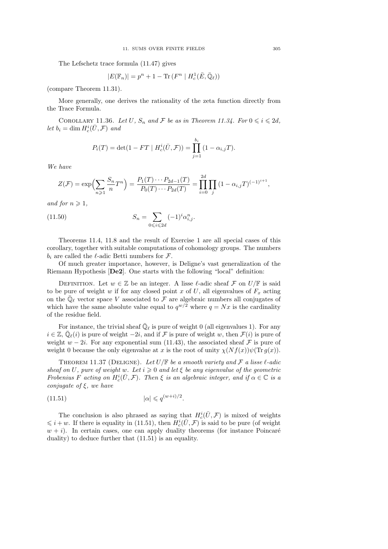The Lefschetz trace formula (11.47) gives

$$
|E(\mathbb{F}_n)| = p^n + 1 - \text{Tr}\left(F^n \mid H_c^1(\bar{E}, \bar{\mathbb{Q}}_\ell)\right)
$$

(compare Theorem 11.31).

More generally, one derives the rationality of the zeta function directly from the Trace Formula.

COROLLARY 11.36. Let U,  $S_n$  and F be as in Theorem 11.34. For  $0 \leq i \leq 2d$ , let  $b_i = \dim H_c^i(\bar{U}, \mathcal{F})$  and

$$
P_i(T) = \det(1 - FT \mid H_c^i(\bar{U}, \mathcal{F})) = \prod_{j=1}^{b_i} (1 - \alpha_{i,j} T).
$$

We have

$$
Z(\mathcal{F}) = \exp\left(\sum_{n\geq 1} \frac{S_n}{n} T^n\right) = \frac{P_1(T) \cdots P_{2d-1}(T)}{P_0(T) \cdots P_{2d}(T)} = \prod_{i=0}^{2d} \prod_j \left(1 - \alpha_{i,j} T\right)^{(-1)^{i+1}},
$$

and for  $n \geqslant 1$ ,

(11.50) 
$$
S_n = \sum_{0 \le i \le 2d} (-1)^i \alpha_{i,j}^n.
$$

Theorems 11.4, 11.8 and the result of Exercise 1 are all special cases of this corollary, together with suitable computations of cohomology groups. The numbers  $b_i$  are called the  $\ell$ -adic Betti numbers for  $\mathcal{F}$ .

Of much greater importance, however, is Deligne's vast generalization of the Riemann Hypothesis [De2]. One starts with the following "local" definition:

DEFINITION. Let  $w \in \mathbb{Z}$  be an integer. A lisse  $\ell$ -adic sheaf F on  $U/\mathbb{F}$  is said to be pure of weight w if for any closed point x of  $U$ , all eigenvalues of  $F_x$  acting on the  $\overline{\mathbb{Q}}_{\ell}$  vector space V associated to  $\overline{\mathcal{F}}$  are algebraic numbers all conjugates of which have the same absolute value equal to  $q^{w/2}$  where  $q = Nx$  is the cardinality of the residue field.

For instance, the trivial sheaf  $\overline{\mathbb{Q}}_{\ell}$  is pure of weight 0 (all eigenvalues 1). For any  $i \in \mathbb{Z}, \overline{\mathbb{Q}}_{\ell}(i)$  is pure of weight  $-2i$ , and if F is pure of weight w, then  $\mathcal{F}(i)$  is pure of weight  $w - 2i$ . For any exponential sum (11.43), the associated sheaf F is pure of weight 0 because the only eigenvalue at x is the root of unity  $\chi(Nf(x))\psi(\text{Tr }g(x)).$ 

THEOREM 11.37 (DELIGNE). Let  $U/\mathbb{F}$  be a smooth variety and  $\mathcal F$  a lisse  $\ell$ -adic sheaf on U, pure of weight w. Let  $i \geq 0$  and let  $\xi$  be any eigenvalue of the geometric Frobenius F acting on  $H_c^i(\bar{U}, \mathcal{F})$ . Then  $\xi$  is an algebraic integer, and if  $\alpha \in \mathbb{C}$  is a conjugate of  $\xi$ , we have

.

$$
(11.51) \t\t | \alpha | \leqslant q^{(w+i)/2}
$$

The conclusion is also phrased as saying that  $H_c^i(\bar{U}, \mathcal{F})$  is mixed of weights  $\leq i+w$ . If there is equality in (11.51), then  $H_c^i(\bar{U}, \mathcal{F})$  is said to be pure (of weight  $w + i$ ). In certain cases, one can apply duality theorems (for instance Poincaré duality) to deduce further that (11.51) is an equality.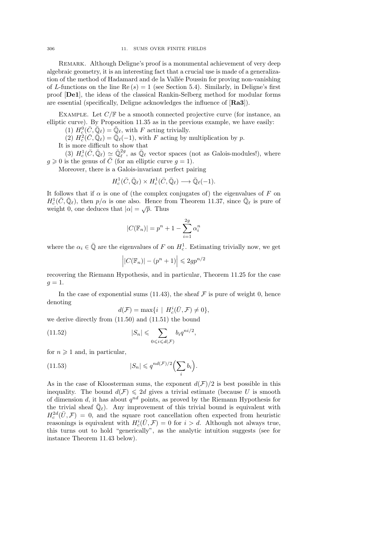Remark. Although Deligne's proof is a monumental achievement of very deep algebraic geometry, it is an interesting fact that a crucial use is made of a generalization of the method of Hadamard and de la Vallée Poussin for proving non-vanishing of L-functions on the line Re  $(s) = 1$  (see Section 5.4). Similarly, in Deligne's first proof [De1], the ideas of the classical Rankin-Selberg method for modular forms are essential (specifically, Deligne acknowledges the influence of [Ra3]).

EXAMPLE. Let  $C/\mathbb{F}$  be a smooth connected projective curve (for instance, an elliptic curve). By Proposition 11.35 as in the previous example, we have easily:

(1)  $H_c^0(\bar{C}, \bar{\mathbb{Q}}_\ell) = \bar{\mathbb{Q}}_\ell$ , with F acting trivially.

 $(2)$   $H_c^2(\bar{C}, \bar{\mathbb{Q}}_\ell) = \bar{\mathbb{Q}}_\ell(-1)$ , with F acting by multiplication by p.

It is more difficult to show that

(3)  $H_c^1(\bar{C}, \bar{\mathbb{Q}}_\ell) \simeq \bar{\mathbb{Q}}_\ell^{2g}$ , as  $\bar{\mathbb{Q}}_\ell$  vector spaces (not as Galois-modules!), where  $g \geqslant 0$  is the genus of  $\overline{C}$  (for an elliptic curve  $g = 1$ ).

Moreover, there is a Galois-invariant perfect pairing

$$
H^1_c(\bar{C}, \bar{\mathbb{Q}}_\ell) \times H^1_c(\bar{C}, \bar{\mathbb{Q}}_\ell) \longrightarrow \bar{\mathbb{Q}}_\ell(-1).
$$

It follows that if  $\alpha$  is one of (the complex conjugates of) the eigenvalues of F on  $H_c^1(\bar{C}, \bar{\mathbb{Q}}_\ell)$ , then  $p/\alpha$  is one also. Hence from Theorem 11.37, since  $\bar{\mathbb{Q}}_\ell$  is pure of weight 0, one deduces that  $|\alpha| = \sqrt{p}$ . Thus

$$
|C(\mathbb{F}_n)| = p^n + 1 - \sum_{i=1}^{2g} \alpha_i^n
$$

where the  $\alpha_i \in \bar{\mathbb{Q}}$  are the eigenvalues of F on  $H_c^1$ . Estimating trivially now, we get

$$
\left| |C(\mathbb{F}_n)| - (p^n + 1) \right| \leq 2gp^{n/2}
$$

recovering the Riemann Hypothesis, and in particular, Theorem 11.25 for the case  $g=1.$ 

In the case of exponential sums (11.43), the sheaf  $\mathcal F$  is pure of weight 0, hence denoting

$$
d(\mathcal{F})=\max\{i\ |\ H_c^i(\bar{U},\mathcal{F})\neq 0\},
$$

we derive directly from (11.50) and (11.51) the bound

(11.52) 
$$
|S_n| \leqslant \sum_{0 \leqslant i \leqslant d(\mathcal{F})} b_i q^{ni/2},
$$

for  $n \geqslant 1$  and, in particular,

(11.53) 
$$
|S_n| \leqslant q^{nd(\mathcal{F})/2} \left(\sum_i b_i\right).
$$

As in the case of Kloosterman sums, the exponent  $d(\mathcal{F})/2$  is best possible in this inequality. The bound  $d(\mathcal{F}) \leq 2d$  gives a trivial estimate (because U is smooth of dimension  $d$ , it has about  $q^{nd}$  points, as proved by the Riemann Hypothesis for the trivial sheaf  $\overline{\mathbb{Q}}_{\ell}$ . Any improvement of this trivial bound is equivalent with  $H_c^{2d}(\bar{U}, \mathcal{F}) = 0$ , and the square root cancellation often expected from heuristic reasonings is equivalent with  $H_c^i(\bar{U}, \mathcal{F}) = 0$  for  $i > d$ . Although not always true, this turns out to hold "generically", as the analytic intuition suggests (see for instance Theorem 11.43 below).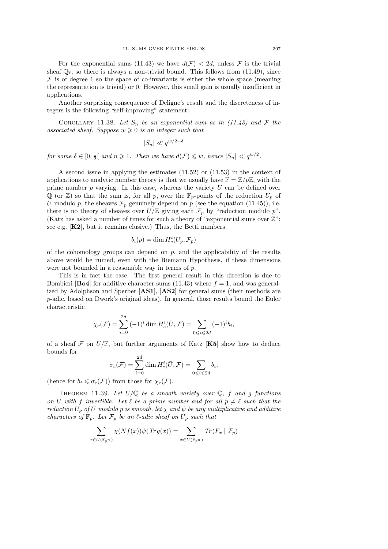For the exponential sums (11.43) we have  $d(\mathcal{F}) < 2d$ , unless  $\mathcal F$  is the trivial sheaf  $\bar{\mathbb{Q}}_{\ell}$ , so there is always a non-trivial bound. This follows from (11.49), since  $F$  is of degree 1 so the space of co-invariants is either the whole space (meaning the representation is trivial) or 0. However, this small gain is usually insufficient in applications.

Another surprising consequence of Deligne's result and the discreteness of integers is the following "self-improving" statement:

COROLLARY 11.38. Let  $S_n$  be an exponential sum as in (11.43) and  $\mathcal F$  the associated sheaf. Suppose  $w \geq 0$  is an integer such that

$$
|S_n| \ll q^{w/2 + \delta}
$$

for some  $\delta \in [0, \frac{1}{2}]$  and  $n \geqslant 1$ . Then we have  $d(\mathcal{F}) \leqslant w$ , hence  $|S_n| \ll q^{w/2}$ .

A second issue in applying the estimates (11.52) or (11.53) in the context of applications to analytic number theory is that we usually have  $\mathbb{F} = \mathbb{Z}/p\mathbb{Z}$ , with the prime number  $p$  varying. In this case, whereas the variety  $U$  can be defined over  $\mathbb Q$  (or  $\mathbb Z$ ) so that the sum is, for all p, over the  $\mathbb F_p$ -points of the reduction  $U_p$  of U modulo p, the sheaves  $\mathcal{F}_p$  genuinely depend on p (see the equation (11.45)), i.e. there is no theory of sheaves over  $U/\mathbb{Z}$  giving each  $\mathcal{F}_p$  by "reduction modulo p". (Katz has asked a number of times for such a theory of "exponential sums over  $\mathbb{Z}$ "; see e.g. [K2], but it remains elusive.) Thus, the Betti numbers

$$
b_i(p) = \dim H_c^i(\bar{U}_p, \mathcal{F}_p)
$$

of the cohomology groups can depend on  $p$ , and the applicability of the results above would be ruined, even with the Riemann Hypothesis, if these dimensions were not bounded in a reasonable way in terms of p.

This is in fact the case. The first general result in this direction is due to Bombieri [**Bo4**] for additive character sums (11.43) where  $f = 1$ , and was generalized by Adolphson and Sperber [AS1], [AS2] for general sums (their methods are p-adic, based on Dwork's original ideas). In general, those results bound the Euler characteristic

$$
\chi_c(\mathcal{F}) = \sum_{i=0}^{2d} (-1)^i \dim H_c^i(\bar{U}, \mathcal{F}) = \sum_{0 \le i \le 2d} (-1)^i b_i,
$$

of a sheaf  $\mathcal F$  on  $U/\mathbb F$ , but further arguments of Katz [K5] show how to deduce bounds for  $\sim$ 

$$
\sigma_c(\mathcal{F}) = \sum_{i=0}^{2a} \dim H_c^i(\bar{U}, \mathcal{F}) = \sum_{0 \leqslant i \leqslant 2d} b_i,
$$

(hence for  $b_i \leq \sigma_c(\mathcal{F})$ ) from those for  $\chi_c(\mathcal{F})$ .

THEOREM 11.39. Let  $U/\mathbb{Q}$  be a smooth variety over  $\mathbb{Q}$ , f and g functions on U with f invertible. Let  $\ell$  be a prime number and for all  $p \neq \ell$  such that the reduction  $U_p$  of U modulo p is smooth, let  $\chi$  and  $\psi$  be any multiplicative and additive characters of  $\mathbb{F}_p$ . Let  $\mathcal{F}_p$  be an  $\ell$ -adic sheaf on  $U_p$  such that

$$
\sum_{x \in U(\mathbb{F}_{p^n})} \chi(Nf(x))\psi(Trg(x)) = \sum_{x \in U(\mathbb{F}_{p^n})} Tr(F_x \mid \mathcal{F}_p)
$$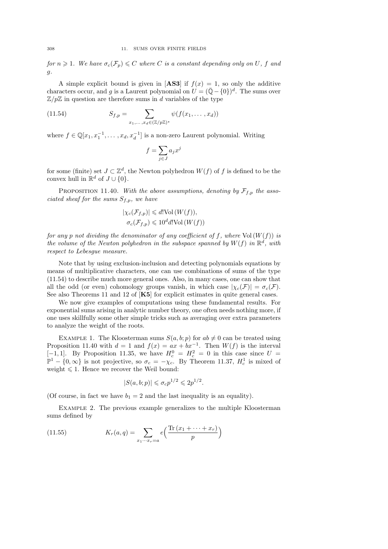for  $n \geq 1$ . We have  $\sigma_c(\mathcal{F}_p) \leq C$  where C is a constant depending only on U, f and g.

A simple explicit bound is given in [AS3] if  $f(x) = 1$ , so only the additive characters occur, and g is a Laurent polynomial on  $U = (\bar{Q} - \{0\})^d$ . The sums over  $\mathbb{Z}/p\mathbb{Z}$  in question are therefore sums in d variables of the type

(11.54) 
$$
S_{f,p} = \sum_{x_1,\ldots,x_d \in (\mathbb{Z}/p\mathbb{Z})^*} \psi(f(x_1,\ldots,x_d))
$$

where  $f \in \mathbb{Q}[x_1, x_1^{-1}, \dots, x_d, x_d^{-1}]$  is a non-zero Laurent polynomial. Writing

$$
f = \sum_{j \in J} a_j x^j
$$

for some (finite) set  $J \subset \mathbb{Z}^d$ , the Newton polyhedron  $W(f)$  of f is defined to be the convex hull in  $\mathbb{R}^d$  of  $J \cup \{0\}.$ 

PROPOSITION 11.40. With the above assumptions, denoting by  $\mathcal{F}_{f,p}$  the associated sheaf for the sums  $S_{f,p}$ , we have

$$
|\chi_c(\mathcal{F}_{f,p})| \le d! \text{Vol}(W(f)),
$$
  

$$
\sigma_c(\mathcal{F}_{f,p}) \le 10^d d! \text{Vol}(W(f))
$$

for any p not dividing the denominator of any coefficient of f, where  $Vol(W(f))$  is the volume of the Newton polyhedron in the subspace spanned by  $W(f)$  in  $\mathbb{R}^d$ , with respect to Lebesgue measure.

Note that by using exclusion-inclusion and detecting polynomials equations by means of multiplicative characters, one can use combinations of sums of the type (11.54) to describe much more general ones. Also, in many cases, one can show that all the odd (or even) cohomology groups vanish, in which case  $|\chi_c(\mathcal{F})| = \sigma_c(\mathcal{F})$ . See also Theorems 11 and 12 of [K5] for explicit estimates in quite general cases.

We now give examples of computations using these fundamental results. For exponential sums arising in analytic number theory, one often needs nothing more, if one uses skillfully some other simple tricks such as averaging over extra parameters to analyze the weight of the roots.

EXAMPLE 1. The Kloosterman sums  $S(a, b; p)$  for  $ab \neq 0$  can be treated using Proposition 11.40 with  $d = 1$  and  $f(x) = ax + bx^{-1}$ . Then  $W(f)$  is the interval  $[-1, 1]$ . By Proposition 11.35, we have  $H_c^0 = H_c^2 = 0$  in this case since  $U = \mathbb{P}^1 - \{0, \infty\}$  is not projective, so  $\sigma_c = -\chi_c$ . By Theorem 11.37,  $H_c^1$  is mixed of weight  $\leq 1$ . Hence we recover the Weil bound:

$$
|S(a, b; p)| \leqslant \sigma_c p^{1/2} \leqslant 2p^{1/2}.
$$

(Of course, in fact we have  $b_1 = 2$  and the last inequality is an equality).

Example 2. The previous example generalizes to the multiple Kloosterman sums defined by

(11.55) 
$$
K_r(a,q) = \sum_{x_1 \cdots x_r=a} e\left(\frac{\text{Tr}(x_1 + \cdots + x_r)}{p}\right)
$$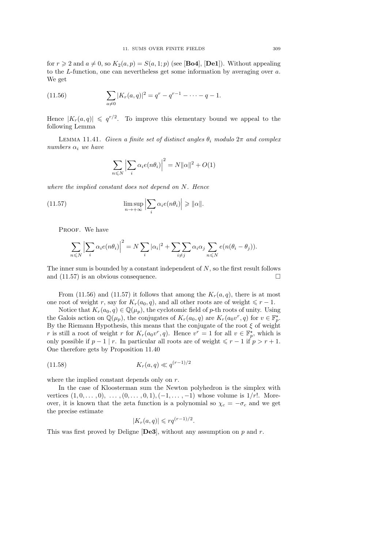for  $r \geqslant 2$  and  $a \neq 0$ , so  $K_2(a, p) = S(a, 1; p)$  (see [**Bo4**], [**De1**]). Without appealing to the L-function, one can nevertheless get some information by averaging over a. We get

(11.56) 
$$
\sum_{a \neq 0} |K_r(a,q)|^2 = q^r - q^{r-1} - \dots - q - 1.
$$

Hence  $|K_r(a,q)| \leqslant q^{r/2}$ . To improve this elementary bound we appeal to the following Lemma

LEMMA 11.41. Given a finite set of distinct angles  $\theta_i$  modulo  $2\pi$  and complex numbers  $\alpha_i$  we have

$$
\sum_{n \leq N} \left| \sum_{i} \alpha_i e(n\theta_i) \right|^2 = N ||\alpha||^2 + O(1)
$$

where the implied constant does not depend on N. Hence

(11.57) 
$$
\limsup_{n \to +\infty} \left| \sum_{i} \alpha_i e(n\theta_i) \right| \geq \| \alpha \|.
$$

PROOF. We have

$$
\sum_{n \leq N} \left| \sum_{i} \alpha_i e(n\theta_i) \right|^2 = N \sum_{i} |\alpha_i|^2 + \sum_{i \neq j} \sum_{n \leq N} \alpha_i \alpha_j \sum_{n \leq N} e(n(\theta_i - \theta_j)).
$$

The inner sum is bounded by a constant independent of  $N$ , so the first result follows and  $(11.57)$  is an obvious consequence.

From (11.56) and (11.57) it follows that among the  $K_r(a,q)$ , there is at most one root of weight r, say for  $K_r(a_0, q)$ , and all other roots are of weight  $\leq r - 1$ .

Notice that  $K_r(a_0, q) \in \mathbb{Q}(\mu_p)$ , the cyclotomic field of p-th roots of unity. Using the Galois action on  $\mathbb{Q}(\mu_p)$ , the conjugates of  $K_r(a_0, q)$  are  $K_r(a_0v^r, q)$  for  $v \in \mathbb{F}_p^{\star}$ . By the Riemann Hypothesis, this means that the conjugate of the root  $\xi$  of weight r is still a root of weight r for  $K_r(a_0v^r, q)$ . Hence  $v^r = 1$  for all  $v \in \mathbb{F}_p^{\star}$ , which is only possible if  $p-1 \mid r$ . In particular all roots are of weight  $\leq r-1$  if  $p > r+1$ . One therefore gets by Proposition 11.40

(11.58) 
$$
K_r(a,q) \ll q^{(r-1)/2}
$$

where the implied constant depends only on r.

In the case of Kloosterman sum the Newton polyhedron is the simplex with vertices  $(1, 0, \ldots, 0), \ldots, (0, \ldots, 0, 1), (-1, \ldots, -1)$  whose volume is  $1/r!$ . Moreover, it is known that the zeta function is a polynomial so  $\chi_c = -\sigma_c$  and we get the precise estimate

$$
|K_r(a,q)| \leqslant r q^{(r-1)/2}.
$$

This was first proved by Deligne [De3], without any assumption on  $p$  and  $r$ .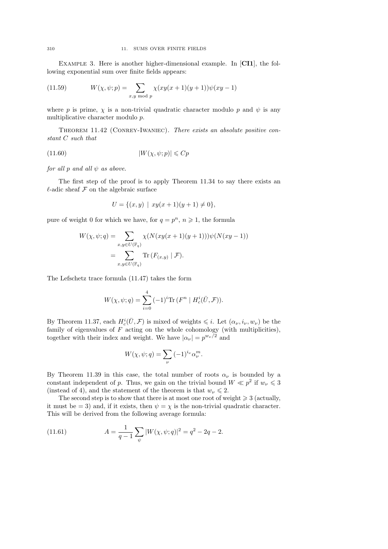EXAMPLE 3. Here is another higher-dimensional example. In [CI1], the following exponential sum over finite fields appears:

(11.59) 
$$
W(\chi, \psi; p) = \sum_{x, y \mod p} \chi(xy(x+1)(y+1))\psi(xy-1)
$$

where p is prime,  $\chi$  is a non-trivial quadratic character modulo p and  $\psi$  is any multiplicative character modulo p.

Theorem 11.42 (Conrey-Iwaniec). There exists an absolute positive constant C such that

$$
(11.60) \t\t |W(\chi, \psi; p)| \leqslant Cp
$$

for all p and all  $\psi$  as above.

The first step of the proof is to apply Theorem 11.34 to say there exists an  $\ell$ -adic sheaf  $\mathcal F$  on the algebraic surface

$$
U = \{(x, y) \mid xy(x + 1)(y + 1) \neq 0\},\
$$

pure of weight 0 for which we have, for  $q = p^n$ ,  $n \geq 1$ , the formula

$$
W(\chi, \psi; q) = \sum_{x, y \in U(\mathbb{F}_q)} \chi(N(xy(x+1)(y+1)))\psi(N(xy-1))
$$
  
= 
$$
\sum_{x, y \in U(\mathbb{F}_q)} \text{Tr} (F_{(x,y)} | \mathcal{F}).
$$

The Lefschetz trace formula (11.47) takes the form

$$
W(\chi, \psi; q) = \sum_{i=0}^{4} (-1)^i \text{Tr} (F^n | H_c^i(\bar{U}, \mathcal{F})).
$$

By Theorem 11.37, each  $H_c^i(\bar{U}, \mathcal{F})$  is mixed of weights  $\leq i$ . Let  $(\alpha_{\nu}, i_{\nu}, w_{\nu})$  be the family of eigenvalues of  $F$  acting on the whole cohomology (with multiplicities), together with their index and weight. We have  $|\alpha_{\nu}| = p^{w_{\nu}/2}$  and

$$
W(\chi, \psi; q) = \sum_{\nu} (-1)^{i_{\nu}} \alpha_{\nu}^{m}.
$$

By Theorem 11.39 in this case, the total number of roots  $\alpha_{\nu}$  is bounded by a constant independent of p. Thus, we gain on the trivial bound  $W \ll p^2$  if  $w_{\nu} \leq 3$ (instead of 4), and the statement of the theorem is that  $w_{\nu} \leq 2$ .

The second step is to show that there is at most one root of weight  $\geq 3$  (actually, it must be = 3) and, if it exists, then  $\psi = \chi$  is the non-trivial quadratic character. This will be derived from the following average formula:

(11.61) 
$$
A = \frac{1}{q-1} \sum_{\psi} |W(\chi, \psi; q)|^2 = q^2 - 2q - 2.
$$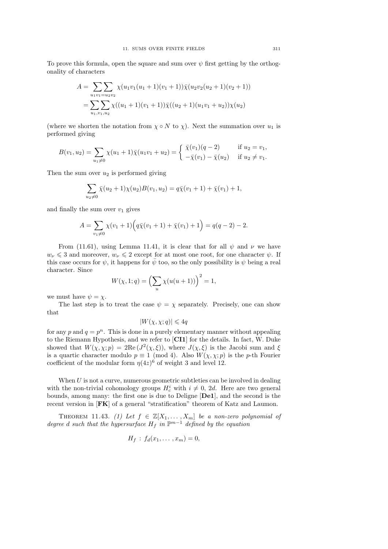To prove this formula, open the square and sum over  $\psi$  first getting by the orthogonality of characters

$$
A = \sum_{u_1v_1=u_2v_2} \sum_{v_2} \chi(u_1v_1(u_1+1)(v_1+1))\overline{\chi}(u_2v_2(u_2+1)(v_2+1))
$$
  
= 
$$
\sum_{u_1,v_1,u_2} \sum_{v_2} \chi((u_1+1)(v_1+1))\overline{\chi}((u_2+1)(u_1v_1+u_2))\chi(u_2)
$$

(where we shorten the notation from  $\chi \circ N$  to  $\chi$ ). Next the summation over  $u_1$  is performed giving

$$
B(v_1, u_2) = \sum_{u_1 \neq 0} \chi(u_1 + 1) \bar{\chi}(u_1 v_1 + u_2) = \begin{cases} \bar{\chi}(v_1)(q - 2) & \text{if } u_2 = v_1, \\ -\bar{\chi}(v_1) - \bar{\chi}(u_2) & \text{if } u_2 \neq v_1. \end{cases}
$$

Then the sum over  $u_2$  is performed giving

$$
\sum_{u_2 \neq 0} \bar{\chi}(u_2 + 1)\chi(u_2)B(v_1, u_2) = q\bar{\chi}(v_1 + 1) + \bar{\chi}(v_1) + 1,
$$

and finally the sum over  $v_1$  gives

$$
A = \sum_{v_1 \neq 0} \chi(v_1 + 1) \Big( q \bar{\chi}(v_1 + 1) + \bar{\chi}(v_1) + 1 \Big) = q(q - 2) - 2.
$$

From (11.61), using Lemma 11.41, it is clear that for all  $\psi$  and  $\nu$  we have  $w_{\nu} \leq 3$  and moreover,  $w_{\nu} \leq 2$  except for at most one root, for one character  $\psi$ . If this case occurs for  $\psi$ , it happens for  $\bar{\psi}$  too, so the only possibility is  $\psi$  being a real character. Since

$$
W(\chi, 1; q) = \left(\sum_{u} \chi(u(u+1))\right)^2 = 1,
$$

we must have  $\psi = \chi$ .

The last step is to treat the case  $\psi = \chi$  separately. Precisely, one can show that

$$
|W(\chi,\chi;q)| \leqslant 4q
$$

for any  $p$  and  $q = p^n$ . This is done in a purely elementary manner without appealing to the Riemann Hypothesis, and we refer to [CI1] for the details. In fact, W. Duke showed that  $W(\chi, \chi; p) = 2\text{Re}(J^2(\chi, \xi))$ , where  $J(\chi, \xi)$  is the Jacobi sum and  $\xi$ is a quartic character modulo  $p \equiv 1 \pmod{4}$ . Also  $W(\chi, \chi; p)$  is the p-th Fourier coefficient of the modular form  $\eta(4z)^6$  of weight 3 and level 12.

When  $U$  is not a curve, numerous geometric subtleties can be involved in dealing with the non-trivial cohomology groups  $H_c^i$  with  $i \neq 0, 2d$ . Here are two general bounds, among many: the first one is due to Deligne [De1], and the second is the recent version in [FK] of a general "stratification" theorem of Katz and Laumon.

THEOREM 11.43. (1) Let  $f \in \mathbb{Z}[X_1,\ldots,X_m]$  be a non-zero polynomial of degree d such that the hypersurface  $H_f$  in  $\mathbb{P}^{m-1}$  defined by the equation

$$
H_f: f_d(x_1,\ldots,x_m)=0,
$$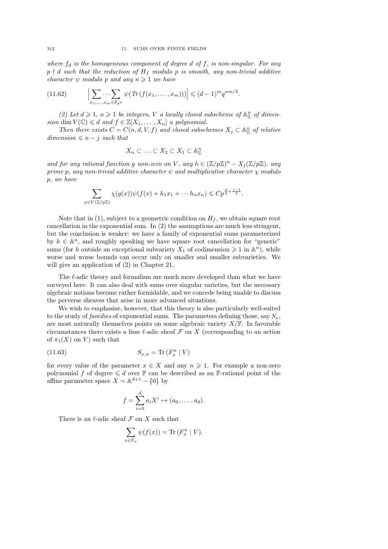where  $f_d$  is the homogeneous component of degree d of f, is non-singular. For any  $p \nmid d$  such that the reduction of  $H_f$  modulo p is smooth, any non-trivial additive character  $\psi$  modulo p and any  $n \geq 1$  we have

$$
(11.62) \qquad \Big|\sum_{x_1,\ldots,x_m\in\mathbb{F}_{p^n}}\psi\big(\operatorname{Tr}(f(x_1,\ldots,x_m))\big)\Big|\leqslant (d-1)^mq^{nm/2}.
$$

(2) Let  $d \geq 1$ ,  $n \geq 1$  be integers, V a locally closed subscheme of  $\mathbb{A}_{\mathbb{Z}}^n$  of dimension dim  $V(\mathbb{C}) \leq d$  and  $f \in \mathbb{Z}[X_1, \ldots, X_n]$  a polynomial.

Then there exists  $C = C(n, d, V, f)$  and closed subschemes  $X_j \subset \mathbb{A}_{\mathbb{Z}}^n$  of relative  $dimension \leq n - j \text{ such that}$ 

$$
X_n \subset \ldots \subset X_2 \subset X_1 \subset \mathbb{A}^n_{\mathbb{Z}}
$$

and for any rational function g non-zero on V, any  $h \in (\mathbb{Z}/p\mathbb{Z})^n - X_j(\mathbb{Z}/p\mathbb{Z})$ , any prime p, any non-trivial additive character  $\psi$  and multiplicative character  $\chi$  modulo p, we have

$$
\sum_{x \in V(\mathbb{Z}/p\mathbb{Z})} \chi(g(x))\psi(f(x) + h_1x_1 + \cdots + h_nx_n) \leqslant Cp^{\frac{d}{2} + \frac{j-1}{2}}.
$$

Note that in (1), subject to a geometric condition on  $H_f$ , we obtain square root cancellation in the exponential sum. In (2) the assumptions are much less stringent, but the conclusion is weaker: we have a family of exponential sums parameterized by  $h \in \mathbb{A}^n$ , and roughly speaking we have square root cancellation for "generic" sums (for h outside an exceptional subvariety  $X_1$  of codimension  $\geq 1$  in  $\mathbb{A}^n$ ), while worse and worse bounds can occur only on smaller and smaller subvarieties. We will give an application of (2) in Chapter 21.

The  $\ell$ -adic theory and formalism are much more developed than what we have surveyed here. It can also deal with sums over singular varieties, but the necessary algebraic notions become rather formidable, and we concede being unable to discuss the perverse sheaves that arise in more advanced situations.

We wish to emphasize, however, that this theory is also particularly well-suited to the study of *families* of exponential sums. The parameters defining those, say  $S_x$ , are most naturally themselves points on some algebraic variety  $X/\mathbb{F}$ . In favorable circumstances there exists a lisse  $\ell$ -adic sheaf F on X (corresponding to an action of  $\pi_1(X)$  on V ) such that

$$
(11.63)\qquad \qquad S_{x,n} = \text{Tr}\left(F_x^n \mid V\right)
$$

for every value of the parameter  $x \in X$  and any  $n \geq 1$ . For example a non-zero polynomial f of degree  $\leq d$  over  $\mathbb F$  can be described as an F-rational point of the affine parameter space  $X = \mathbb{A}^{d+1} - \{0\}$  by

$$
f = \sum_{i=0}^{d} a_i X^i \mapsto (a_0, \dots, a_d).
$$

There is an  $\ell$ -adic sheaf  $\mathcal F$  on  $X$  such that

$$
\sum_{x \in \mathbb{F}_n} \psi(f(x)) = \text{Tr}(F_x^n \mid V).
$$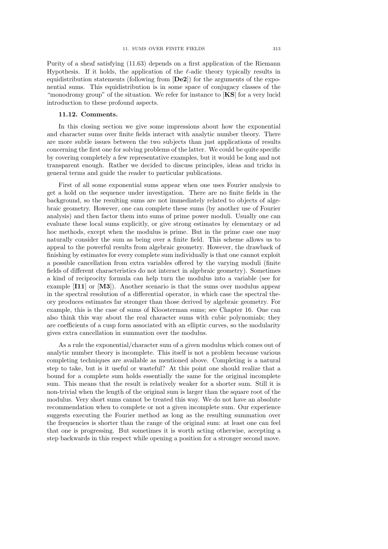Purity of a sheaf satisfying (11.63) depends on a first application of the Riemann Hypothesis. If it holds, the application of the  $\ell$ -adic theory typically results in equidistribution statements (following from [De2]) for the arguments of the exponential sums. This equidistribution is in some space of conjugacy classes of the "monodromy group" of the situation. We refer for instance to  $[KS]$  for a very lucid introduction to these profound aspects.

#### 11.12. Comments.

In this closing section we give some impressions about how the exponential and character sums over finite fields interact with analytic number theory. There are more subtle issues between the two subjects than just applications of results concerning the first one for solving problems of the latter. We could be quite specific by covering completely a few representative examples, but it would be long and not transparent enough. Rather we decided to discuss principles, ideas and tricks in general terms and guide the reader to particular publications.

First of all some exponential sums appear when one uses Fourier analysis to get a hold on the sequence under investigation. There are no finite fields in the background, so the resulting sums are not immediately related to objects of algebraic geometry. However, one can complete these sums (by another use of Fourier analysis) and then factor them into sums of prime power moduli. Usually one can evaluate these local sums explicitly, or give strong estimates by elementary or ad hoc methods, except when the modulus is prime. But in the prime case one may naturally consider the sum as being over a finite field. This scheme allows us to appeal to the powerful results from algebraic geometry. However, the drawback of finishing by estimates for every complete sum individually is that one cannot exploit a possible cancellation from extra variables offered by the varying moduli (finite fields of different characteristics do not interact in algebraic geometry). Sometimes a kind of reciprocity formula can help turn the modulus into a variable (see for example  $\begin{bmatrix} 111 \end{bmatrix}$  or  $\begin{bmatrix} M3 \end{bmatrix}$ . Another scenario is that the sums over modulus appear in the spectral resolution of a differential operator, in which case the spectral theory produces estimates far stronger than those derived by algebraic geometry. For example, this is the case of sums of Kloosterman sums; see Chapter 16. One can also think this way about the real character sums with cubic polynomials; they are coefficients of a cusp form associated with an elliptic curves, so the modularity gives extra cancellation in summation over the modulus.

As a rule the exponential/character sum of a given modulus which comes out of analytic number theory is incomplete. This itself is not a problem because various completing techniques are available as mentioned above. Completing is a natural step to take, but is it useful or wasteful? At this point one should realize that a bound for a complete sum holds essentially the same for the original incomplete sum. This means that the result is relatively weaker for a shorter sum. Still it is non-trivial when the length of the original sum is larger than the square root of the modulus. Very short sums cannot be treated this way. We do not have an absolute recommendation when to complete or not a given incomplete sum. Our experience suggests executing the Fourier method as long as the resulting summation over the frequencies is shorter than the range of the original sum: at least one can feel that one is progressing. But sometimes it is worth acting otherwise, accepting a step backwards in this respect while opening a position for a stronger second move.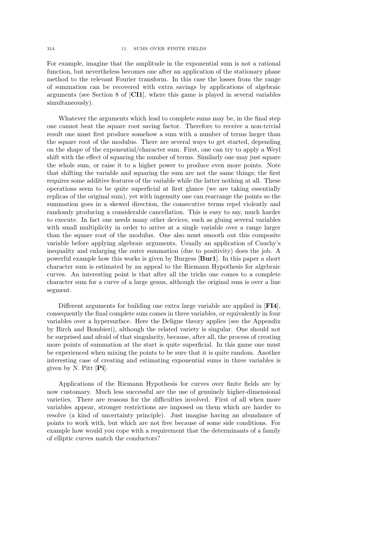For example, imagine that the amplitude in the exponential sum is not a rational function, but nevertheless becomes one after an application of the stationary phase method to the relevant Fourier transform. In this case the losses from the range of summation can be recovered with extra savings by applications of algebraic arguments (see Section 8 of [CI1], where this game is played in several variables simultaneously).

Whatever the arguments which lead to complete sums may be, in the final step one cannot beat the square root saving factor. Therefore to receive a non-trivial result one must first produce somehow a sum with a number of terms larger than the square root of the modulus. There are several ways to get started, depending on the shape of the exponential/character sum. First, one can try to apply a Weyl shift with the effect of squaring the number of terms. Similarly one may just square the whole sum, or raise it to a higher power to produce even more points. Note that shifting the variable and squaring the sum are not the same things; the first requires some additive features of the variable while the latter nothing at all. These operations seem to be quite superficial at first glance (we are taking essentially replicas of the original sum), yet with ingenuity one can rearrange the points so the summation goes in a skewed direction, the consecutive terms repel violently and randomly producing a considerable cancellation. This is easy to say, much harder to execute. In fact one needs many other devices, such as gluing several variables with small multiplicity in order to arrive at a single variable over a range larger than the square root of the modulus. One also must smooth out this composite variable before applying algebraic arguments. Usually an application of Cauchy's inequality and enlarging the outer summation (due to positivity) does the job. A powerful example how this works is given by Burgess [Bur1]. In this paper a short character sum is estimated by an appeal to the Riemann Hypothesis for algebraic curves. An interesting point is that after all the tricks one comes to a complete character sum for a curve of a large genus, although the original sum is over a line segment.

Different arguments for building one extra large variable are applied in [FI4], consequently the final complete sum comes in three variables, or equivalently in four variables over a hypersurface. Here the Deligne theory applies (see the Appendix by Birch and Bombieri), although the related variety is singular. One should not be surprised and afraid of that singularity, because, after all, the process of creating more points of summation at the start is quite superficial. In this game one must be experienced when mixing the points to be sure that it is quite random. Another interesting case of creating and estimating exponential sums in three variables is given by N. Pitt [Pi].

Applications of the Riemann Hypothesis for curves over finite fields are by now customary. Much less successful are the use of genuinely higher-dimensional varieties. There are reasons for the difficulties involved. First of all when more variables appear, stronger restrictions are imposed on them which are harder to resolve (a kind of uncertainty principle). Just imagine having an abundance of points to work with, but which are not free because of some side conditions. For example how would you cope with a requirement that the determinants of a family of elliptic curves match the conductors?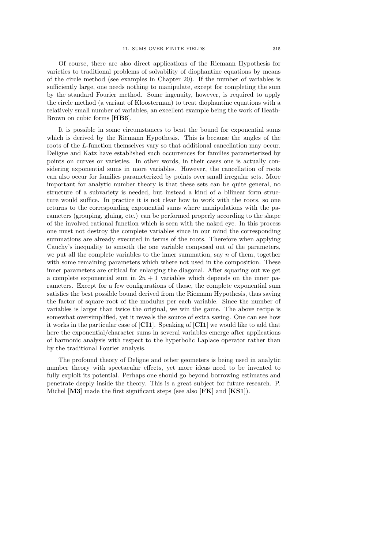Of course, there are also direct applications of the Riemann Hypothesis for varieties to traditional problems of solvability of diophantine equations by means of the circle method (see examples in Chapter 20). If the number of variables is sufficiently large, one needs nothing to manipulate, except for completing the sum by the standard Fourier method. Some ingenuity, however, is required to apply the circle method (a variant of Kloosterman) to treat diophantine equations with a relatively small number of variables, an excellent example being the work of Heath-Brown on cubic forms [HB6].

It is possible in some circumstances to beat the bound for exponential sums which is derived by the Riemann Hypothesis. This is because the angles of the roots of the L-function themselves vary so that additional cancellation may occur. Deligne and Katz have established such occurrences for families parameterized by points on curves or varieties. In other words, in their cases one is actually considering exponential sums in more variables. However, the cancellation of roots can also occur for families parameterized by points over small irregular sets. More important for analytic number theory is that these sets can be quite general, no structure of a subvariety is needed, but instead a kind of a bilinear form structure would suffice. In practice it is not clear how to work with the roots, so one returns to the corresponding exponential sums where manipulations with the parameters (grouping, gluing, etc.) can be performed properly according to the shape of the involved rational function which is seen with the naked eye. In this process one must not destroy the complete variables since in our mind the corresponding summations are already executed in terms of the roots. Therefore when applying Cauchy's inequality to smooth the one variable composed out of the parameters, we put all the complete variables to the inner summation, say  $n$  of them, together with some remaining parameters which where not used in the composition. These inner parameters are critical for enlarging the diagonal. After squaring out we get a complete exponential sum in  $2n + 1$  variables which depends on the inner parameters. Except for a few configurations of those, the complete exponential sum satisfies the best possible bound derived from the Riemann Hypothesis, thus saving the factor of square root of the modulus per each variable. Since the number of variables is larger than twice the original, we win the game. The above recipe is somewhat oversimplified, yet it reveals the source of extra saving. One can see how it works in the particular case of [CI1]. Speaking of [CI1] we would like to add that here the exponential/character sums in several variables emerge after applications of harmonic analysis with respect to the hyperbolic Laplace operator rather than by the traditional Fourier analysis.

The profound theory of Deligne and other geometers is being used in analytic number theory with spectacular effects, yet more ideas need to be invented to fully exploit its potential. Perhaps one should go beyond borrowing estimates and penetrate deeply inside the theory. This is a great subject for future research. P. Michel [M3] made the first significant steps (see also [FK] and [KS1]).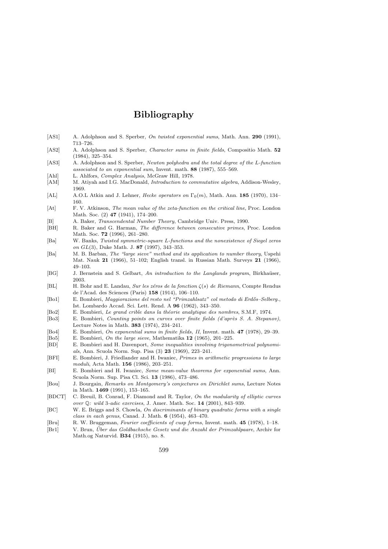# Bibliography

- [AS1] A. Adolphson and S. Sperber, On twisted exponential sums, Math. Ann. 290 (1991), 713–726.
- [AS2] A. Adolphson and S. Sperber, *Character sums in finite fields*, Compositio Math. 52 (1984), 325–354.
- [AS3] A. Adolphson and S. Sperber, *Newton polyhedra and the total degree of the L-function* associated to an exponential sum, Invent. math. 88 (1987), 555–569.
- [Ahl] L. Ahlfors, *Complex Analysis*, McGraw Hill, 1978.
- [AM] M. Atiyah and I.G. MacDonald, *Introduction to commutative algebra*, Addison-Wesley, 1969.
- [AL] A.O.L Atkin and J. Lehner, Hecke operators on  $\Gamma_0(m)$ , Math. Ann. 185 (1970), 134– 160.
- [At] F. V. Atkinson, The mean value of the zeta-function on the critical line, Proc. London Math. Soc. (2) **47** (1941), 174–200.
- [B] A. Baker, *Transcendental Number Theory*, Cambridge Univ. Press, 1990.<br>
[BH] R. Baker and G. Harman. *The difference between consecutive primes*. I
- R. Baker and G. Harman, The difference between consecutive primes, Proc. London Math. Soc. 72 (1996), 261–280.
- [Ba] W. Banks, Twisted symmetric-square L-functions and the nonexistence of Siegel zeros on GL(3), Duke Math. J. 87 (1997), 343–353.
- [Ba] M. B. Barban, The "large sieve" method and its application to number theory, Uspehi Mat. Nauk 21 (1966), 51–102; English transl. in Russian Math. Surveys 21 (1966), 49–103.
- [BG] J. Bernstein and S. Gelbart, An introduction to the Langlands program, Birkhaüser, 2003.
- [BL] H. Bohr and E. Landau, Sur les zéros de la fonction  $\zeta(s)$  de Riemann, Compte Rendus de l'Acad. des Sciences (Paris) 158 (1914), 106–110.
- [Bo1] E. Bombieri, Maggiorazione del resto nel "Primzahlsatz" col metodo di Erd˝os–Selberg., Ist. Lombardo Accad. Sci. Lett. Rend. A 96 (1962), 343–350.
- [Bo2] E. Bombieri, Le grand crible dans la théorie analytique des nombres, S.M.F, 1974.
- [Bo3] E. Bombieri, Counting points on curves over finite fields (d'après S. A. Stepanov), Lecture Notes in Math. 383 (1974), 234–241.
- [Bo4] E. Bombieri, On exponential sums in finite fields, II, Invent. math. 47 (1978), 29–39.
- [Bo5] E. Bombieri, On the large sieve, Mathematika 12 (1965), 201–225.
- [BD] E. Bombieri and H. Davenport, Some inequalities involving trigonometrical polynomials, Ann. Scuola Norm. Sup. Pisa (3) 23 (1969), 223–241.
- [BFI] E. Bombieri, J. Friedlander and H. Iwaniec, Primes in arithmetic progressions to large moduli, Acta Math. 156 (1986), 203–251.
- [BI] E. Bombieri and H. Iwaniec, Some mean-value theorems for exponential sums, Ann. Scuola Norm. Sup. Pisa Cl. Sci. 13 (1986), 473–486.
- [Bou] J. Bourgain, Remarks on Montgomery's conjectures on Dirichlet sums, Lecture Notes in Math. 1469 (1991), 153–165.
- [BDCT] C. Breuil, B. Conrad, F. Diamond and R. Taylor, On the modularity of elliptic curves over Q: wild 3-adic exercises, J. Amer. Math. Soc. 14 (2001), 843–939.
- [BC] W. E. Briggs and S. Chowla, On discriminants of binary quadratic forms with a single class in each genus, Canad. J. Math. 6 (1954), 463–470.
- [Bru] R. W. Bruggeman, Fourier coefficients of cusp forms, Invent. math. 45 (1978), 1–18.
- [Br1] V. Brun, Über das Goldbachsche Gesetz und die Anzahl der Primzahlpaare, Archiv for Math.og Naturvid. B34 (1915), no. 8.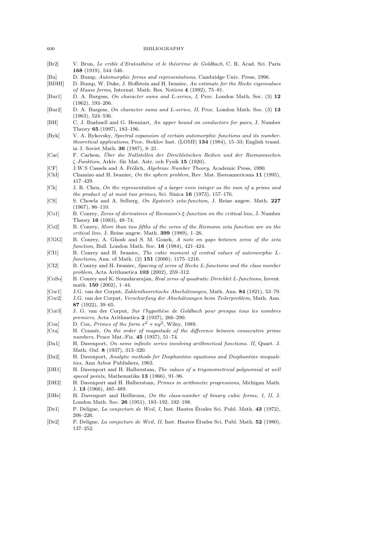[Br2] V. Brun, Le crible d'Eratosthène et le théorème de Goldbach, C. R. Acad. Sci. Paris

|                            | <b>168</b> (1919), 544–546.                                                                                                        |
|----------------------------|------------------------------------------------------------------------------------------------------------------------------------|
| Bu                         | D. Bump, Automorphic forms and representations, Cambridge Univ. Press, 1996.                                                       |
| BDHI                       | D. Bump, W. Duke, J. Hoffstein and H. Iwaniec, An estimate for the Hecke eigenvalues                                               |
|                            | of Maass forms, Internat. Math. Res. Notices 4 (1992), 75–81.                                                                      |
| Burl                       | D. A. Burgess, On character sums and L-series, I, Proc. London Math. Soc. (3) 12                                                   |
|                            | $(1962), 193 - 206.$                                                                                                               |
| $\left[\text{Bur2}\right]$ | D. A. Burgess, On character sums and L-series, II, Proc. London Math. Soc. (3) 13                                                  |
|                            | $(1963), 524-536.$                                                                                                                 |
| BH                         | C. J. Bushnell and G. Henniart, An upper bound on conductors for pairs, J. Number                                                  |
|                            |                                                                                                                                    |
|                            | Theory 65 $(1997)$ , 183-196.                                                                                                      |
| Byk                        | V. A. Bykovsky, Spectral expansion of certain automorphic functions and its number-                                                |
|                            | <i>theoretical applications</i> , Proc. Steklov Inst. (LOMI) 134 (1984), 15–33; English transl.                                    |
|                            | in J. Soviet Math. <b>36</b> (1987), 8-21.                                                                                         |
| Car                        | F. Carlson, Uber die Nullstellen der Dirichletschen Reihen und der Riemannschen                                                    |
|                            | C-Funktion, Arkiv. für Mat. Astr. och Fysik 15 (1920).                                                                             |
| CF                         | J.W.S Cassels and A. Frölich, <i>Algebraic Number Theory</i> , Academic Press, 1990.                                               |
| ChI                        | Chamizo and H. Iwaniec, On the sphere problem, Rev. Mat. Iberoamericana 11 (1995),                                                 |
|                            | 417-429.                                                                                                                           |
| [Ch]                       | J. R. Chen, On the representation of a larger even integer as the sum of a prime and                                               |
|                            | the product of at most two primes, Sci. Sinica 16 (1973), 157–176.                                                                 |
| [CS]                       | S. Chowla and A. Selberg, On Epstein's zeta-function, J. Reine angew. Math. 227                                                    |
|                            | $(1967), 86 - 110.$                                                                                                                |
| $[\text{Co1}]$             | B. Conrey, Zeros of derivatives of Riemann's $\xi$ -function on the critical line, J. Number                                       |
|                            | Theory 16 $(1983)$ , 49-74.                                                                                                        |
| Co2                        | B. Conrey, More than two fifths of the zeros of the Riemann zeta function are on the                                               |
|                            | <i>critical line</i> , J. Reine angew. Math. <b>399</b> (1989), $1-26$ .                                                           |
| $[{\rm CGG}]$              | B. Conrey, A. Ghosh and S. M. Gonek, A note on gaps between zeros of the zeta                                                      |
|                            | <i>function</i> , Bull. London Math. Soc. <b>16</b> (1984), 421-424.                                                               |
| $ {\rm CI1} $              | B. Conrey and H. Iwaniec, The cubic moment of central values of automorphic L-                                                     |
|                            | functions, Ann. of Math. (2) 151 (2000), 1175-1216.                                                                                |
| CI2                        | B. Conrey and H. Iwaniec, Spacing of zeros of Hecke L-functions and the class number                                               |
|                            | <i>problem</i> , Acta Arithmetica $103$ (2002), 259–312.                                                                           |
| CoSo                       | B. Conrey and K. Soundararajan, Real zeros of quadratic Dirichlet L-functions, Invent.                                             |
|                            | math. $150$ (2002), 1-44.                                                                                                          |
| Cor1                       | J.G. van der Corput, <i>Zahlentheoretische Abschätzungen</i> , Math. Ann. <b>84</b> (1921), 53–79.                                 |
| Cor2                       | J.G. van der Corput, <i>Verscharfung der Abschätzungen beim Teilerproblem</i> , Math. Ann.                                         |
|                            | 87 $(1922)$ , 39-65.                                                                                                               |
| $ {\rm Cor3} $             | J. G. van der Corput, Sur l'hypothèse de Goldbach pour presque tous les nombres                                                    |
|                            | <i>premiers</i> , Acta Arithmetica 2 (1937), 266-290.                                                                              |
| $ {\rm Cox} $              | D. Cox, Primes of the form $x^2 + ny^2$ , Wiley, 1989.                                                                             |
| $ {\rm Cra} $              | H. Cramér, On the order of magnitude of the difference between consecutive prime                                                   |
|                            | numbers, Prace Mat.-Fiz. 45 (1937), 51-74.                                                                                         |
| Da1                        | H. Davenport, On some infinite series involving arithmetical functions. II, Quart. J.                                              |
|                            | Math. Oxf. 8 (1937), 313-320.                                                                                                      |
| Da2                        | H. Davenport, Analytic methods for Diophantine equations and Diophantine inequali-                                                 |
|                            | ties, Ann Arbor Publishers, 1963.                                                                                                  |
|                            |                                                                                                                                    |
| DH1                        | H. Davenport and H. Halberstam, The values of a trigonometrical polynomial at well<br>spaced points, Mathematika 13 (1966), 91-96. |
| DH2                        |                                                                                                                                    |
|                            | H. Davenport and H. Halberstam, <i>Primes in arithmetic progressions</i> , Michigan Math.                                          |
|                            | J. 13 (1966), 485–489.                                                                                                             |
| DHe                        | H. Davenport and Heilbronn, On the class-number of binary cubic forms, I, II, J.                                                   |
|                            | London Math. Soc. 26 (1951), 183-192, 192-198.                                                                                     |
| $ {\rm De}1 $              | P. Deligne, La conjecture de Weil, I, Inst. Hautes Études Sci. Publ. Math. 43 (1972),                                              |
|                            | $206 - 226.$                                                                                                                       |
| $ {\rm De2} $              | P. Deligne, La conjecture de Weil, II, Inst. Hautes Études Sci. Publ. Math. 52 (1980),                                             |

137–252.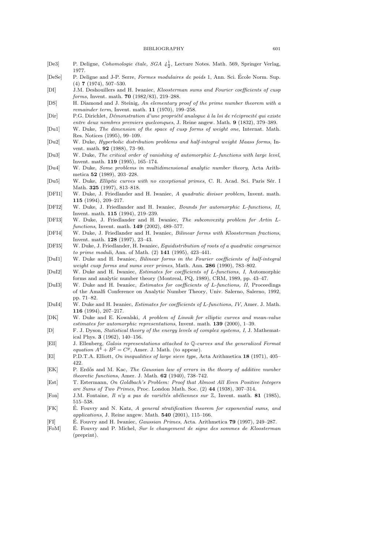- [De3] P. Deligne, *Cohomologie étale, SGA*  $4\frac{1}{2}$ , Lecture Notes. Math. 569, Springer Verlag, 1977.
- [DeSe] P. Deligne and J-P. Serre, Formes modulaires de poids 1, Ann. Sci. École Norm. Sup. (4) 7 (1974), 507–530.
- [DI] J.M. Deshouillers and H. Iwaniec, Kloosterman sums and Fourier coefficients of cusp forms, Invent. math. 70 (1982/83), 219–288.
- [DS] H. Diamond and J. Steinig, An elementary proof of the prime number theorem with a remainder term, Invent. math. 11 (1970), 199–258.
- [Dir] P.G. Dirichlet, Démonstration d'une propriété analogue à la loi de réciprocité qui existe entre deux nombres premiers quelconques, J. Reine angew. Math. 9 (1832), 379–389.
- [Du1] W. Duke, The dimension of the space of cusp forms of weight one, Internat. Math. Res. Notices (1995), 99–109.
- [Du2] W. Duke, Hyperbolic distribution problems and half-integral weight Maass forms, Invent. math. 92 (1988), 73–90.
- [Du3] W. Duke, The critical order of vanishing of automorphic L-functions with large level, Invent. math. 119 (1995), 165–174.
- [Du4] W. Duke, Some problems in multidimensional analytic number theory, Acta Arithmetica 52 (1989), 203–228.
- [Du5] W. Duke, *Elliptic curves with no exceptional primes*, C. R. Acad. Sci. Paris Sér. I Math. 325 (1997), 813–818.
- [DFI1] W. Duke, J. Friedlander and H. Iwaniec, A quadratic divisor problem, Invent. math. 115 (1994), 209–217.
- [DFI2] W. Duke, J. Friedlander and H. Iwaniec, Bounds for automorphic L-functions, II, Invent. math. 115 (1994), 219–239.
- [DFI3] W. Duke, J. Friedlander and H. Iwaniec, The subconvexity problem for Artin Lfunctions, Invent. math. 149 (2002), 489–577.
- [DFI4] W. Duke, J. Friedlander and H. Iwaniec, Bilinear forms with Kloosterman fractions, Invent. math. 128 (1997), 23–43.
- [DFI5] W. Duke, J. Friedlander, H. Iwaniec, Equidistribution of roots of a quadratic congruence to prime moduli, Ann. of Math. (2) 141 (1995), 423–441.
- [DuI1] W. Duke and H. Iwaniec, Bilinear forms in the Fourier coefficients of half-integral weight cusp forms and sums over primes, Math. Ann. 286 (1990), 783–802.
- [DuI2] W. Duke and H. Iwaniec, Estimates for coefficients of L-functions, I, Automorphic forms and analytic number theory (Montreal, PQ, 1989), CRM, 1989, pp. 43–47.
- [DuI3] W. Duke and H. Iwaniec, Estimates for coefficients of L-functions, II, Proceedings of the Amalfi Conference on Analytic Number Theory, Univ. Salerno, Salerno, 1992, pp. 71–82.
- [DuI4] W. Duke and H. Iwaniec, Estimates for coefficients of L-functions, IV, Amer. J. Math. 116 (1994), 207–217.
- [DK] W. Duke and E. Kowalski, A problem of Linnik for elliptic curves and mean-value estimates for automorphic representations, Invent. math. 139 (2000), 1–39.
- [D] F. J. Dyson, Statistical theory of the energy levels of complex systems, I, J. Mathematical Phys. 3 (1962), 140–156.
- [Ell] J. Ellenberg, Galois representations attached to Q-curves and the generalized Fermat equation  $A^4 + B^2 = C^p$ . Amer. J. Math. (to appear).
- [El] P.D.T.A. Elliott, On inequalities of large sieve type, Acta Arithmetica 18 (1971), 405– 422.
- [EK] P. Erdős and M. Kac, The Gaussian law of errors in the theory of additive number theoretic functions, Amer. J. Math. 62 (1940), 738–742.
- [Est] T. Estermann, On Goldbach's Problem: Proof that Almost All Even Positive Integers are Sums of Two Primes, Proc. London Math. Soc. (2) 44 (1938), 307–314.
- [Fon] J.M. Fontaine, *Il* n'y a pas de variétés abéliennes sur  $\mathbb{Z}$ , Invent. math. 81 (1985), 515–538.
- [FK] E. Fouvry and N. Katz, A general stratification theorem for exponential sums, and applications, J. Reine angew. Math. 540 (2001), 115–166.
- [FI] E. Fouvry and H. Iwaniec, *Gaussian Primes*, Acta. Arithmetica 79 (1997), 249–287.
- [FoM] E. Fouvry and P. Michel, Sur le changement de signe des sommes de Kloosterman (preprint).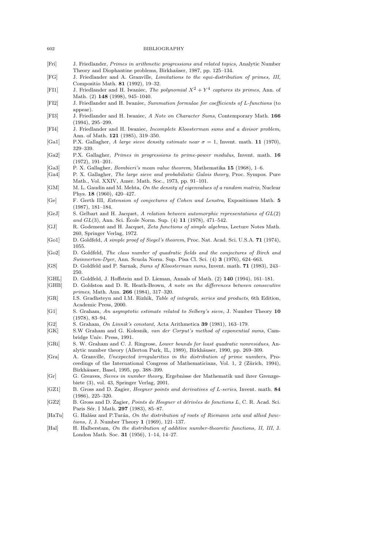- [Fri] J. Friedlander, Primes in arithmetic progressions and related topics, Analytic Number Theory and Diophantine problems, Birkhaüser, 1987, pp. 125–134.
- [FG] J. Friedlander and A. Granville, Limitations to the equi-distribution of primes, III, Compositio Math. 81 (1992), 19–32.
- [FI1] J. Friedlander and H. Iwaniec, The polynomial  $X^2 + Y^4$  captures its primes, Ann. of Math. (2) 148 (1998), 945–1040.
- [FI2] J. Friedlander and H. Iwaniec, Summation formulae for coefficients of L-functions (to appear).
- [FI3] J. Friedlander and H. Iwaniec, A Note on Character Sums, Contemporary Math. 166 (1994), 295–299.
- [FI4] J. Friedlander and H. Iwaniec, Incomplete Kloosterman sums and a divisor problem, Ann. of Math. 121 (1985), 319–350.
- [Ga1] P.X. Gallagher, A large sieve density estimate near  $\sigma = 1$ , Invent. math. 11 (1970), 329–339.
- [Ga2] P.X. Gallagher, Primes in progressions to prime-power modulus, Invent. math. 16 (1972), 191–201.
- [Ga3] P. X. Gallagher, Bombieri's mean value theorem, Mathematika 15 (1968), 1–6.
- [Ga4] P. X. Gallagher, The large sieve and probabilistic Galois theory, Proc. Sympos. Pure Math., Vol. XXIV, Amer. Math. Soc., 1973, pp. 91–101.
- [GM] M. L. Gaudin and M. Mehta, On the density of eigenvalues of a random matrix, Nuclear Phys. 18 (1960), 420–427.
- [Ge] F. Gerth III, Extension of conjectures of Cohen and Lenstra, Expositiones Math. 5 (1987), 181–184.
- [GeJ] S. Gelbart and H. Jacquet, A relation between automorphic representations of GL(2) and  $GL(3)$ , Ann. Sci. École Norm. Sup.  $(4)$  11  $(1978)$ , 471–542.
- [GJ] R. Godement and H. Jacquet, Zeta functions of simple algebras, Lecture Notes Math. 260, Springer Verlag, 1972.
- [Go1] D. Goldfeld, A simple proof of Siegel's theorem, Proc. Nat. Acad. Sci. U.S.A. 71 (1974), 1055.
- [Go2] D. Goldfeld, The class number of quadratic fields and the conjectures of Birch and Swinnerton-Dyer, Ann. Scuola Norm. Sup. Pisa Cl. Sci. (4) 3 (1976), 624–663.
- [GS] D. Goldfeld and P. Sarnak, Sums of Kloosterman sums, Invent. math. 71 (1983), 243– 250.
- [GHL] D. Goldfeld, J. Hoffstein and D. Lieman, Annals of Math. (2) 140 (1994), 161–181.
- [GHB] D. Goldston and D. R. Heath-Brown, A note on the differences between consecutive primes, Math. Ann. 266 (1984), 317–320.
- [GR] I.S. Gradhsteyn and I.M. Rizhik, Table of integrals, series and products, 6th Edition, Academic Press, 2000.
- [G1] S. Graham, An asymptotic estimate related to Selberg's sieve, J. Number Theory 10 (1978), 83–94.
- [G2] S. Graham, On Linnik's constant, Acta Arithmetica 39 (1981), 163–179.
- [GK] S.W Graham and G. Kolesnik, van der Corput's method of exponential sums, Cambridge Univ. Press, 1991.
- [GRi] S. W. Graham and C. J. Ringrose, Lower bounds for least quadratic nonresidues, Analytic number theory (Allerton Park, IL, 1989), Birkhäuser, 1990, pp. 269–309.
- [Gra] A. Granville, Unexpected irregularities in the distribution of prime numbers, Proceedings of the International Congress of Mathematicians, Vol. 1, 2 (Zürich, 1994), Birkhäuser, Basel, 1995, pp. 388–399.
- [Gr] G. Greaves, Sieves in number theory, Ergebnisse der Mathematik und ihrer Grenzgebiete (3), vol. 43, Springer Verlag, 2001.
- [GZ1] B. Gross and D. Zagier, *Heegner points and derivatives of L-series*, Invent. math. 84 (1986), 225–320.
- [GZ2] B. Gross and D. Zagier, *Points de Heegner et dérivées de fonctions L*, C. R. Acad. Sci. Paris Sér. I Math. 297 (1983), 85–87.
- [HaTu] G. Halász and P.Turán, On the distribution of roots of Riemann zeta and allied functions, I, J. Number Theory 1 (1969), 121–137.
- [Hal] H. Halberstam, On the distribution of additive number-theoretic functions, II, III, J. London Math. Soc. 31 (1956), 1–14, 14–27.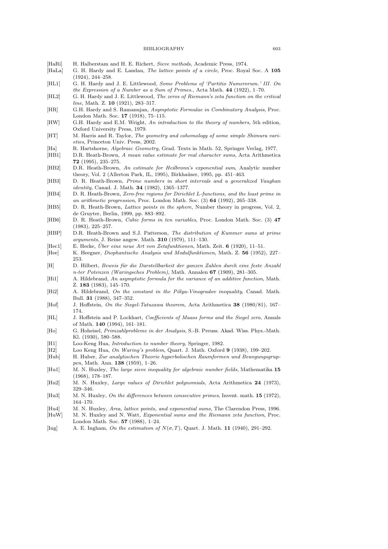- [HaRi] H. Halberstam and H. E. Richert, Sieve methods, Academic Press, 1974.
- [HaLa] G. H. Hardy and E. Landau, *The lattice points of a circle*, Proc. Royal Soc. A 105 (1924), 244–258.
- [HL1] G. H. Hardy and J. E. Littlewood, Some Problems of 'Partitio Numerorum.' III. On the Expression of a Number as a Sum of Primes., Acta Math. 44 (1922), 1–70.
- [HL2] G. H. Hardy and J. E. Littlewood, The zeros of Riemann's zeta function on the critical line, Math. Z. 10 (1921), 283-317.
- [HR] G.H. Hardy and S. Ramanujan, Asymptotic Formulae in Combinatory Analysis, Proc. London Math. Soc. 17 (1918), 75–115.
- [HW] G.H. Hardy and E.M. Wright, An introduction to the theory of numbers, 5th edition, Oxford University Press, 1979.
- [HT] M. Harris and R. Taylor, The geometry and cohomology of some simple Shimura varieties, Princeton Univ. Press, 2002.
- [Ha] R. Hartshorne, Algebraic Geometry, Grad. Texts in Math. 52, Springer Verlag, 1977.
- [HB1] D.R. Heath-Brown, A mean value estimate for real character sums, Acta Arithmetica 72 (1995), 235–275.
- [HB2] D.R. Heath-Brown, An estimate for Heilbronn's exponential sum, Analytic number theory, Vol. 2 (Allerton Park, IL, 1995), Birkhaüser, 1995, pp. 451–463.
- [HB3] D. R. Heath-Brown, Prime numbers in short intervals and a generalized Vaughan identity, Canad. J. Math. 34 (1982), 1365–1377.
- [HB4] D. R. Heath-Brown, Zero-free regions for Dirichlet L-functions, and the least prime in an arithmetic progression, Proc. London Math. Soc. (3) 64 (1992), 265–338.
- [HB5] D. R. Heath-Brown, *Lattice points in the sphere*, Number theory in progress, Vol. 2, de Gruyter, Berlin, 1999, pp. 883–892.
- [HB6] D. R. Heath-Brown, Cubic forms in ten variables, Proc. London Math. Soc. (3) 47 (1983), 225–257.
- [HBP] D.R. Heath-Brown and S.J. Patterson, The distribution of Kummer sums at prime arguments, J. Reine angew. Math. 310 (1979), 111–130.
- [Hec1] E. Hecke, Über eine neue Art von Zetafunktionen, Math. Zeit.  $6$  (1920), 11–51.
- [Hee] K. Heegner, Diophantische Analysis und Modulfunktionen, Math. Z. 56 (1952), 227– 253.
- [H] D. Hilbert, Beweis für die Darstellbarkeit der ganzen Zahlen durch eine feste Anzahl n-ter Potenzen (Waringsches Problem), Math. Annalen 67 (1909), 281–305.
- [Hi1] A. Hildebrand, An asymptotic formula for the variance of an additive function, Math. Z. 183 (1983), 145–170.
- [Hi2] A. Hildebrand, On the constant in the Pólya-Vinogradov inequality, Canad. Math. Bull. 31 (1988), 347–352.
- [Hof] J. Hoffstein, On the Siegel-Tatuzawa theorem, Acta Arithmetica 38 (1980/81), 167– 174.
- [HL] J. Hoffstein and P. Lockhart, Coefficients of Maass forms and the Siegel zero, Annals of Math. 140 (1994), 161–181.
- [Ho] G. Hoheisel, Primzahlprobleme in der Analysis, S.-B. Preuss. Akad. Wiss. Phys.-Math. Kl. (1930), 580–588.
- [H1] Loo-Keng Hua, *Introduction to number theory*, Springer, 1982.
- [H2] Loo Keng Hua, On Waring's problem, Quart. J. Math. Oxford 9 (1938), 199–202.
- [Hub] H. Huber, Zur analytischen Theorie hyperbolischen Raumformen und Bewegungsgruppen, Math. Ann. 138 (1959), 1–26.
- [Hu1] M. N. Huxley, *The large sieve inequality for algebraic number fields*, Mathematika 15 (1968), 178–187.
- [Hu2] M. N. Huxley, Large values of Dirichlet polynomials, Acta Arithmetica 24 (1973), 329–346.
- [Hu3] M. N. Huxley, On the differences between consecutive primes, Invent. math. 15 (1972), 164–170.
- [Hu4] M. N. Huxley, *Area, lattice points, and exponential sums*, The Clarendon Press, 1996. [HuW] M. N. Huxley and N. Watt, Exponential sums and the Riemann zeta function, Proc. London Math. Soc. 57 (1988), 1–24.
- [Ing] A. E. Ingham, On the estimation of  $N(\sigma, T)$ , Quart. J. Math. 11 (1940), 291–292.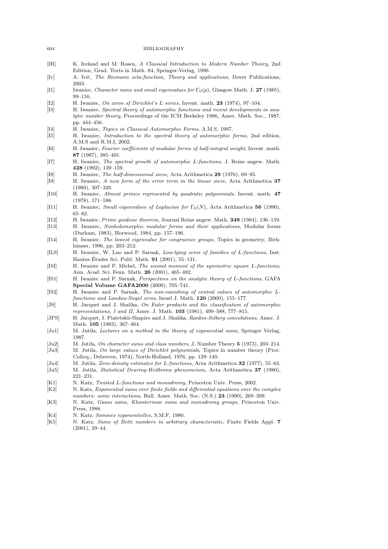| IR            | K. Ireland and M. Rosen, A Classical Introduction to Modern Number Theory, 2nd<br>Edition, Grad. Texts in Math. 84, Springer-Verlag, 1990.                                                                                                                                   |
|---------------|------------------------------------------------------------------------------------------------------------------------------------------------------------------------------------------------------------------------------------------------------------------------------|
| Iv            | A. Ivić, <i>The Riemann zeta-function</i> , <i>Theory and applications</i> , Dover Publications,<br>2003.                                                                                                                                                                    |
| 11            | Iwaniec, <i>Character sums and small eigenvalues for</i> $\Gamma_0(p)$ , Glasgow Math. J. 27 (1985),<br>$99 - 116.$                                                                                                                                                          |
| 12 <br> 13    | H. Iwaniec, On zeros of Dirichlet's L series, Invent. math. 23 (1974), 97-104.<br>H. Iwaniec, Spectral theory of automorphic functions and recent developments in ana-<br>lytic number theory, Proceedings of the ICM Berkeley 1986, Amer. Math. Soc., 1987,<br>pp. 444-456. |
| I4 <br> 15    | H. Iwaniec, <i>Topics in Classical Automorphic Forms</i> , A.M.S, 1997.<br>H. Iwaniec, <i>Introduction to the spectral theory of automorphic forms</i> , 2nd edition,<br>A.M.S and R.M.I, 2002.                                                                              |
| 16            | H. Iwaniec, Fourier coefficients of modular forms of half-integral weight, Invent. math.<br>87 (1987), $385-401$ .                                                                                                                                                           |
| 17            | H. Iwaniec, The spectral growth of automorphic L-functions, J. Reine angew. Math.<br><b>428</b> (1992), 139–159.                                                                                                                                                             |
| 18 <br> 19    | H. Iwaniec, <i>The half-dimensional sieve</i> , Acta Arithmetica 29 (1976), 69–95.<br>H. Iwaniec, A new form of the error term in the linear sieve, Acta Arithmetica 37<br>$(1980), 307-320.$                                                                                |
| 110           | H. Iwaniec, Almost primes represented by quadratic polynomials, Invent. math. 47<br>$(1978), 171-188.$                                                                                                                                                                       |
| 111           | H. Iwaniec, <i>Small eigenvalues of Laplacian for</i> $\Gamma_0(N)$ , Acta Arithmetica 56 (1990),<br>$65 - 82.$                                                                                                                                                              |
| 112           | H. Iwaniec, <i>Prime geodesic theorem</i> , Journal Reine angew. Math. <b>349</b> (1984), 136–159.                                                                                                                                                                           |
| 113           | H. Iwaniec, <i>Nonholomorphic modular forms and their applications</i> , Modular forms<br>(Durham, 1983), Horwood, 1984, pp. 157–196.                                                                                                                                        |
| 114           | H. Iwaniec, <i>The lowest eigenvalue for congruence groups</i> , Topics in geometry, Birk-<br>häuser, 1996, pp. 203–212.                                                                                                                                                     |
| ILS           | H. Iwaniec, W. Luo and P. Sarnak, Low-lying zeros of families of L-functions, Inst.<br>Hautes Études Sci. Publ. Math. 91 (2001), 55-131.                                                                                                                                     |
| IM            | H. Iwaniec and P. Michel, The second moment of the symmetric square L-functions,<br>Ann. Acad. Sci. Fenn. Math. 26 (2001), 465–482.                                                                                                                                          |
| [IS1]         | H. Iwaniec and P. Sarnak, <i>Perspectives on the analytic theory of L-functions</i> , GAFA<br>Special Volume GAFA2000 (2000), 705-741.                                                                                                                                       |
| IS2           | H. Iwaniec and P. Sarnak, The non-vanishing of central values of automorphic L-<br>functions and Landau-Siegel zeros, Israel J. Math. 120 (2000), 155-177.                                                                                                                   |
| [JS]          | H. Jacquet and J. Shalika, On Euler products and the classification of automorphic<br>representations, I and II, Amer. J. Math. $103$ (1981), 499–588, 777–815.                                                                                                              |
| JPS           | H. Jacquet, I. Piatetskii-Shapiro and J. Shalika, Rankin-Selberg convolutions, Amer. J.<br>Math. 105 (1983), 367–464.                                                                                                                                                        |
| Ju1           | M. Jutila, Lectures on a method in the theory of exponential sums, Springer Verlag,<br>1987.                                                                                                                                                                                 |
| Ju2           | M. Jutila, On character sums and class numbers, J. Number Theory 5 (1973), 203-214.                                                                                                                                                                                          |
| $ {\rm Ju3} $ | M. Jutila, On large values of Dirichlet polynomials, Topics in number theory (Proc.<br>Colloq., Debrecen, 1974), North-Holland, 1976, pp. 129–140.                                                                                                                           |
| Ju4           | M. Jutila, <i>Zero-density estimates for L-functions</i> , Acta Arithmetica <b>32</b> (1977), 55–62.                                                                                                                                                                         |
| Ju5           | M. Jutila, <i>Statistical Deuring-Heilbronn phenomenon</i> , Acta Arithmetica <b>37</b> (1980),<br>$221 - 231.$                                                                                                                                                              |
| K1            | N. Katz, Twisted L-functions and monodromy, Princeton Univ. Press, 2002.                                                                                                                                                                                                     |
| K2            | N. Katz, Exponential sums over finite fields and differential equations over the complex<br>numbers: some interactions, Bull. Amer. Math. Soc. (N.S.) 23 (1990), 269–309.                                                                                                    |
| K3            | N. Katz, <i>Gauss sums, Kloosterman sums and monodromy groups</i> , Princeton Univ.<br>Press, 1988.                                                                                                                                                                          |
| K4            | N. Katz, <i>Sommes exponentielles</i> , S.M.F, 1980.                                                                                                                                                                                                                         |
| K5            | N. Katz, Sums of Betti numbers in arbitrary characteristic, Finite Fields Appl. 7<br>$(2001), 29-44.$                                                                                                                                                                        |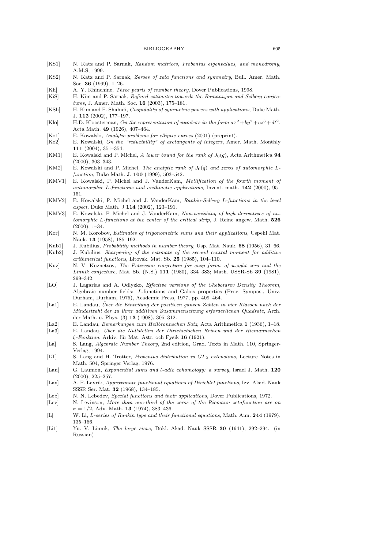- [KS1] N. Katz and P. Sarnak, Random matrices, Frobenius eigenvalues, and monodromy, A.M.S, 1999.
- [KS2] N. Katz and P. Sarnak, Zeroes of zeta functions and symmetry, Bull. Amer. Math. Soc. 36 (1999), 1–26.
- [Kh] A. Y. Khinchine, Three pearls of number theory, Dover Publications, 1998.
- [KiS] H. Kim and P. Sarnak, Refined estimates towards the Ramanujan and Selberg conjectures, J. Amer. Math. Soc. 16 (2003), 175–181.
- [KSh] H. Kim and F. Shahidi, Cuspidality of symmetric powers with applications, Duke Math. J. 112 (2002), 177–197.
- [Klo] H.D. Kloosterman, On the representation of numbers in the form  $ax^2 + by^2 + cz^3 + dt^2$ , Acta Math. 49 (1926), 407–464.
- [Ko1] E. Kowalski, Analytic problems for elliptic curves (2001) (preprint).
- [Ko2] E. Kowalski, On the "reducibility" of arctangents of integers, Amer. Math. Monthly 111 (2004), 351–354.
- [KM1] E. Kowalski and P. Michel, A lower bound for the rank of  $J_0(q)$ , Acta Arithmetica 94 (2000), 303–343.
- [KM2] E. Kowalski and P. Michel, The analytic rank of  $J_0(q)$  and zeros of automorphic Lfunction, Duke Math. J. 100 (1999), 503–542.
- [KMV1] E. Kowalski, P. Michel and J. VanderKam, Mollification of the fourth moment of automorphic L-functions and arithmetic applications, Invent. math. 142 (2000), 95– 151.
- [KMV2] E. Kowalski, P. Michel and J. VanderKam, Rankin-Selberg L-functions in the level aspect, Duke Math. J 114 (2002), 123–191.
- [KMV3] E. Kowalski, P. Michel and J. VanderKam, Non-vanishing of high derivatives of automorphic L-functions at the center of the critical strip, J. Reine angew. Math. 526 (2000), 1–34.
- [Kor] N. M. Korobov, *Estimates of trigonometric sums and their applications*, Uspehi Mat. Nauk. 13 (1958), 185–192.
- [Kub1] J. Kubilius, Probability methods in number theory, Usp. Mat. Nauk. 68 (1956), 31–66. [Kub2] J. Kubilius, Sharpening of the estimate of the second central moment for additive
- arithmetical functions, Litovsk. Mat. Sb. 25 (1985), 104–110.
- [Kuz] N. V. Kuznetsov, The Petersson conjecture for cusp forms of weight zero and the Linnik conjecture, Mat. Sb. (N.S.) 111 (1980), 334–383; Math. USSR-Sb 39 (1981), 299–342.
- [LO] J. Lagarias and A. Odlyzko, *Effective versions of the Chebotarev Density Theorem*, Algebraic number fields: L-functions and Galois properties (Proc. Sympos., Univ. Durham, Durham, 1975), Academic Press, 1977, pp. 409–464.
- [La1] E. Landau, Uber die Einteilung der positiven ganzen Zahlen in vier Klassen nach der Mindestzahl der zu ihrer additiven Zusammensetzung erforderlichen Quadrate, Arch. der Math. u. Phys. (3) 13 (1908), 305–312.
- [La2] E. Landau, Bemerkungen zum Heilbronnschen Satz, Acta Arithmetica 1 (1936), 1–18. [La3] E. Landau, Über die Nullstellen der Dirichletschen Reihen und der Riemannschen  $\zeta$ -Funktion, Arkiv. für Mat. Astr. och Fysik 16 (1921).
- [La] S. Lang, Algebraic Number Theory, 2nd edition, Grad. Texts in Math. 110, Springer-Verlag, 1994.
- [LT] S. Lang and H. Trotter, Frobenius distribution in  $GL_2$  extensions, Lecture Notes in Math. 504, Springer Verlag, 1976.
- [Lau] G. Laumon, *Exponential sums and l-adic cohomology: a survey*, Israel J. Math. 120 (2000), 225–257.
- [Lav] A. F. Lavrik, Approximate functional equations of Dirichlet functions, Izv. Akad. Nauk SSSR Ser. Mat. 32 (1968), 134–185.
- [Leb] N. N. Lebedev, Special functions and their applications, Dover Publications, 1972.
- [Lev] N. Levinson, More than one-third of the zeros of the Riemann zetafunction are on  $\sigma = 1/2$ , Adv. Math. **13** (1974), 383-436.
- [L] W. Li, L-series of Rankin type and their functional equations, Math. Ann. 244 (1979), 135–166.
- [Li1] Yu. V. Linnik, The large sieve, Dokl. Akad. Nauk SSSR 30 (1941), 292–294. (in Russian)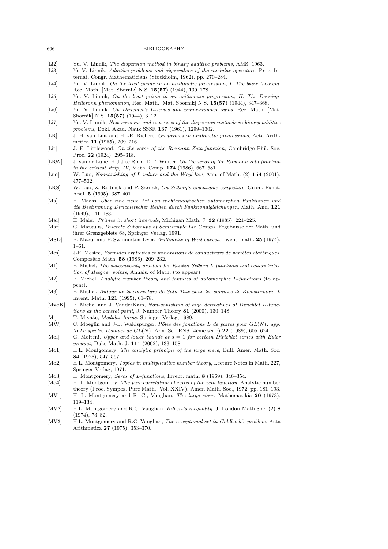- [Li2] Yu. V. Linnik, The dispersion method in binary additive problems, AMS, 1963.
- [Li3] Yu V. Linnik, Additive problems and eigenvalues of the modular operators, Proc. Internat. Congr. Mathematicians (Stockholm, 1962), pp. 270–284.
- [Li4] Yu. V. Linnik, On the least prime in an arithmetic progression, I. The basic theorem, Rec. Math. [Mat. Sbornik] N.S. 15(57) (1944), 139–178.
- [Li5] Yu. V. Linnik, On the least prime in an arithmetic progression, II. The Deuring-Heilbronn phenomenon, Rec. Math. [Mat. Sbornik] N.S.  $15(57)$  (1944), 347-368.
- [Li6] Yu. V. Linnik, On Dirichlet's L-series and prime-number sums, Rec. Math. [Mat. Sbornik] N.S. 15(57) (1944), 3–12.
- [Li7] Yu. V. Linnik, New versions and new uses of the dispersion methods in binary additive problems, Dokl. Akad. Nauk SSSR 137 (1961), 1299–1302.
- [LR] J. H. van Lint and H. -E. Richert, On primes in arithmetic progressions, Acta Arithmetica 11 (1965), 209–216.
- [Lit] J. E. Littlewood, On the zeros of the Riemann Zeta-function, Cambridge Phil. Soc. Proc. 22 (1924), 295–318.
- [LRW] J. van de Lune, H.J.J te Riele, D.T. Winter, On the zeros of the Riemann zeta function in the critical strip, IV, Math. Comp. 174 (1986), 667–681.
- [Luo] W. Luo, Nonvanishing of L-values and the Weyl law, Ann. of Math. (2) 154 (2001), 477–502.
- [LRS] W. Luo, Z. Rudnick and P. Sarnak, On Selberg's eigenvalue conjecture, Geom. Funct. Anal. 5 (1995), 387–401.
- [Ma] H. Maass, Uber eine neue Art von nichtanalytischen automorphen Funktionen und ¨ die Bestimmung Dirichletscher Reihen durch Funktionalgleichungen, Math. Ann. 121 (1949), 141–183.
- [Mai] H. Maier, Primes in short intervals, Michigan Math. J. 32 (1985), 221–225.
- [Mar] G. Margulis, Discrete Subgroups of Semisimple Lie Groups, Ergebnisse der Math. und ihrer Grenzgebiete 68, Springer Verlag, 1991.
- [MSD] B. Mazur and P. Swinnerton-Dyer, Arithmetic of Weil curves, Invent. math. 25 (1974), 1–61.
- [Mes] J-F. Mestre, Formules explicites et minorations de conducteurs de variétés algébriques, Compositio Math. 58 (1986), 209–232.
- [M1] P. Michel, The subconvexity problem for Rankin-Selberg L-functions and equidistribution of Heegner points, Annals. of Math. (to appear).
- [M2] P. Michel, Analytic number theory and families of automorphic L-functions (to appear).
- [M3] P. Michel, Autour de la conjecture de Sato-Tate pour les sommes de Kloosterman, I, Invent. Math. 121 (1995), 61–78.
- [MvdK] P. Michel and J. VanderKam, Non-vanishing of high derivatives of Dirichlet L-functions at the central point, J. Number Theory 81 (2000), 130–148.
- [Mi] T. Miyake, *Modular forms*, Springer Verlag, 1989.
- [MW] C. Moeglin and J-L. Waldspurger, Pôles des fonctions L de paires pour  $GL(N)$ , app. to Le spectre résiduel de  $GL(N)$ , Ann. Sci. ENS (4ème série) 22 (1989), 605–674.
- [Mol] G. Molteni, Upper and lower bounds at  $s = 1$  for certain Dirichlet series with Euler product, Duke Math. J. 111 (2002), 133–158.
- [Mo1] H.L. Montgomery, The analytic principle of the large sieve, Bull. Amer. Math. Soc. 84 (1978), 547–567.
- [Mo2] H.L. Montgomery, Topics in multiplicative number theory, Lecture Notes in Math. 227, Springer Verlag, 1971.
- [Mo3] H. Montgomery, Zeros of L-functions, Invent. math. 8 (1969), 346–354.
- [Mo4] H. L. Montgomery, The pair correlation of zeros of the zeta function, Analytic number theory (Proc. Sympos. Pure Math., Vol. XXIV), Amer. Math. Soc., 1972, pp. 181–193.
- [MV1] H. L. Montgomery and R. C., Vaughan, The large sieve, Mathematikia 20 (1973), 119–134.
- [MV2] H.L. Montgomery and R.C. Vaughan, *Hilbert's inequality*, J. London Math.Soc. (2) 8 (1974), 73–82.
- [MV3] H.L. Montgomery and R.C. Vaughan, The exceptional set in Goldbach's problem, Acta Arithmetica 27 (1975), 353–370.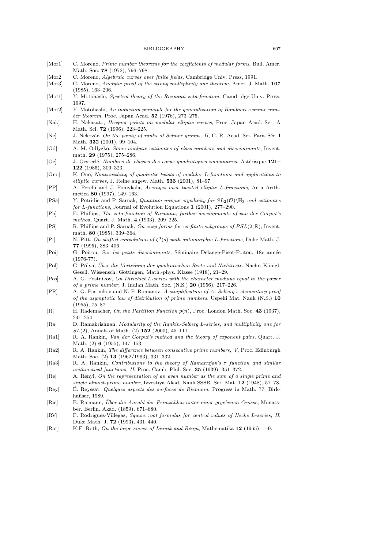- [Mor1] C. Moreno, *Prime number theorems for the coefficients of modular forms*, Bull. Amer. Math. Soc. **78** (1972), 796-798.
- [Mor2] C. Moreno, Algebraic curves over finite fields, Cambridge Univ. Press, 1991.
- [Mor3] C. Moreno, Analytic proof of the strong multiplicity one theorem, Amer. J. Math. 107 (1985), 163–206.
- [Mot1] Y. Motohashi, Spectral theory of the Riemann zeta-function, Camdridge Univ. Press, 1997.
- [Mot2] Y. Motohashi, An induction principle for the generalization of Bombieri's prime number theorem, Proc. Japan Acad. 52 (1976), 273–275.
- [Nak] H. Nakazato, Heegner points on modular elliptic curves, Proc. Japan Acad. Ser. A Math. Sci. 72 (1996), 223–225.
- [Ne] J. Nekovàr, On the parity of ranks of Selmer groups, II, C. R. Acad. Sci. Paris Sér. I Math. **332** (2001), 99-104.
- [Od] A. M. Odlyzko, Some analytic estimates of class numbers and discriminants, Invent. math. 29 (1975), 275–286.
- [Oe] J. Oesterlé, Nombres de classes des corps quadratiques imaginaires, Astérisque 121– 122 (1985), 309–323.
- [Ono] K. Ono, Nonvanishing of quadratic twists of modular L-functions and applications to elliptic curves, J. Reine angew. Math. 533 (2001), 81–97.
- [PP] A. Perelli and J. Pomykala, Averages over twisted elliptic L-functions, Acta Arithmetica 80 (1997), 149–163.
- [PSa] Y. Petridis and P. Sarnak, Quantum unique ergodicity for  $SL_2(\mathcal{O})\backslash\mathbb{H}_3$  and estimates for L-functions, Journal of Evolution Equations 1 (2001), 277–290.
- [Ph] E. Phillips, The zeta-function of Riemann; further developments of van der Corput's method, Quart. J. Math. 4 (1933), 209–225.
- [PS] R. Phillips and P. Sarnak, On cusp forms for co-finite subgroups of  $PSL(2, \mathbb{R})$ , Invent. math. 80 (1985), 339–364.
- [Pi] N. Pitt, On shifted convolution of  $\zeta^3(s)$  with automorphic L-functions, Duke Math. J. 77 (1995), 383–406.
- [Poi] G. Poitou, Sur les petits discriminants, Séminaire Delange-Pisot-Poitou, 18e année (1976-77).
- [Pol] G. Pólya, Über die Verteilung der guadratischen Reste und Nichtreste, Nachr. Königl. Gesell. Wissensch. Göttingen, Math.-phys. Klasse (1918), 21–29.
- [Pos] A. G. Postnikov, On Dirichlet L-series with the character modulus equal to the power of a prime number, J. Indian Math. Soc. (N.S.) 20 (1956), 217–226.
- [PR] A. G. Postnikov and N. P. Romanov, A simplification of A. Selberg's elementary proof of the asymptotic law of distribution of prime numbers, Uspehi Mat. Nauk (N.S.) 10 (1955), 75–87.
- [R] H. Rademacher, On the Partition Function  $p(n)$ , Proc. London Math. Soc. 43 (1937), 241–254.
- [Ra] D. Ramakrishnan, Modularity of the Rankin-Selberg L-series, and multiplicity one for  $SL(2)$ , Annals of Math. (2) 152 (2000), 45-111.
- [Ra1] R. A. Rankin, Van der Corput's method and the theory of exponent pairs, Quart. J. Math. (2) 6 (1955), 147–153.
- [Ra2] R. A. Rankin, The difference between consecutive prime numbers, V, Proc. Edinburgh Math. Soc. (2) 13 (1962/1963), 331–332.
- [Ra3] R. A. Rankin, Contributions to the theory of Ramanujan's τ function and similar arithmetical functions, II, Proc. Camb. Phil. Soc. 35 (1939), 351–372.
- [Re] A. Renyi, On the representation of an even number as the sum of a single prime and single almost-prime number, Izvestiya Akad. Nauk SSSR. Ser. Mat. 12 (1948), 57–78.
- [Rey] E. Reyssat, *Quelques aspects des surfaces de Riemann*, Progress in Math. 77, Birkhaüser, 1989.
- [Rie] B. Riemann, Über die Anzahl der Primzahlen unter einer gegebenen Grösse, Monatsber. Berlin. Akad. (1859), 671–680.
- [RV] F. Rodriguez-Villegas, Square root formulas for central values of Hecke L-series, II, Duke Math. J. 72 (1993), 431–440.
- [Rot] K.F. Roth, On the large sieves of Linnik and Rényi, Mathematika 12 (1965), 1–9.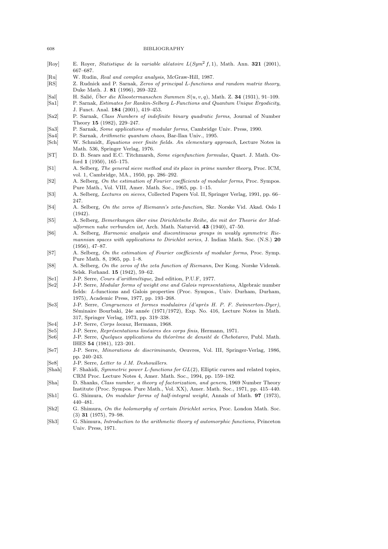- [Roy] E. Royer, Statistique de la variable aléatoire  $L(Sym^2 f, 1)$ , Math. Ann. 321 (2001), 667–687.
- [Ru] W. Rudin, Real and complex analysis, McGraw-Hill, 1987.
- [RS] Z. Rudnick and P. Sarnak, Zeros of principal L-functions and random matrix theory, Duke Math. J. 81 (1996), 269–322.
- [Sal] H. Salié, Über die Kloostermanschen Summen  $S(u, v, q)$ , Math. Z. 34 (1931), 91–109.
- [Sa1] P. Sarnak, Estimates for Rankin-Selberg L-Functions and Quantum Unique Ergodicity, J. Funct. Anal. 184 (2001), 419–453.
- [Sa2] P. Sarnak, Class Numbers of indefinite binary quadratic forms, Journal of Number Theory 15 (1982), 229–247.
- [Sa3] P. Sarnak, Some applications of modular forms, Cambridge Univ. Press, 1990.
- [Sa4] P. Sarnak, Arithmetic quantum chaos, Bar-Ilan Univ., 1995.
- [Sch] W. Schmidt, Equations over finite fields. An elementary approach, Lecture Notes in Math. 536, Springer Verlag, 1976.
- [ST] D. B. Sears and E.C. Titchmarsh, Some eigenfunction formulae, Quart. J. Math. Oxford 1 (1950), 165–175.
- [S1] A. Selberg, The general sieve method and its place in prime number theory, Proc. ICM, vol. 1, Cambridge, MA., 1950, pp. 286–292.
- [S2] A. Selberg, On the estimation of Fourier coefficients of modular forms, Proc. Sympos. Pure Math., Vol. VIII, Amer. Math. Soc., 1965, pp. 1–15.
- [S3] A. Selberg, Lectures on sieves, Collected Papers Vol. II, Springer Verlag, 1991, pp. 66– 247.
- [S4] A. Selberg, On the zeros of Riemann's zeta-function, Skr. Norske Vid. Akad. Oslo I (1942).
- [S5] A. Selberg, Bemerkungen ¨uber eine Dirichletsche Reihe, die mit der Theorie der Modulformen nahe verbunden ist, Arch. Math. Naturvid. 43 (1940), 47–50.
- [S6] A. Selberg, Harmonic analysis and discontinuous groups in weakly symmetric Riemannian spaces with applications to Dirichlet series, J. Indian Math. Soc. (N.S.) 20 (1956), 47–87.
- [S7] A. Selberg, On the estimation of Fourier coefficients of modular forms, Proc. Symp. Pure Math. 8, 1965, pp. 1–8.
- [S8] A. Selberg, On the zeros of the zeta function of Riemann, Der Kong. Norske Vidensk. Selsk. Forhand. 15 (1942), 59–62.
- [Se1] J-P. Serre, Cours d'arithmétique, 2nd edition, P.U.F, 1977.
- [Se2] J-P. Serre, Modular forms of weight one and Galois representations, Algebraic number fields: L-functions and Galois properties (Proc. Sympos., Univ. Durham, Durham, 1975), Academic Press, 1977, pp. 193–268.
- [Se3] J-P. Serre, Congruences et formes modulaires (d'après H. P. F. Swinnerton-Dyer), Séminaire Bourbaki, 24e année (1971/1972), Exp. No. 416, Lecture Notes in Math. 317, Springer Verlag, 1973, pp. 319–338.
- [Se4] J-P. Serre, Corps locaux, Hermann, 1968.
- [Se5] J-P. Serre, Représentations linéaires des corps finis, Hermann, 1971.
- [Se6] J-P. Serre, Quelques applications du théorème de densité de Chebotarev, Publ. Math. IHES 54 (1981), 123–201.
- [Se7] J-P. Serre, Minorations de discriminants, Oeuvres, Vol. III, Springer-Verlag, 1986, pp. 240–243.
- [Se8] J-P. Serre, Letter to J.M. Deshouillers.
- [Shah] F. Shahidi, Symmetric power L-functions for  $GL(2)$ , Elliptic curves and related topics, CRM Proc. Lecture Notes 4, Amer. Math. Soc., 1994, pp. 159–182.
- [Sha] D. Shanks, Class number, a theory of factorization, and genera, 1969 Number Theory Institute (Proc. Sympos. Pure Math., Vol. XX), Amer. Math. Soc., 1971, pp. 415–440.
- [Sh1] G. Shimura, On modular forms of half-integral weight, Annals of Math. 97 (1973), 440–481.
- [Sh2] G. Shimura, On the holomorphy of certain Dirichlet series, Proc. London Math. Soc. (3) 31 (1975), 79–98.
- [Sh3] G. Shimura, Introduction to the arithmetic theory of automorphic functions, Princeton Univ. Press, 1971.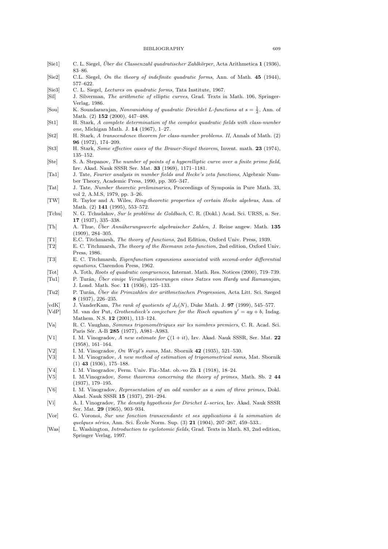- [Sie1] C. L. Siegel, Über die Classenzahl quadratischer Zahlkörper, Acta Arithmetica 1 (1936), 83–86.
- [Sie2] C.L. Siegel, On the theory of indefinite quadratic forms, Ann. of Math. 45 (1944), 577–622.
- [Sie3] C. L. Siegel, Lectures on quadratic forms, Tata Institute, 1967.
- [Sil] J. Silverman, The arithmetic of elliptic curves, Grad. Texts in Math. 106, Springer-Verlag, 1986.
- [Sou] K. Soundararajan, *Nonvanishing of quadratic Dirichlet L-functions at*  $s = \frac{1}{2}$ , Ann. of Math. (2) 152 (2000), 447–488.
- [St1] H. Stark, A complete determination of the complex quadratic fields with class-number one, Michigan Math. J. 14 (1967), 1–27.
- [St2] H. Stark, A transcendence theorem for class-number problems. II, Annals of Math. (2) 96 (1972), 174–209.
- [St3] H. Stark, Some effective cases of the Brauer-Siegel theorem, Invent. math. 23 (1974), 135–152.
- [Ste] S. A. Stepanov, The number of points of a hyperelliptic curve over a finite prime field, Izv. Akad. Nauk SSSR Ser. Mat. 33 (1969), 1171–1181.
- [Ta1] J. Tate, Fourier analysis in number fields and Hecke's zeta functions, Algebraic Number Theory, Academic Press, 1990, pp. 305–347.
- [Tat] J. Tate, Number theoretic preliminaries, Proceedings of Symposia in Pure Math. 33, vol 2, A.M.S, 1979, pp. 3–26.
- [TW] R. Taylor and A. Wiles, Ring-theoretic properties of certain Hecke algebras, Ann. of Math. (2) 141 (1995), 553–572.
- [Tchu] N. G. Tchudakov, Sur le problème de Goldbach, C. R. (Dokl.) Acad. Sci. URSS, n. Ser. 17 (1937), 335–338.
- [Th] A. Thue, Über Annäherungswerte algebraischer Zahlen, J. Reine angew. Math. 135 (1909), 284–305.
- [T1] E.C. Titchmarsh, The theory of functions, 2nd Edition, Oxford Univ. Press, 1939.
- [T2] E. C. Titchmarsh, The theory of the Riemann zeta-function, 2nd edition, Oxford Univ. Press, 1986.
- [T3] E. C. Titchmarsh, Eigenfunction expansions associated with second-order differential equations, Clarendon Press, 1962.
- [Tot] A. Toth, Roots of quadratic congruences, Internat. Math. Res. Notices (2000), 719–739.
- [Tu1] P. Turán, Über einige Verallgemeinerungen eines Satzes von Hardy und Ramanujan, J. Lond. Math. Soc. 11 (1936), 125–133.
- [Tu2] P. Turán, Über die Primzahlen der arithmetischen Progression, Acta Litt. Sci. Szeged 8 (1937), 226–235.
- [vdK] J. VanderKam, *The rank of quotients of*  $J_0(N)$ , Duke Math. J. **97** (1999), 545–577.<br>[VdP] M. van der Put. *Grothendieck's conjecture for the Risch equation*  $y' = ay + b$ . Inde
- [VdP] M. van der Put, *Grothendieck's conjecture for the Risch equation*  $y' = ay + b$ , Indag. Mathem. N.S. 12 (2001), 113–124.
- [Va] R. C. Vaughan, Sommes trigonométriques sur les nombres premiers, C. R. Acad. Sci. Paris Sér. A-B 285 (1977), A981-A983.
- [V1] I. M. Vinogradov, A new estimate for  $\zeta(1+it)$ , Izv. Akad. Nauk SSSR, Ser. Mat. 22 (1958), 161–164.
- [V2] I. M. Vinogradov, On Weyl's sums, Mat. Sbornik 42 (1935), 521–530.
- [V3] I. M. Vinogradov, A new method of estimation of trigonometrical sums, Mat. Sbornik (1) 43 (1936), 175–188.
- [V4] I. M. Vinogradov, Perm. Univ. Fiz.-Mat. ob.-vo Zh 1 (1918), 18–24.
- [V5] I. M.Vinogradov, Some theorems concerning the theory of primes, Math. Sb. 2 44 (1937), 179–195.
- [V6] I. M. Vinogradov, Representation of an odd number as a sum of three primes, Dokl. Akad. Nauk SSSR 15 (1937), 291–294.
- [Vi] A. I. Vinogradov, The density hypothesis for Dirichet L-series, Izv. Akad. Nauk SSSR Ser. Mat. 29 (1965), 903–934.
- [Vor] G. Voronoi, Sur une fonction transcendante et ses applications à la sommation de quelques séries, Ann. Sci. École Norm. Sup.  $(3)$  21  $(1904)$ , 207–267, 459–533..
- [Was] L. Washington, Introduction to cyclotomic fields, Grad. Texts in Math. 83, 2nd edition, Springer Verlag, 1997.